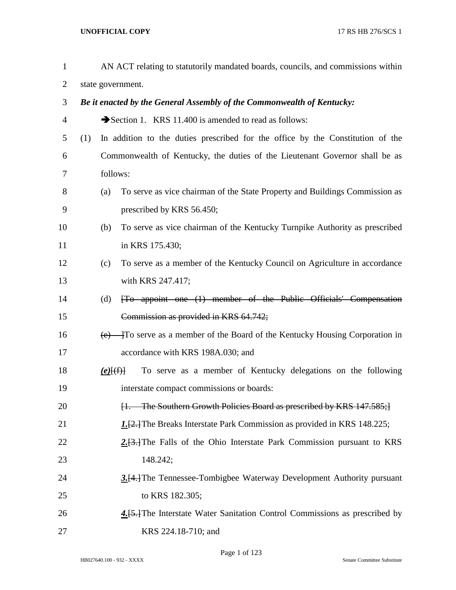| $\mathbf{1}$   |     |             | AN ACT relating to statutorily mandated boards, councils, and commissions within |
|----------------|-----|-------------|----------------------------------------------------------------------------------|
| $\overline{2}$ |     |             | state government.                                                                |
| 3              |     |             | Be it enacted by the General Assembly of the Commonwealth of Kentucky:           |
| 4              |     |             | Section 1. KRS 11.400 is amended to read as follows:                             |
| 5              | (1) |             | In addition to the duties prescribed for the office by the Constitution of the   |
| 6              |     |             | Commonwealth of Kentucky, the duties of the Lieutenant Governor shall be as      |
| 7              |     | follows:    |                                                                                  |
| 8              |     | (a)         | To serve as vice chairman of the State Property and Buildings Commission as      |
| 9              |     |             | prescribed by KRS 56.450;                                                        |
| 10             |     | (b)         | To serve as vice chairman of the Kentucky Turnpike Authority as prescribed       |
| 11             |     |             | in KRS 175.430;                                                                  |
| 12             |     | (c)         | To serve as a member of the Kentucky Council on Agriculture in accordance        |
| 13             |     |             | with KRS 247.417;                                                                |
| 14             |     | (d)         | [To appoint one (1) member of the Public Officials' Compensation                 |
| 15             |     |             | Commission as provided in KRS 64.742;                                            |
| 16             |     | (e)         | To serve as a member of the Board of the Kentucky Housing Corporation in         |
| 17             |     |             | accordance with KRS 198A.030; and                                                |
| 18             |     | $(e)$ $(f)$ | To serve as a member of Kentucky delegations on the following                    |
| 19             |     |             | interstate compact commissions or boards:                                        |
| 20             |     |             | [1. The Southern Growth Policies Board as prescribed by KRS 147.585;]            |
| 21             |     |             | 1. [2.] The Breaks Interstate Park Commission as provided in KRS 148.225;        |
| 22             |     |             | 2.[3.] The Falls of the Ohio Interstate Park Commission pursuant to KRS          |
| 23             |     |             | 148.242;                                                                         |
| 24             |     |             | 3.[4.] The Tennessee-Tombigbee Waterway Development Authority pursuant           |
| 25             |     |             | to KRS 182.305;                                                                  |
| 26             |     |             | 4. [5.] The Interstate Water Sanitation Control Commissions as prescribed by     |
| 27             |     |             | KRS 224.18-710; and                                                              |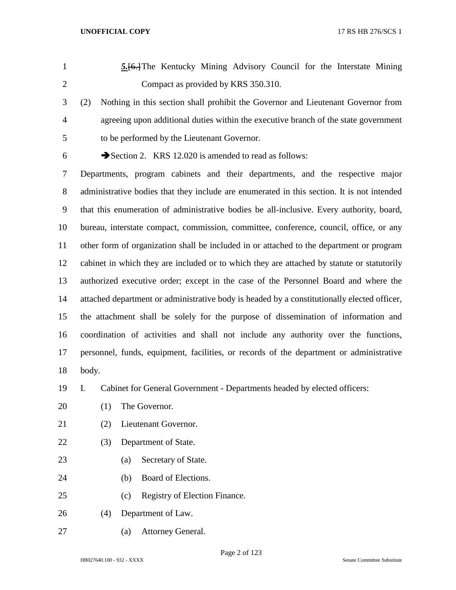- *5.*[6.]The Kentucky Mining Advisory Council for the Interstate Mining Compact as provided by KRS 350.310.
- (2) Nothing in this section shall prohibit the Governor and Lieutenant Governor from agreeing upon additional duties within the executive branch of the state government to be performed by the Lieutenant Governor.
- 

6  $\rightarrow$  Section 2. KRS 12.020 is amended to read as follows:

 Departments, program cabinets and their departments, and the respective major administrative bodies that they include are enumerated in this section. It is not intended that this enumeration of administrative bodies be all-inclusive. Every authority, board, bureau, interstate compact, commission, committee, conference, council, office, or any other form of organization shall be included in or attached to the department or program cabinet in which they are included or to which they are attached by statute or statutorily authorized executive order; except in the case of the Personnel Board and where the attached department or administrative body is headed by a constitutionally elected officer, the attachment shall be solely for the purpose of dissemination of information and coordination of activities and shall not include any authority over the functions, personnel, funds, equipment, facilities, or records of the department or administrative body.

I. Cabinet for General Government - Departments headed by elected officers:

- 20 (1) The Governor.
- (2) Lieutenant Governor.
- (3) Department of State.
- (a) Secretary of State.
- (b) Board of Elections.
- (c) Registry of Election Finance.
- (4) Department of Law.
- (a) Attorney General.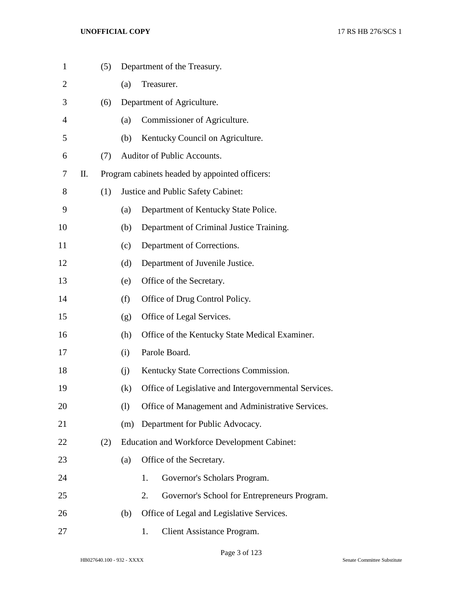| $\mathbf{1}$ |    | (5) |     |    | Department of the Treasury.                           |
|--------------|----|-----|-----|----|-------------------------------------------------------|
| 2            |    |     | (a) |    | Treasurer.                                            |
| 3            |    | (6) |     |    | Department of Agriculture.                            |
| 4            |    |     | (a) |    | Commissioner of Agriculture.                          |
| 5            |    |     | (b) |    | Kentucky Council on Agriculture.                      |
| 6            |    | (7) |     |    | Auditor of Public Accounts.                           |
| 7            | П. |     |     |    | Program cabinets headed by appointed officers:        |
| 8            |    | (1) |     |    | Justice and Public Safety Cabinet:                    |
| 9            |    |     | (a) |    | Department of Kentucky State Police.                  |
| 10           |    |     | (b) |    | Department of Criminal Justice Training.              |
| 11           |    |     | (c) |    | Department of Corrections.                            |
| 12           |    |     | (d) |    | Department of Juvenile Justice.                       |
| 13           |    |     | (e) |    | Office of the Secretary.                              |
| 14           |    |     | (f) |    | Office of Drug Control Policy.                        |
| 15           |    |     | (g) |    | Office of Legal Services.                             |
| 16           |    |     | (h) |    | Office of the Kentucky State Medical Examiner.        |
| 17           |    |     | (i) |    | Parole Board.                                         |
| 18           |    |     | (i) |    | Kentucky State Corrections Commission.                |
| 19           |    |     | (k) |    | Office of Legislative and Intergovernmental Services. |
| 20           |    |     | (1) |    | Office of Management and Administrative Services.     |
| 21           |    |     | (m) |    | Department for Public Advocacy.                       |
| 22           |    | (2) |     |    | <b>Education and Workforce Development Cabinet:</b>   |
| 23           |    |     | (a) |    | Office of the Secretary.                              |
| 24           |    |     |     | 1. | Governor's Scholars Program.                          |
| 25           |    |     |     | 2. | Governor's School for Entrepreneurs Program.          |
| 26           |    |     | (b) |    | Office of Legal and Legislative Services.             |
| 27           |    |     |     | 1. | Client Assistance Program.                            |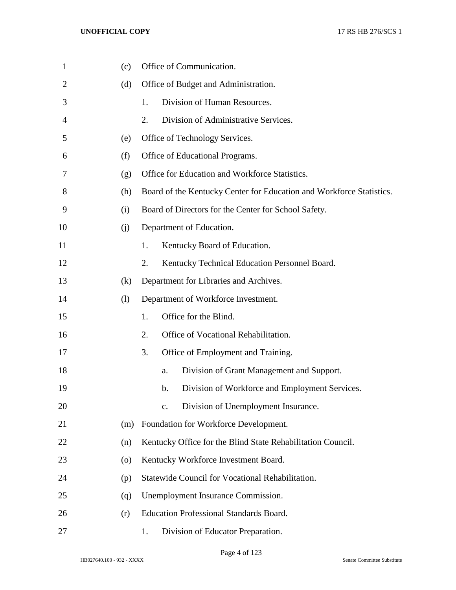| $\mathbf{1}$   | (c)                | Office of Communication.                                             |
|----------------|--------------------|----------------------------------------------------------------------|
| $\overline{2}$ | (d)                | Office of Budget and Administration.                                 |
| 3              |                    | Division of Human Resources.<br>1.                                   |
| 4              |                    | 2.<br>Division of Administrative Services.                           |
| 5              | (e)                | Office of Technology Services.                                       |
| 6              | (f)                | Office of Educational Programs.                                      |
| 7              | (g)                | Office for Education and Workforce Statistics.                       |
| 8              | (h)                | Board of the Kentucky Center for Education and Workforce Statistics. |
| 9              | (i)                | Board of Directors for the Center for School Safety.                 |
| 10             | (i)                | Department of Education.                                             |
| 11             |                    | 1.<br>Kentucky Board of Education.                                   |
| 12             |                    | 2.<br>Kentucky Technical Education Personnel Board.                  |
| 13             | (k)                | Department for Libraries and Archives.                               |
| 14             | (1)                | Department of Workforce Investment.                                  |
| 15             |                    | Office for the Blind.<br>1.                                          |
| 16             |                    | 2.<br>Office of Vocational Rehabilitation.                           |
| 17             |                    | 3.<br>Office of Employment and Training.                             |
| 18             |                    | Division of Grant Management and Support.<br>a.                      |
| 19             |                    | Division of Workforce and Employment Services.<br>b.                 |
| 20             |                    | Division of Unemployment Insurance.<br>$C_{\bullet}$                 |
| 21             | (m)                | Foundation for Workforce Development.                                |
| 22             | (n)                | Kentucky Office for the Blind State Rehabilitation Council.          |
| 23             | $\left( 0 \right)$ | Kentucky Workforce Investment Board.                                 |
| 24             | (p)                | Statewide Council for Vocational Rehabilitation.                     |
| 25             | (q)                | Unemployment Insurance Commission.                                   |
| 26             | (r)                | <b>Education Professional Standards Board.</b>                       |
| 27             |                    | Division of Educator Preparation.<br>1.                              |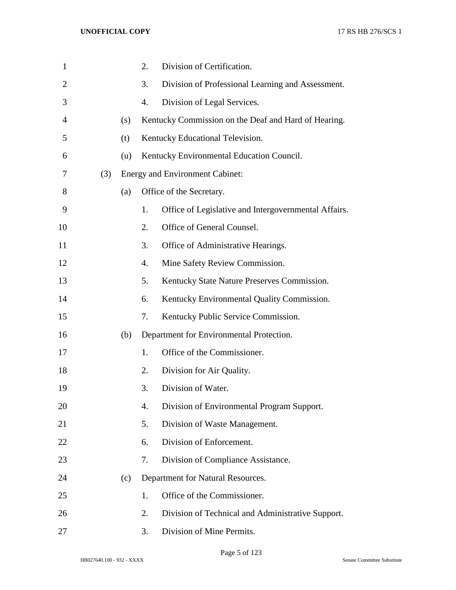| $\mathbf{1}$   |     |     | 2. | Division of Certification.                           |
|----------------|-----|-----|----|------------------------------------------------------|
| $\overline{2}$ |     |     | 3. | Division of Professional Learning and Assessment.    |
| 3              |     |     | 4. | Division of Legal Services.                          |
| $\overline{4}$ |     | (s) |    | Kentucky Commission on the Deaf and Hard of Hearing. |
| 5              |     | (t) |    | Kentucky Educational Television.                     |
| 6              |     | (u) |    | Kentucky Environmental Education Council.            |
| 7              | (3) |     |    | <b>Energy and Environment Cabinet:</b>               |
| 8              |     | (a) |    | Office of the Secretary.                             |
| 9              |     |     | 1. | Office of Legislative and Intergovernmental Affairs. |
| 10             |     |     | 2. | Office of General Counsel.                           |
| 11             |     |     | 3. | Office of Administrative Hearings.                   |
| 12             |     |     | 4. | Mine Safety Review Commission.                       |
| 13             |     |     | 5. | Kentucky State Nature Preserves Commission.          |
| 14             |     |     | 6. | Kentucky Environmental Quality Commission.           |
| 15             |     |     | 7. | Kentucky Public Service Commission.                  |
| 16             |     | (b) |    | Department for Environmental Protection.             |
| 17             |     |     | 1. | Office of the Commissioner.                          |
| 18             |     |     | 2. | Division for Air Quality.                            |
| 19             |     |     | 3. | Division of Water.                                   |
| 20             |     |     | 4. | Division of Environmental Program Support.           |
| 21             |     |     | 5. | Division of Waste Management.                        |
| 22             |     |     | 6. | Division of Enforcement.                             |
| 23             |     |     | 7. | Division of Compliance Assistance.                   |
| 24             |     | (c) |    | Department for Natural Resources.                    |
| 25             |     |     | 1. | Office of the Commissioner.                          |
| 26             |     |     | 2. | Division of Technical and Administrative Support.    |
| 27             |     |     | 3. | Division of Mine Permits.                            |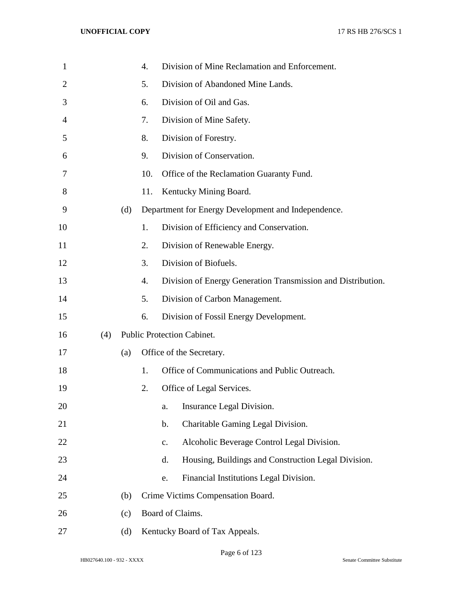| 1              |     |     | 4.  |                | Division of Mine Reclamation and Enforcement.                |
|----------------|-----|-----|-----|----------------|--------------------------------------------------------------|
| $\overline{2}$ |     |     | 5.  |                | Division of Abandoned Mine Lands.                            |
| 3              |     |     | 6.  |                | Division of Oil and Gas.                                     |
| 4              |     |     | 7.  |                | Division of Mine Safety.                                     |
| 5              |     |     | 8.  |                | Division of Forestry.                                        |
| 6              |     |     | 9.  |                | Division of Conservation.                                    |
| 7              |     |     | 10. |                | Office of the Reclamation Guaranty Fund.                     |
| 8              |     |     | 11. |                | Kentucky Mining Board.                                       |
| 9              |     | (d) |     |                | Department for Energy Development and Independence.          |
| 10             |     |     | 1.  |                | Division of Efficiency and Conservation.                     |
| 11             |     |     | 2.  |                | Division of Renewable Energy.                                |
| 12             |     |     | 3.  |                | Division of Biofuels.                                        |
| 13             |     |     | 4.  |                | Division of Energy Generation Transmission and Distribution. |
| 14             |     |     | 5.  |                | Division of Carbon Management.                               |
| 15             |     |     | 6.  |                | Division of Fossil Energy Development.                       |
| 16             | (4) |     |     |                | <b>Public Protection Cabinet.</b>                            |
| 17             |     | (a) |     |                | Office of the Secretary.                                     |
| 18             |     |     | 1.  |                | Office of Communications and Public Outreach.                |
| 19             |     |     | 2.  |                | Office of Legal Services.                                    |
| 20             |     |     |     | a.             | Insurance Legal Division.                                    |
| 21             |     |     |     | $\mathbf b$ .  | Charitable Gaming Legal Division.                            |
| 22             |     |     |     | $\mathbf{c}$ . | Alcoholic Beverage Control Legal Division.                   |
| 23             |     |     |     | d.             | Housing, Buildings and Construction Legal Division.          |
| 24             |     |     |     | e.             | Financial Institutions Legal Division.                       |
| 25             |     | (b) |     |                | Crime Victims Compensation Board.                            |
| 26             |     | (c) |     |                | Board of Claims.                                             |
| 27             |     | (d) |     |                | Kentucky Board of Tax Appeals.                               |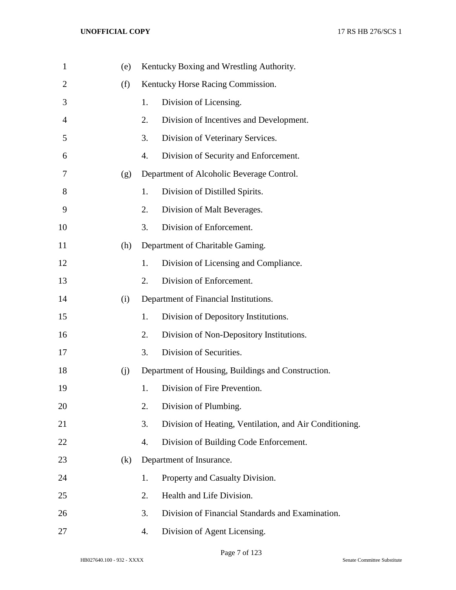| $\mathbf{1}$   | (e) |    | Kentucky Boxing and Wrestling Authority.                |
|----------------|-----|----|---------------------------------------------------------|
| $\overline{2}$ | (f) |    | Kentucky Horse Racing Commission.                       |
| 3              |     | 1. | Division of Licensing.                                  |
| 4              |     | 2. | Division of Incentives and Development.                 |
| 5              |     | 3. | Division of Veterinary Services.                        |
| 6              |     | 4. | Division of Security and Enforcement.                   |
| 7              | (g) |    | Department of Alcoholic Beverage Control.               |
| 8              |     | 1. | Division of Distilled Spirits.                          |
| 9              |     | 2. | Division of Malt Beverages.                             |
| 10             |     | 3. | Division of Enforcement.                                |
| 11             | (h) |    | Department of Charitable Gaming.                        |
| 12             |     | 1. | Division of Licensing and Compliance.                   |
| 13             |     | 2. | Division of Enforcement.                                |
| 14             | (i) |    | Department of Financial Institutions.                   |
| 15             |     | 1. | Division of Depository Institutions.                    |
| 16             |     | 2. | Division of Non-Depository Institutions.                |
| 17             |     | 3. | Division of Securities.                                 |
| 18             | (j) |    | Department of Housing, Buildings and Construction.      |
| 19             |     | 1. | Division of Fire Prevention.                            |
| 20             |     | 2. | Division of Plumbing.                                   |
| 21             |     | 3. | Division of Heating, Ventilation, and Air Conditioning. |
| 22             |     | 4. | Division of Building Code Enforcement.                  |
| 23             | (k) |    | Department of Insurance.                                |
| 24             |     | 1. | Property and Casualty Division.                         |
| 25             |     | 2. | Health and Life Division.                               |
| 26             |     | 3. | Division of Financial Standards and Examination.        |
| 27             |     | 4. | Division of Agent Licensing.                            |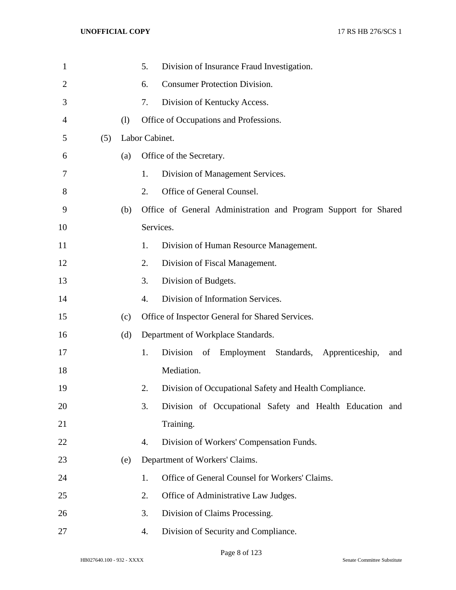| $\mathbf{1}$   |     |     | 5.             | Division of Insurance Fraud Investigation.                        |
|----------------|-----|-----|----------------|-------------------------------------------------------------------|
| $\overline{2}$ |     |     | 6.             | <b>Consumer Protection Division.</b>                              |
| 3              |     |     | 7.             | Division of Kentucky Access.                                      |
| 4              |     | (1) |                | Office of Occupations and Professions.                            |
| 5              | (5) |     | Labor Cabinet. |                                                                   |
| 6              |     | (a) |                | Office of the Secretary.                                          |
| 7              |     |     | 1.             | Division of Management Services.                                  |
| 8              |     |     | 2.             | Office of General Counsel.                                        |
| 9              |     | (b) |                | Office of General Administration and Program Support for Shared   |
| 10             |     |     |                | Services.                                                         |
| 11             |     |     | 1.             | Division of Human Resource Management.                            |
| 12             |     |     | 2.             | Division of Fiscal Management.                                    |
| 13             |     |     | 3.             | Division of Budgets.                                              |
| 14             |     |     | 4.             | Division of Information Services.                                 |
| 15             |     | (c) |                | Office of Inspector General for Shared Services.                  |
| 16             |     | (d) |                | Department of Workplace Standards.                                |
| 17             |     |     | 1.             | Division<br>Employment<br>Standards, Apprenticeship,<br>of<br>and |
| 18             |     |     |                | Mediation.                                                        |
| 19             |     |     | 2.             | Division of Occupational Safety and Health Compliance.            |
| 20             |     |     | 3.             | Division of Occupational Safety and Health Education and          |
| 21             |     |     |                | Training.                                                         |
| 22             |     |     | 4.             | Division of Workers' Compensation Funds.                          |
| 23             |     | (e) |                | Department of Workers' Claims.                                    |
| 24             |     |     | 1.             | Office of General Counsel for Workers' Claims.                    |
| 25             |     |     | 2.             | Office of Administrative Law Judges.                              |
| 26             |     |     | 3.             | Division of Claims Processing.                                    |
| 27             |     |     | 4.             | Division of Security and Compliance.                              |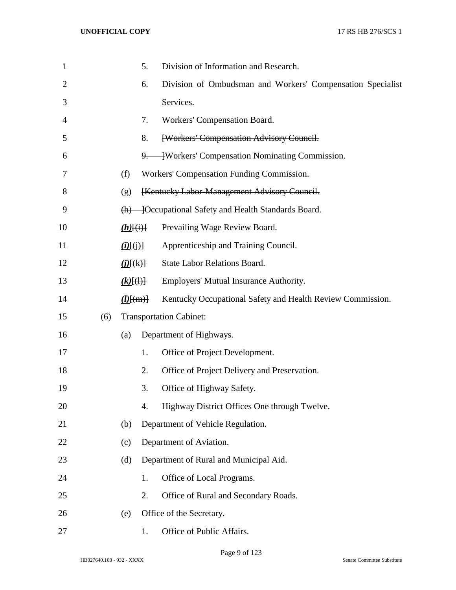| 1  |     | 5.                                | Division of Information and Research.                         |
|----|-----|-----------------------------------|---------------------------------------------------------------|
| 2  |     | 6.                                | Division of Ombudsman and Workers' Compensation Specialist    |
| 3  |     |                                   | Services.                                                     |
| 4  |     | 7.                                | Workers' Compensation Board.                                  |
| 5  |     | 8.                                | [Workers' Compensation Advisory Council.                      |
| 6  |     |                                   | -Workers' Compensation Nominating Commission.<br><u>9. - </u> |
| 7  |     | (f)                               | Workers' Compensation Funding Commission.                     |
| 8  |     | (g)                               | [Kentucky Labor-Management Advisory Council.                  |
| 9  |     |                                   | (h) — [Occupational Safety and Health Standards Board.        |
| 10 |     | $(h)$ $(i)$                       | Prevailing Wage Review Board.                                 |
| 11 |     | $(i)$ $(i)$ $(i)$ $(i)$           | Apprenticeship and Training Council.                          |
| 12 |     | $\underline{(i)}[\overline{(k)}]$ | <b>State Labor Relations Board.</b>                           |
| 13 |     | $(k)$ $(4)$                       | Employers' Mutual Insurance Authority.                        |
| 14 |     | $(l)$ [(m)]                       | Kentucky Occupational Safety and Health Review Commission.    |
| 15 | (6) |                                   | <b>Transportation Cabinet:</b>                                |
| 16 |     | (a)                               | Department of Highways.                                       |
| 17 |     | 1.                                | Office of Project Development.                                |
| 18 |     | 2.                                | Office of Project Delivery and Preservation.                  |
| 19 |     | 3.                                | Office of Highway Safety.                                     |
| 20 |     | 4.                                | Highway District Offices One through Twelve.                  |
| 21 |     | (b)                               | Department of Vehicle Regulation.                             |
| 22 |     | (c)                               | Department of Aviation.                                       |
| 23 |     | (d)                               | Department of Rural and Municipal Aid.                        |
| 24 |     | 1.                                | Office of Local Programs.                                     |
| 25 |     | 2.                                | Office of Rural and Secondary Roads.                          |
| 26 |     | (e)                               | Office of the Secretary.                                      |
| 27 |     | 1.                                | Office of Public Affairs.                                     |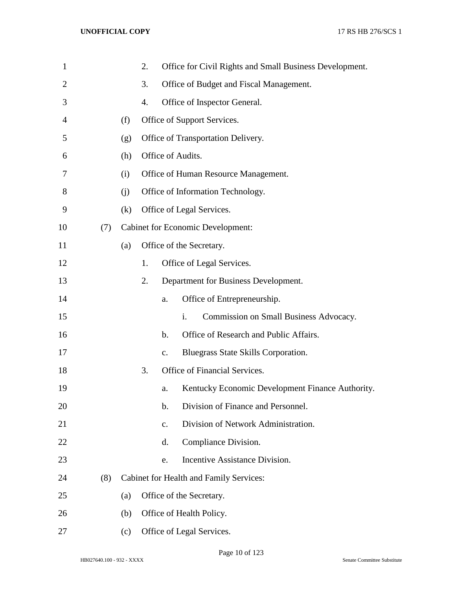| 1              |     |     | 2. |               | Office for Civil Rights and Small Business Development. |
|----------------|-----|-----|----|---------------|---------------------------------------------------------|
| $\overline{2}$ |     |     | 3. |               | Office of Budget and Fiscal Management.                 |
| 3              |     |     | 4. |               | Office of Inspector General.                            |
| 4              |     | (f) |    |               | Office of Support Services.                             |
| 5              |     | (g) |    |               | Office of Transportation Delivery.                      |
| 6              |     | (h) |    |               | Office of Audits.                                       |
| 7              |     | (i) |    |               | Office of Human Resource Management.                    |
| 8              |     | (i) |    |               | Office of Information Technology.                       |
| 9              |     | (k) |    |               | Office of Legal Services.                               |
| 10             | (7) |     |    |               | <b>Cabinet for Economic Development:</b>                |
| 11             |     | (a) |    |               | Office of the Secretary.                                |
| 12             |     |     | 1. |               | Office of Legal Services.                               |
| 13             |     |     | 2. |               | Department for Business Development.                    |
| 14             |     |     |    | a.            | Office of Entrepreneurship.                             |
| 15             |     |     |    |               | Commission on Small Business Advocacy.<br>i.            |
| 16             |     |     |    | $\mathbf b$ . | Office of Research and Public Affairs.                  |
| 17             |     |     |    | $C_{\bullet}$ | Bluegrass State Skills Corporation.                     |
| 18             |     |     | 3. |               | Office of Financial Services.                           |
| 19             |     |     |    | a.            | Kentucky Economic Development Finance Authority.        |
| 20             |     |     |    | $\mathbf b$ . | Division of Finance and Personnel.                      |
| 21             |     |     |    | c.            | Division of Network Administration.                     |
| 22             |     |     |    | d.            | Compliance Division.                                    |
| 23             |     |     |    | e.            | Incentive Assistance Division.                          |
| 24             | (8) |     |    |               | <b>Cabinet for Health and Family Services:</b>          |
| 25             |     | (a) |    |               | Office of the Secretary.                                |
| 26             |     | (b) |    |               | Office of Health Policy.                                |
| 27             |     | (c) |    |               | Office of Legal Services.                               |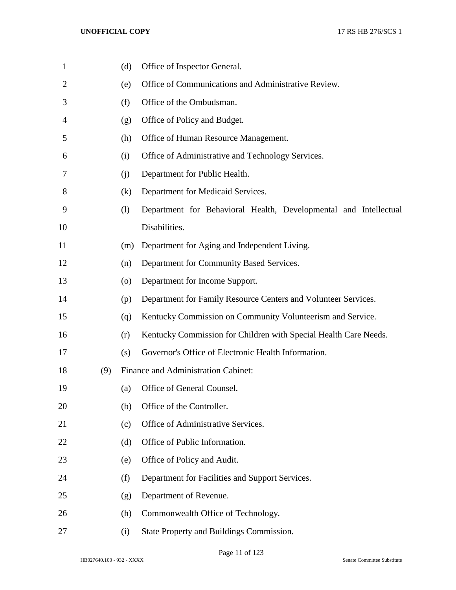| 1              |     | (d)                | Office of Inspector General.                                     |
|----------------|-----|--------------------|------------------------------------------------------------------|
| $\overline{2}$ |     | (e)                | Office of Communications and Administrative Review.              |
| 3              |     | (f)                | Office of the Ombudsman.                                         |
| 4              |     | (g)                | Office of Policy and Budget.                                     |
| 5              |     | (h)                | Office of Human Resource Management.                             |
| 6              |     | (i)                | Office of Administrative and Technology Services.                |
| 7              |     | (i)                | Department for Public Health.                                    |
| 8              |     | (k)                | Department for Medicaid Services.                                |
| 9              |     | (1)                | Department for Behavioral Health, Developmental and Intellectual |
| 10             |     |                    | Disabilities.                                                    |
| 11             |     | (m)                | Department for Aging and Independent Living.                     |
| 12             |     | (n)                | Department for Community Based Services.                         |
| 13             |     | $\left( 0 \right)$ | Department for Income Support.                                   |
| 14             |     | (p)                | Department for Family Resource Centers and Volunteer Services.   |
| 15             |     | (q)                | Kentucky Commission on Community Volunteerism and Service.       |
| 16             |     | (r)                | Kentucky Commission for Children with Special Health Care Needs. |
| 17             |     | (s)                | Governor's Office of Electronic Health Information.              |
| 18             | (9) |                    | Finance and Administration Cabinet:                              |
| 19             |     | (a)                | Office of General Counsel.                                       |
| 20             |     | (b)                | Office of the Controller.                                        |
| 21             |     | (c)                | Office of Administrative Services.                               |
| 22             |     | (d)                | Office of Public Information.                                    |
| 23             |     | (e)                | Office of Policy and Audit.                                      |
| 24             |     | (f)                | Department for Facilities and Support Services.                  |
| 25             |     | (g)                | Department of Revenue.                                           |
| 26             |     | (h)                | Commonwealth Office of Technology.                               |
| 27             |     | (i)                | State Property and Buildings Commission.                         |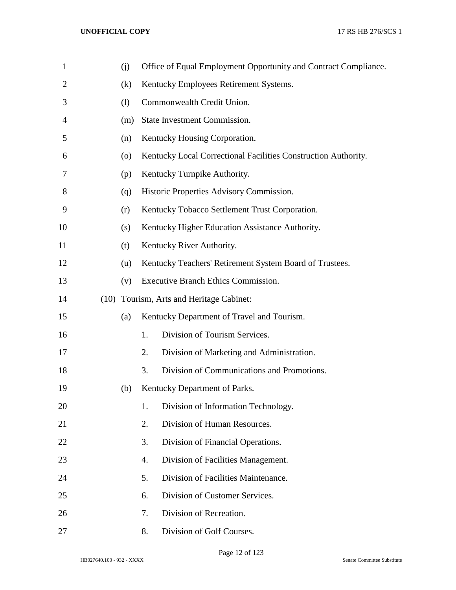| $\mathbf{1}$   | (j) |    | Office of Equal Employment Opportunity and Contract Compliance. |
|----------------|-----|----|-----------------------------------------------------------------|
| $\overline{2}$ | (k) |    | Kentucky Employees Retirement Systems.                          |
| 3              | (1) |    | Commonwealth Credit Union.                                      |
| 4              | (m) |    | State Investment Commission.                                    |
| 5              | (n) |    | Kentucky Housing Corporation.                                   |
| 6              | (0) |    | Kentucky Local Correctional Facilities Construction Authority.  |
| 7              | (p) |    | Kentucky Turnpike Authority.                                    |
| 8              | (q) |    | Historic Properties Advisory Commission.                        |
| 9              | (r) |    | Kentucky Tobacco Settlement Trust Corporation.                  |
| 10             | (s) |    | Kentucky Higher Education Assistance Authority.                 |
| 11             | (t) |    | Kentucky River Authority.                                       |
| 12             | (u) |    | Kentucky Teachers' Retirement System Board of Trustees.         |
| 13             | (v) |    | Executive Branch Ethics Commission.                             |
| 14             |     |    | (10) Tourism, Arts and Heritage Cabinet:                        |
| 15             | (a) |    | Kentucky Department of Travel and Tourism.                      |
| 16             |     | 1. | Division of Tourism Services.                                   |
| 17             |     | 2. | Division of Marketing and Administration.                       |
| 18             |     | 3. | Division of Communications and Promotions.                      |
| 19             | (b) |    | Kentucky Department of Parks.                                   |
| 20             |     | 1. | Division of Information Technology.                             |
| 21             |     | 2. | Division of Human Resources.                                    |
| 22             |     | 3. | Division of Financial Operations.                               |
| 23             |     | 4. | Division of Facilities Management.                              |
| 24             |     | 5. | Division of Facilities Maintenance.                             |
| 25             |     | 6. | Division of Customer Services.                                  |
| 26             |     | 7. | Division of Recreation.                                         |
| 27             |     | 8. | Division of Golf Courses.                                       |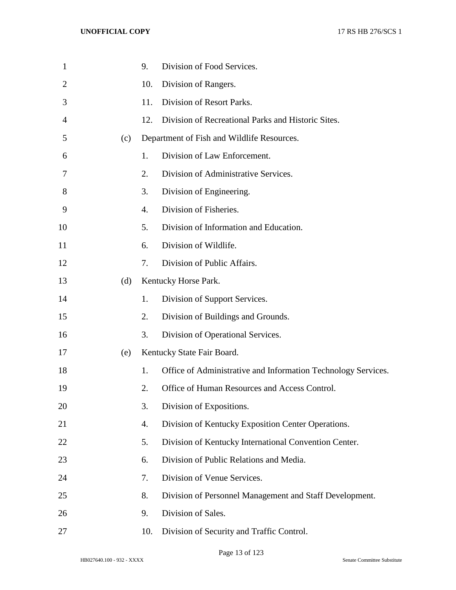| $\mathbf{1}$ |     | 9.  | Division of Food Services.                                    |
|--------------|-----|-----|---------------------------------------------------------------|
| 2            |     | 10. | Division of Rangers.                                          |
| 3            |     | 11. | Division of Resort Parks.                                     |
| 4            |     | 12. | Division of Recreational Parks and Historic Sites.            |
| 5            | (c) |     | Department of Fish and Wildlife Resources.                    |
| 6            |     | 1.  | Division of Law Enforcement.                                  |
| 7            |     | 2.  | Division of Administrative Services.                          |
| 8            |     | 3.  | Division of Engineering.                                      |
| 9            |     | 4.  | Division of Fisheries.                                        |
| 10           |     | 5.  | Division of Information and Education.                        |
| 11           |     | 6.  | Division of Wildlife.                                         |
| 12           |     | 7.  | Division of Public Affairs.                                   |
| 13           | (d) |     | Kentucky Horse Park.                                          |
| 14           |     | 1.  | Division of Support Services.                                 |
| 15           |     | 2.  | Division of Buildings and Grounds.                            |
| 16           |     | 3.  | Division of Operational Services.                             |
| 17           | (e) |     | Kentucky State Fair Board.                                    |
| 18           |     | 1.  | Office of Administrative and Information Technology Services. |
| 19           |     | 2.  | Office of Human Resources and Access Control.                 |
| 20           |     | 3.  | Division of Expositions.                                      |
| 21           |     | 4.  | Division of Kentucky Exposition Center Operations.            |
| 22           |     | 5.  | Division of Kentucky International Convention Center.         |
| 23           |     | 6.  | Division of Public Relations and Media.                       |
| 24           |     | 7.  | Division of Venue Services.                                   |
| 25           |     | 8.  | Division of Personnel Management and Staff Development.       |
| 26           |     | 9.  | Division of Sales.                                            |
| 27           |     | 10. | Division of Security and Traffic Control.                     |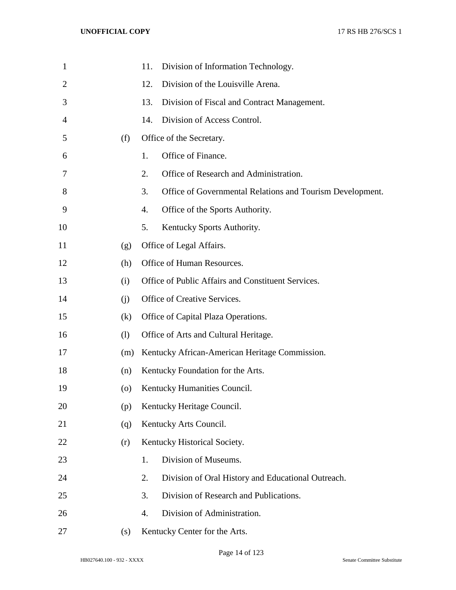| $\mathbf{1}$   |                    | Division of Information Technology.<br>11.                      |
|----------------|--------------------|-----------------------------------------------------------------|
| $\overline{2}$ |                    | Division of the Louisville Arena.<br>12.                        |
| 3              |                    | 13.<br>Division of Fiscal and Contract Management.              |
| 4              |                    | Division of Access Control.<br>14.                              |
| 5              | (f)                | Office of the Secretary.                                        |
| 6              |                    | Office of Finance.<br>1.                                        |
| 7              |                    | 2.<br>Office of Research and Administration.                    |
| 8              |                    | 3.<br>Office of Governmental Relations and Tourism Development. |
| 9              |                    | Office of the Sports Authority.<br>4.                           |
| 10             |                    | 5.<br>Kentucky Sports Authority.                                |
| 11             | (g)                | Office of Legal Affairs.                                        |
| 12             | (h)                | Office of Human Resources.                                      |
| 13             | (i)                | Office of Public Affairs and Constituent Services.              |
| 14             | (i)                | Office of Creative Services.                                    |
| 15             | (k)                | Office of Capital Plaza Operations.                             |
| 16             | (1)                | Office of Arts and Cultural Heritage.                           |
| 17             | (m)                | Kentucky African-American Heritage Commission.                  |
| 18             | (n)                | Kentucky Foundation for the Arts.                               |
| 19             | $\left( 0 \right)$ | Kentucky Humanities Council.                                    |
| 20             | (p)                | Kentucky Heritage Council.                                      |
| 21             | (q)                | Kentucky Arts Council.                                          |
| 22             | (r)                | Kentucky Historical Society.                                    |
| 23             |                    | Division of Museums.<br>1.                                      |
| 24             |                    | 2.<br>Division of Oral History and Educational Outreach.        |
| 25             |                    | Division of Research and Publications.<br>3.                    |
| 26             |                    | Division of Administration.<br>4.                               |
| 27             | (s)                | Kentucky Center for the Arts.                                   |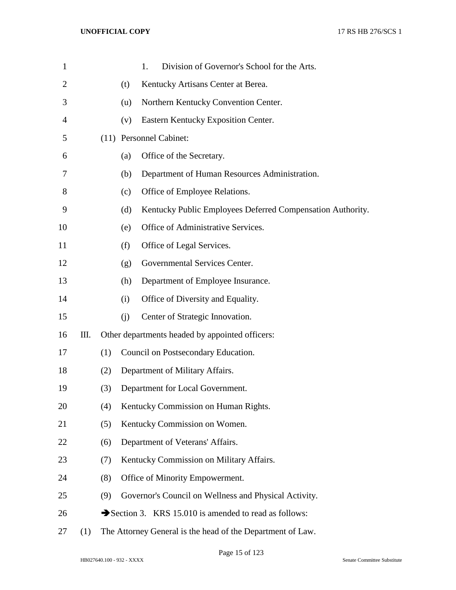| $\mathbf{1}$ |     |     |     | Division of Governor's School for the Arts.<br>1.          |
|--------------|-----|-----|-----|------------------------------------------------------------|
| 2            |     |     | (t) | Kentucky Artisans Center at Berea.                         |
| 3            |     |     | (u) | Northern Kentucky Convention Center.                       |
| 4            |     |     | (v) | Eastern Kentucky Exposition Center.                        |
| 5            |     |     |     | (11) Personnel Cabinet:                                    |
| 6            |     |     | (a) | Office of the Secretary.                                   |
| 7            |     |     | (b) | Department of Human Resources Administration.              |
| 8            |     |     | (c) | Office of Employee Relations.                              |
| 9            |     |     | (d) | Kentucky Public Employees Deferred Compensation Authority. |
| 10           |     |     | (e) | Office of Administrative Services.                         |
| 11           |     |     | (f) | Office of Legal Services.                                  |
| 12           |     |     | (g) | Governmental Services Center.                              |
| 13           |     |     | (h) | Department of Employee Insurance.                          |
| 14           |     |     | (i) | Office of Diversity and Equality.                          |
| 15           |     |     | (i) | Center of Strategic Innovation.                            |
| 16           | Ш.  |     |     | Other departments headed by appointed officers:            |
| 17           |     | (1) |     | Council on Postsecondary Education.                        |
| 18           |     | (2) |     | Department of Military Affairs.                            |
| 19           |     | (3) |     | Department for Local Government.                           |
| 20           |     | (4) |     | Kentucky Commission on Human Rights.                       |
| 21           |     | (5) |     | Kentucky Commission on Women.                              |
| 22           |     | (6) |     | Department of Veterans' Affairs.                           |
| 23           |     | (7) |     | Kentucky Commission on Military Affairs.                   |
| 24           |     | (8) |     | Office of Minority Empowerment.                            |
| 25           |     | (9) |     | Governor's Council on Wellness and Physical Activity.      |
| 26           |     |     |     | Section 3. KRS 15.010 is amended to read as follows:       |
| 27           | (1) |     |     | The Attorney General is the head of the Department of Law. |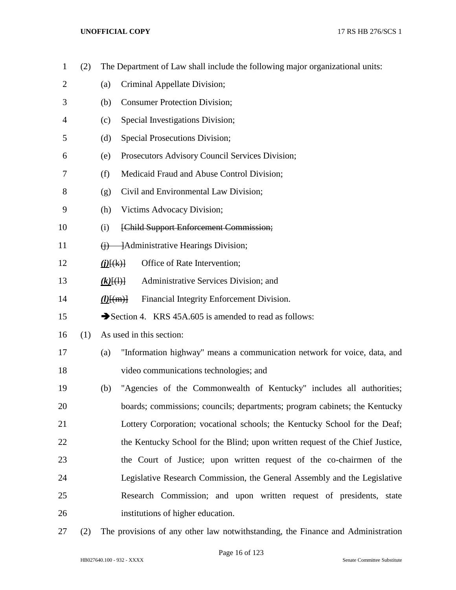| $\mathbf{1}$ | (2) |                   | The Department of Law shall include the following major organizational units: |
|--------------|-----|-------------------|-------------------------------------------------------------------------------|
| 2            |     | (a)               | Criminal Appellate Division;                                                  |
| 3            |     | (b)               | <b>Consumer Protection Division;</b>                                          |
| 4            |     | (c)               | Special Investigations Division;                                              |
| 5            |     | (d)               | Special Prosecutions Division;                                                |
| 6            |     | (e)               | Prosecutors Advisory Council Services Division;                               |
| 7            |     | (f)               | Medicaid Fraud and Abuse Control Division;                                    |
| 8            |     | (g)               | Civil and Environmental Law Division;                                         |
| 9            |     | (h)               | Victims Advocacy Division;                                                    |
| 10           |     | (i)               | [Child Support Enforcement Commission;                                        |
| 11           |     |                   | $\overline{H}$ - Administrative Hearings Division;                            |
| 12           |     | ( <i>j</i> )(k)   | Office of Rate Intervention;                                                  |
| 13           |     | $(k)$ $(\dagger)$ | Administrative Services Division; and                                         |
| 14           |     | $(l)$ $\{(m)\}$   | Financial Integrity Enforcement Division.                                     |
| 15           |     |                   | Section 4. KRS 45A.605 is amended to read as follows:                         |
| 16           | (1) |                   | As used in this section:                                                      |
| 17           |     | (a)               | "Information highway" means a communication network for voice, data, and      |
| 18           |     |                   | video communications technologies; and                                        |
| 19           |     | (b)               | "Agencies of the Commonwealth of Kentucky" includes all authorities;          |
| 20           |     |                   | boards; commissions; councils; departments; program cabinets; the Kentucky    |
| 21           |     |                   | Lottery Corporation; vocational schools; the Kentucky School for the Deaf;    |
| 22           |     |                   | the Kentucky School for the Blind; upon written request of the Chief Justice, |
| 23           |     |                   | the Court of Justice; upon written request of the co-chairmen of the          |
| 24           |     |                   | Legislative Research Commission, the General Assembly and the Legislative     |
| 25           |     |                   | Research Commission; and upon written request of presidents, state            |
| 26           |     |                   | institutions of higher education.                                             |
|              |     |                   |                                                                               |

(2) The provisions of any other law notwithstanding, the Finance and Administration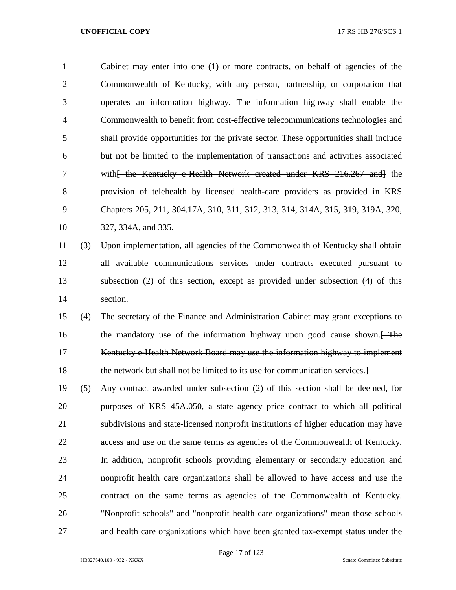Cabinet may enter into one (1) or more contracts, on behalf of agencies of the Commonwealth of Kentucky, with any person, partnership, or corporation that operates an information highway. The information highway shall enable the Commonwealth to benefit from cost-effective telecommunications technologies and shall provide opportunities for the private sector. These opportunities shall include but not be limited to the implementation of transactions and activities associated 7 with<del>[ the Kentucky e-Health Network created under KRS 216.267 and]</del> the provision of telehealth by licensed health-care providers as provided in KRS Chapters 205, 211, 304.17A, 310, 311, 312, 313, 314, 314A, 315, 319, 319A, 320, 327, 334A, and 335.

# (3) Upon implementation, all agencies of the Commonwealth of Kentucky shall obtain all available communications services under contracts executed pursuant to subsection (2) of this section, except as provided under subsection (4) of this section.

 (4) The secretary of the Finance and Administration Cabinet may grant exceptions to 16 the mandatory use of the information highway upon good cause shown. Kentucky e-Health Network Board may use the information highway to implement 18 the network but shall not be limited to its use for communication services.

 (5) Any contract awarded under subsection (2) of this section shall be deemed, for purposes of KRS 45A.050, a state agency price contract to which all political subdivisions and state-licensed nonprofit institutions of higher education may have access and use on the same terms as agencies of the Commonwealth of Kentucky. In addition, nonprofit schools providing elementary or secondary education and nonprofit health care organizations shall be allowed to have access and use the contract on the same terms as agencies of the Commonwealth of Kentucky. "Nonprofit schools" and "nonprofit health care organizations" mean those schools and health care organizations which have been granted tax-exempt status under the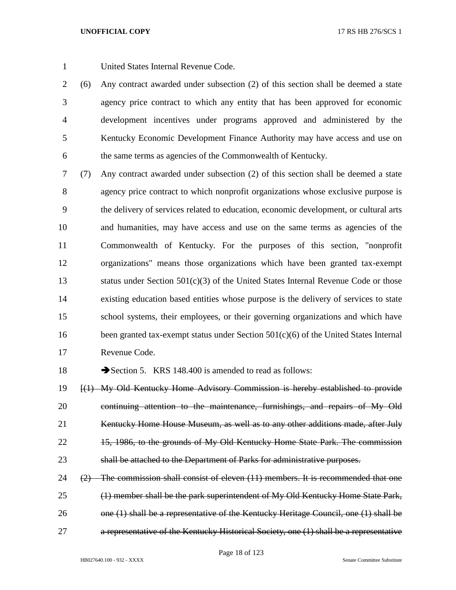United States Internal Revenue Code.

 (6) Any contract awarded under subsection (2) of this section shall be deemed a state agency price contract to which any entity that has been approved for economic development incentives under programs approved and administered by the Kentucky Economic Development Finance Authority may have access and use on the same terms as agencies of the Commonwealth of Kentucky.

 (7) Any contract awarded under subsection (2) of this section shall be deemed a state agency price contract to which nonprofit organizations whose exclusive purpose is the delivery of services related to education, economic development, or cultural arts and humanities, may have access and use on the same terms as agencies of the Commonwealth of Kentucky. For the purposes of this section, "nonprofit organizations" means those organizations which have been granted tax-exempt status under Section 501(c)(3) of the United States Internal Revenue Code or those existing education based entities whose purpose is the delivery of services to state school systems, their employees, or their governing organizations and which have 16 been granted tax-exempt status under Section 501(c)(6) of the United States Internal Revenue Code.

18 Section 5. KRS 148.400 is amended to read as follows:

 [(1) My Old Kentucky Home Advisory Commission is hereby established to provide continuing attention to the maintenance, furnishings, and repairs of My Old 21 Kentucky Home House Museum, as well as to any other additions made, after July 15, 1986, to the grounds of My Old Kentucky Home State Park. The commission shall be attached to the Department of Parks for administrative purposes.

 ( $2$ ) The commission shall consist of eleven  $(11)$  members. It is recommended that one (1) member shall be the park superintendent of My Old Kentucky Home State Park, 26 one (1) shall be a representative of the Kentucky Heritage Council, one (1) shall be a representative of the Kentucky Historical Society, one (1) shall be a representative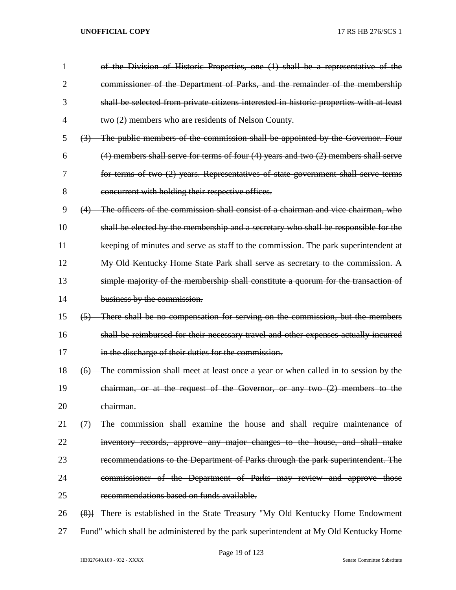| 1  |                    | of the Division of Historic Properties, one (1) shall be a representative of the          |
|----|--------------------|-------------------------------------------------------------------------------------------|
| 2  |                    | commissioner of the Department of Parks, and the remainder of the membership              |
| 3  |                    | shall be selected from private citizens interested in historic properties with at least   |
| 4  |                    | two (2) members who are residents of Nelson County.                                       |
| 5  |                    | (3) The public members of the commission shall be appointed by the Governor. Four         |
| 6  |                    | $(4)$ members shall serve for terms of four $(4)$ years and two $(2)$ members shall serve |
| 7  |                    | for terms of two (2) years. Representatives of state government shall serve terms         |
| 8  |                    | concurrent with holding their respective offices.                                         |
| 9  |                    | (4) The officers of the commission shall consist of a chairman and vice chairman, who     |
| 10 |                    | shall be elected by the membership and a secretary who shall be responsible for the       |
| 11 |                    | keeping of minutes and serve as staff to the commission. The park superintendent at       |
| 12 |                    | My Old Kentucky Home State Park shall serve as secretary to the commission. A             |
| 13 |                    | simple majority of the membership shall constitute a quorum for the transaction of        |
| 14 |                    | business by the commission.                                                               |
| 15 |                    | (5) There shall be no compensation for serving on the commission, but the members         |
| 16 |                    | shall be reimbursed for their necessary travel and other expenses actually incurred       |
| 17 |                    | in the discharge of their duties for the commission.                                      |
| 18 | $\left( 6 \right)$ | The commission shall meet at least once a year or when called in to session by the        |
| 19 |                    | chairman, or at the request of the Governor, or any two (2) members to the                |
| 20 |                    | <del>chairman.</del>                                                                      |
| 21 |                    | (7) The commission shall examine the house and shall require maintenance of               |
| 22 |                    | inventory records, approve any major changes to the house, and shall make                 |
| 23 |                    | recommendations to the Department of Parks through the park superintendent. The           |
| 24 |                    | commissioner of the Department of Parks may review and approve those                      |
| 25 |                    | recommendations based on funds available.                                                 |
| 26 |                    | (8) There is established in the State Treasury "My Old Kentucky Home Endowment            |
| 27 |                    | Fund" which shall be administered by the park superintendent at My Old Kentucky Home      |

Page 19 of 123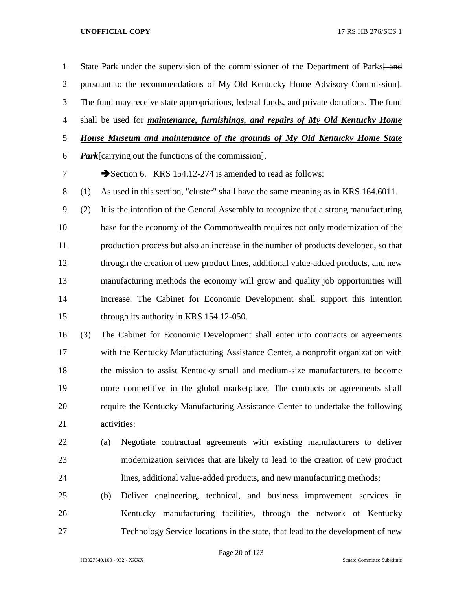1 State Park under the supervision of the commissioner of the Department of Parks—and pursuant to the recommendations of My Old Kentucky Home Advisory Commission]. The fund may receive state appropriations, federal funds, and private donations. The fund shall be used for *maintenance, furnishings, and repairs of My Old Kentucky Home House Museum and maintenance of the grounds of My Old Kentucky Home State Park*[carrying out the functions of the commission]. 7 Section 6. KRS 154.12-274 is amended to read as follows: (1) As used in this section, "cluster" shall have the same meaning as in KRS 164.6011. (2) It is the intention of the General Assembly to recognize that a strong manufacturing base for the economy of the Commonwealth requires not only modernization of the production process but also an increase in the number of products developed, so that through the creation of new product lines, additional value-added products, and new manufacturing methods the economy will grow and quality job opportunities will increase. The Cabinet for Economic Development shall support this intention 15 through its authority in KRS 154.12-050. (3) The Cabinet for Economic Development shall enter into contracts or agreements with the Kentucky Manufacturing Assistance Center, a nonprofit organization with the mission to assist Kentucky small and medium-size manufacturers to become more competitive in the global marketplace. The contracts or agreements shall require the Kentucky Manufacturing Assistance Center to undertake the following activities: (a) Negotiate contractual agreements with existing manufacturers to deliver modernization services that are likely to lead to the creation of new product lines, additional value-added products, and new manufacturing methods; (b) Deliver engineering, technical, and business improvement services in Kentucky manufacturing facilities, through the network of Kentucky Technology Service locations in the state, that lead to the development of new

Page 20 of 123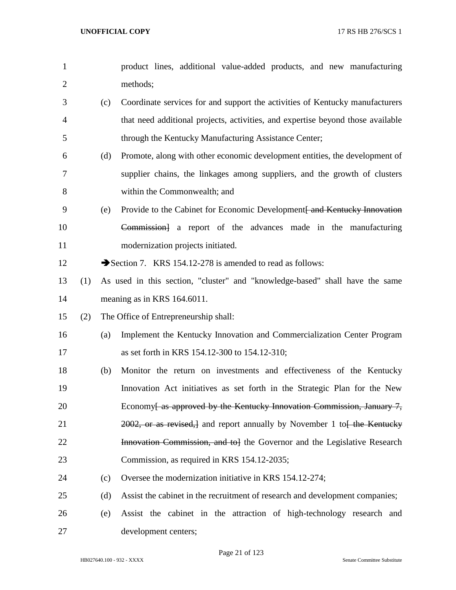| $\mathbf{1}$   |     |     | product lines, additional value-added products, and new manufacturing           |
|----------------|-----|-----|---------------------------------------------------------------------------------|
| $\overline{2}$ |     |     | methods;                                                                        |
| 3              |     | (c) | Coordinate services for and support the activities of Kentucky manufacturers    |
| $\overline{4}$ |     |     | that need additional projects, activities, and expertise beyond those available |
| 5              |     |     | through the Kentucky Manufacturing Assistance Center;                           |
| 6              |     | (d) | Promote, along with other economic development entities, the development of     |
| 7              |     |     | supplier chains, the linkages among suppliers, and the growth of clusters       |
| 8              |     |     | within the Commonwealth; and                                                    |
| 9              |     | (e) | Provide to the Cabinet for Economic Development and Kentucky Innovation         |
| 10             |     |     | Commission] a report of the advances made in the manufacturing                  |
| 11             |     |     | modernization projects initiated.                                               |
| 12             |     |     | Section 7. KRS 154.12-278 is amended to read as follows:                        |
| 13             | (1) |     | As used in this section, "cluster" and "knowledge-based" shall have the same    |
| 14             |     |     | meaning as in KRS 164.6011.                                                     |
| 15             | (2) |     | The Office of Entrepreneurship shall:                                           |
| 16             |     | (a) | Implement the Kentucky Innovation and Commercialization Center Program          |
| 17             |     |     | as set forth in KRS 154.12-300 to 154.12-310;                                   |
| 18             |     | (b) | Monitor the return on investments and effectiveness of the Kentucky             |
| 19             |     |     | Innovation Act initiatives as set forth in the Strategic Plan for the New       |
| 20             |     |     | Economy as approved by the Kentucky Innovation Commission, January $7$ ,        |
| 21             |     |     | 2002, or as revised, and report annually by November 1 to the Kentucky          |
| 22             |     |     | Innovation Commission, and to the Governor and the Legislative Research         |
| 23             |     |     | Commission, as required in KRS 154.12-2035;                                     |
| 24             |     | (c) | Oversee the modernization initiative in KRS 154.12-274;                         |
| 25             |     | (d) | Assist the cabinet in the recruitment of research and development companies;    |
| 26             |     | (e) | Assist the cabinet in the attraction of high-technology research and            |
| 27             |     |     | development centers;                                                            |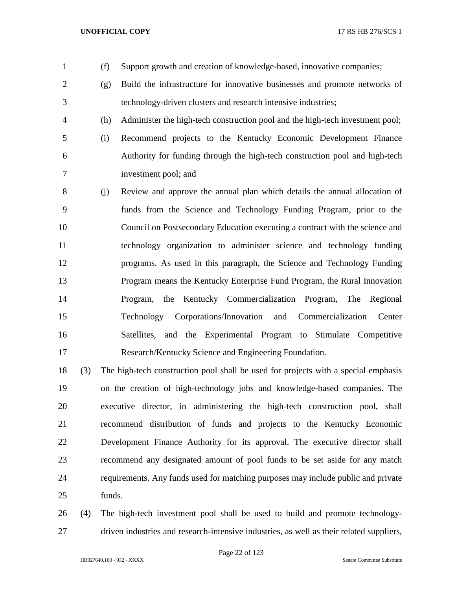- (f) Support growth and creation of knowledge-based, innovative companies;
- (g) Build the infrastructure for innovative businesses and promote networks of technology-driven clusters and research intensive industries;
- (h) Administer the high-tech construction pool and the high-tech investment pool;
- (i) Recommend projects to the Kentucky Economic Development Finance Authority for funding through the high-tech construction pool and high-tech investment pool; and
- (j) Review and approve the annual plan which details the annual allocation of funds from the Science and Technology Funding Program, prior to the Council on Postsecondary Education executing a contract with the science and technology organization to administer science and technology funding programs. As used in this paragraph, the Science and Technology Funding Program means the Kentucky Enterprise Fund Program, the Rural Innovation Program, the Kentucky Commercialization Program, The Regional Technology Corporations/Innovation and Commercialization Center Satellites, and the Experimental Program to Stimulate Competitive Research/Kentucky Science and Engineering Foundation.
- (3) The high-tech construction pool shall be used for projects with a special emphasis on the creation of high-technology jobs and knowledge-based companies. The executive director, in administering the high-tech construction pool, shall recommend distribution of funds and projects to the Kentucky Economic Development Finance Authority for its approval. The executive director shall recommend any designated amount of pool funds to be set aside for any match requirements. Any funds used for matching purposes may include public and private funds.
- (4) The high-tech investment pool shall be used to build and promote technology-driven industries and research-intensive industries, as well as their related suppliers,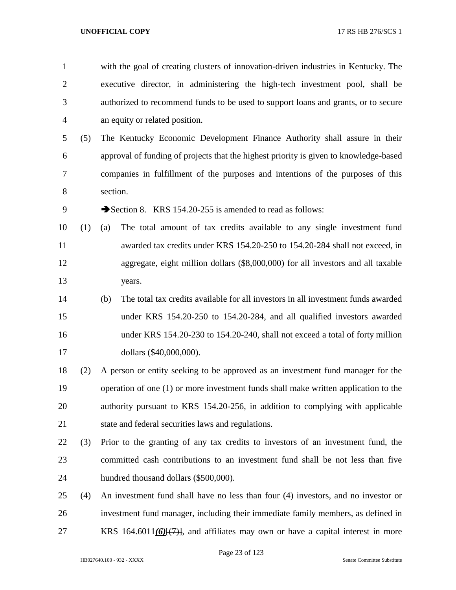with the goal of creating clusters of innovation-driven industries in Kentucky. The executive director, in administering the high-tech investment pool, shall be authorized to recommend funds to be used to support loans and grants, or to secure an equity or related position.

 (5) The Kentucky Economic Development Finance Authority shall assure in their approval of funding of projects that the highest priority is given to knowledge-based companies in fulfillment of the purposes and intentions of the purposes of this section.

9 Section 8. KRS 154.20-255 is amended to read as follows:

- (1) (a) The total amount of tax credits available to any single investment fund awarded tax credits under KRS 154.20-250 to 154.20-284 shall not exceed, in aggregate, eight million dollars (\$8,000,000) for all investors and all taxable years.
- (b) The total tax credits available for all investors in all investment funds awarded under KRS 154.20-250 to 154.20-284, and all qualified investors awarded under KRS 154.20-230 to 154.20-240, shall not exceed a total of forty million dollars (\$40,000,000).
- (2) A person or entity seeking to be approved as an investment fund manager for the operation of one (1) or more investment funds shall make written application to the authority pursuant to KRS 154.20-256, in addition to complying with applicable state and federal securities laws and regulations.
- (3) Prior to the granting of any tax credits to investors of an investment fund, the committed cash contributions to an investment fund shall be not less than five hundred thousand dollars (\$500,000).
- (4) An investment fund shall have no less than four (4) investors, and no investor or investment fund manager, including their immediate family members, as defined in KRS 164.6011*(6)*[(7)], and affiliates may own or have a capital interest in more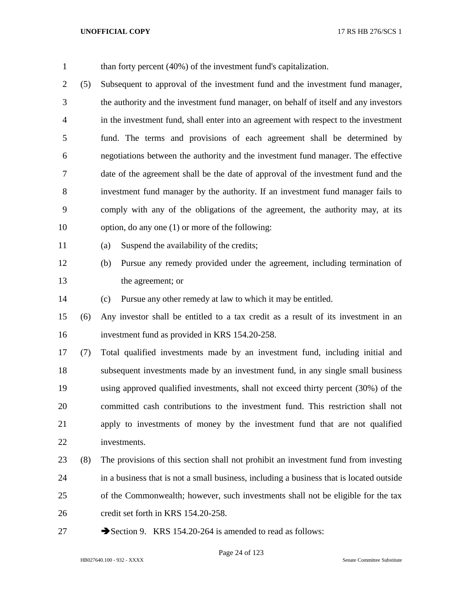| $\mathbf{1}$   |     | than forty percent $(40\%)$ of the investment fund's capitalization.                     |
|----------------|-----|------------------------------------------------------------------------------------------|
| $\overline{2}$ | (5) | Subsequent to approval of the investment fund and the investment fund manager,           |
| 3              |     | the authority and the investment fund manager, on behalf of itself and any investors     |
| 4              |     | in the investment fund, shall enter into an agreement with respect to the investment     |
| 5              |     | fund. The terms and provisions of each agreement shall be determined by                  |
| 6              |     | negotiations between the authority and the investment fund manager. The effective        |
| 7              |     | date of the agreement shall be the date of approval of the investment fund and the       |
| 8              |     | investment fund manager by the authority. If an investment fund manager fails to         |
| 9              |     | comply with any of the obligations of the agreement, the authority may, at its           |
| 10             |     | option, do any one (1) or more of the following:                                         |
| 11             |     | Suspend the availability of the credits;<br>(a)                                          |
| 12             |     | Pursue any remedy provided under the agreement, including termination of<br>(b)          |
| 13             |     | the agreement; or                                                                        |
| 14             |     | Pursue any other remedy at law to which it may be entitled.<br>(c)                       |
| 15             | (6) | Any investor shall be entitled to a tax credit as a result of its investment in an       |
| 16             |     | investment fund as provided in KRS 154.20-258.                                           |
| 17             | (7) | Total qualified investments made by an investment fund, including initial and            |
| 18             |     | subsequent investments made by an investment fund, in any single small business          |
| 19             |     | using approved qualified investments, shall not exceed thirty percent (30%) of the       |
| 20             |     | committed cash contributions to the investment fund. This restriction shall not          |
| 21             |     | apply to investments of money by the investment fund that are not qualified              |
| 22             |     | investments.                                                                             |
| 23             | (8) | The provisions of this section shall not prohibit an investment fund from investing      |
| 24             |     | in a business that is not a small business, including a business that is located outside |
| 25             |     | of the Commonwealth; however, such investments shall not be eligible for the tax         |
| 26             |     | credit set forth in KRS 154.20-258.                                                      |
| 27             |     | Section 9. KRS 154.20-264 is amended to read as follows:                                 |

Page 24 of 123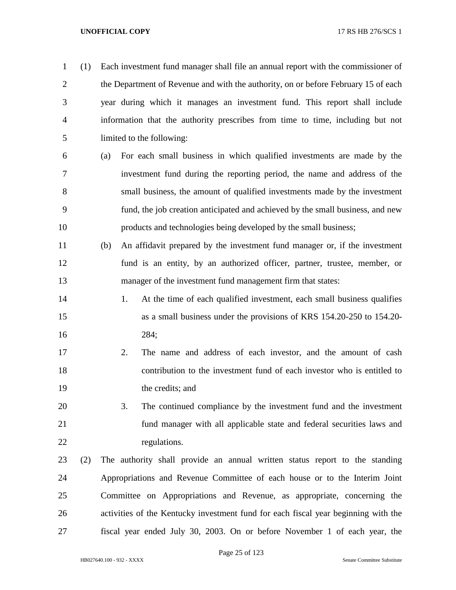(1) Each investment fund manager shall file an annual report with the commissioner of the Department of Revenue and with the authority, on or before February 15 of each year during which it manages an investment fund. This report shall include information that the authority prescribes from time to time, including but not limited to the following: (a) For each small business in which qualified investments are made by the investment fund during the reporting period, the name and address of the small business, the amount of qualified investments made by the investment fund, the job creation anticipated and achieved by the small business, and new products and technologies being developed by the small business; (b) An affidavit prepared by the investment fund manager or, if the investment fund is an entity, by an authorized officer, partner, trustee, member, or manager of the investment fund management firm that states: 14 1. At the time of each qualified investment, each small business qualifies as a small business under the provisions of KRS 154.20-250 to 154.20- 284; 2. The name and address of each investor, and the amount of cash contribution to the investment fund of each investor who is entitled to the credits; and 3. The continued compliance by the investment fund and the investment fund manager with all applicable state and federal securities laws and 22 regulations. (2) The authority shall provide an annual written status report to the standing Appropriations and Revenue Committee of each house or to the Interim Joint Committee on Appropriations and Revenue, as appropriate, concerning the activities of the Kentucky investment fund for each fiscal year beginning with the

fiscal year ended July 30, 2003. On or before November 1 of each year, the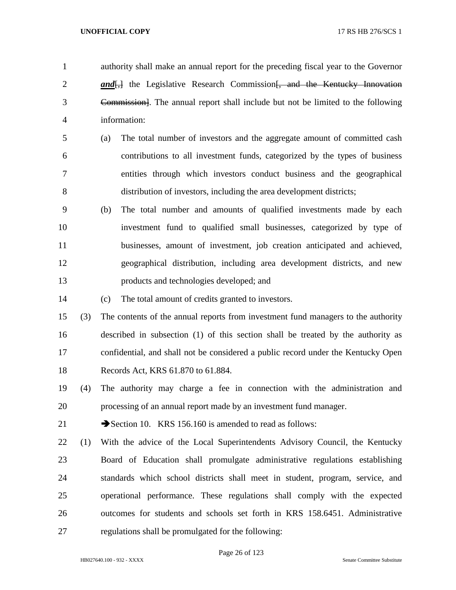authority shall make an annual report for the preceding fiscal year to the Governor **and**, the Legislative Research Commission, and the Kentucky Innovation Commission]. The annual report shall include but not be limited to the following information:

- (a) The total number of investors and the aggregate amount of committed cash contributions to all investment funds, categorized by the types of business entities through which investors conduct business and the geographical distribution of investors, including the area development districts;
- (b) The total number and amounts of qualified investments made by each investment fund to qualified small businesses, categorized by type of businesses, amount of investment, job creation anticipated and achieved, geographical distribution, including area development districts, and new products and technologies developed; and
- (c) The total amount of credits granted to investors.

 (3) The contents of the annual reports from investment fund managers to the authority described in subsection (1) of this section shall be treated by the authority as confidential, and shall not be considered a public record under the Kentucky Open Records Act, KRS 61.870 to 61.884.

 (4) The authority may charge a fee in connection with the administration and processing of an annual report made by an investment fund manager.

21 Section 10. KRS 156.160 is amended to read as follows:

 (1) With the advice of the Local Superintendents Advisory Council, the Kentucky Board of Education shall promulgate administrative regulations establishing standards which school districts shall meet in student, program, service, and operational performance. These regulations shall comply with the expected outcomes for students and schools set forth in KRS 158.6451. Administrative regulations shall be promulgated for the following: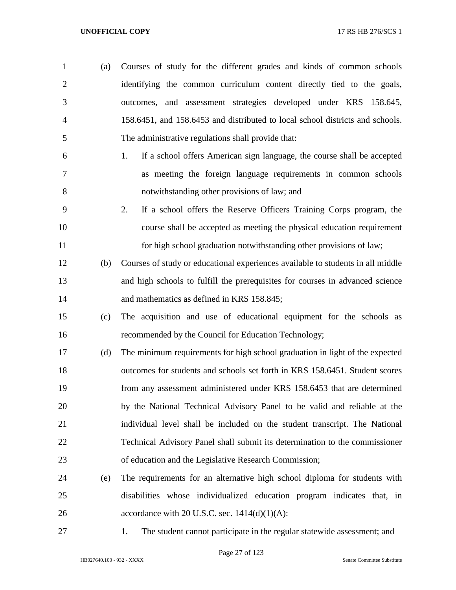- (a) Courses of study for the different grades and kinds of common schools identifying the common curriculum content directly tied to the goals, outcomes, and assessment strategies developed under KRS 158.645, 158.6451, and 158.6453 and distributed to local school districts and schools. The administrative regulations shall provide that:
- 1. If a school offers American sign language, the course shall be accepted as meeting the foreign language requirements in common schools notwithstanding other provisions of law; and
- 2. If a school offers the Reserve Officers Training Corps program, the course shall be accepted as meeting the physical education requirement for high school graduation notwithstanding other provisions of law;
- (b) Courses of study or educational experiences available to students in all middle and high schools to fulfill the prerequisites for courses in advanced science and mathematics as defined in KRS 158.845;
- (c) The acquisition and use of educational equipment for the schools as recommended by the Council for Education Technology;
- (d) The minimum requirements for high school graduation in light of the expected outcomes for students and schools set forth in KRS 158.6451. Student scores from any assessment administered under KRS 158.6453 that are determined by the National Technical Advisory Panel to be valid and reliable at the individual level shall be included on the student transcript. The National Technical Advisory Panel shall submit its determination to the commissioner of education and the Legislative Research Commission;
- (e) The requirements for an alternative high school diploma for students with disabilities whose individualized education program indicates that, in 26 accordance with 20 U.S.C. sec.  $1414(d)(1)(A)$ :
- 

1. The student cannot participate in the regular statewide assessment; and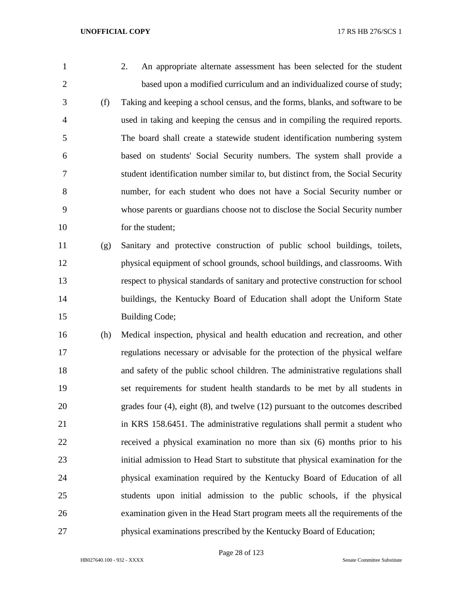2. An appropriate alternate assessment has been selected for the student based upon a modified curriculum and an individualized course of study; (f) Taking and keeping a school census, and the forms, blanks, and software to be used in taking and keeping the census and in compiling the required reports. The board shall create a statewide student identification numbering system based on students' Social Security numbers. The system shall provide a student identification number similar to, but distinct from, the Social Security number, for each student who does not have a Social Security number or whose parents or guardians choose not to disclose the Social Security number 10 for the student;

 (g) Sanitary and protective construction of public school buildings, toilets, physical equipment of school grounds, school buildings, and classrooms. With respect to physical standards of sanitary and protective construction for school buildings, the Kentucky Board of Education shall adopt the Uniform State 15 Building Code;

 (h) Medical inspection, physical and health education and recreation, and other regulations necessary or advisable for the protection of the physical welfare and safety of the public school children. The administrative regulations shall set requirements for student health standards to be met by all students in grades four (4), eight (8), and twelve (12) pursuant to the outcomes described in KRS 158.6451. The administrative regulations shall permit a student who received a physical examination no more than six (6) months prior to his initial admission to Head Start to substitute that physical examination for the physical examination required by the Kentucky Board of Education of all students upon initial admission to the public schools, if the physical examination given in the Head Start program meets all the requirements of the physical examinations prescribed by the Kentucky Board of Education;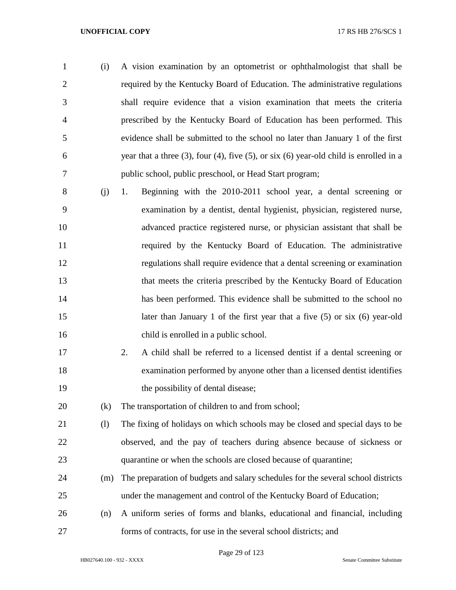- (i) A vision examination by an optometrist or ophthalmologist that shall be required by the Kentucky Board of Education. The administrative regulations shall require evidence that a vision examination that meets the criteria prescribed by the Kentucky Board of Education has been performed. This evidence shall be submitted to the school no later than January 1 of the first year that a three (3), four (4), five (5), or six (6) year-old child is enrolled in a public school, public preschool, or Head Start program;
- (j) 1. Beginning with the 2010-2011 school year, a dental screening or examination by a dentist, dental hygienist, physician, registered nurse, advanced practice registered nurse, or physician assistant that shall be required by the Kentucky Board of Education. The administrative regulations shall require evidence that a dental screening or examination that meets the criteria prescribed by the Kentucky Board of Education has been performed. This evidence shall be submitted to the school no later than January 1 of the first year that a five (5) or six (6) year-old child is enrolled in a public school.
- 2. A child shall be referred to a licensed dentist if a dental screening or examination performed by anyone other than a licensed dentist identifies 19 the possibility of dental disease;

(k) The transportation of children to and from school;

- (l) The fixing of holidays on which schools may be closed and special days to be observed, and the pay of teachers during absence because of sickness or quarantine or when the schools are closed because of quarantine;
- (m) The preparation of budgets and salary schedules for the several school districts under the management and control of the Kentucky Board of Education;
- (n) A uniform series of forms and blanks, educational and financial, including forms of contracts, for use in the several school districts; and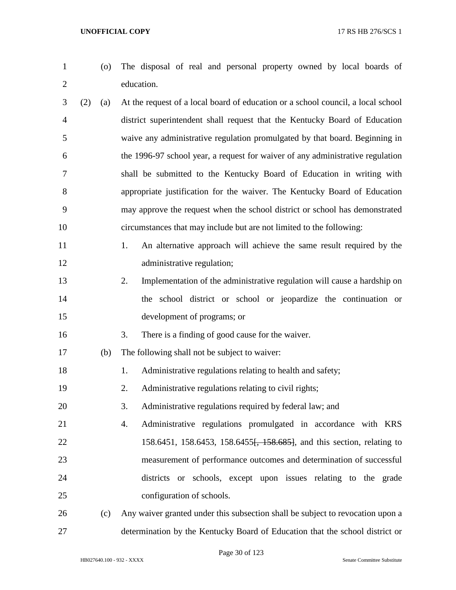- 
- (o) The disposal of real and personal property owned by local boards of education.
- (2) (a) At the request of a local board of education or a school council, a local school district superintendent shall request that the Kentucky Board of Education waive any administrative regulation promulgated by that board. Beginning in the 1996-97 school year, a request for waiver of any administrative regulation shall be submitted to the Kentucky Board of Education in writing with appropriate justification for the waiver. The Kentucky Board of Education may approve the request when the school district or school has demonstrated circumstances that may include but are not limited to the following:
- 11 1. An alternative approach will achieve the same result required by the 12 administrative regulation;
- 2. Implementation of the administrative regulation will cause a hardship on the school district or school or jeopardize the continuation or development of programs; or
- 3. There is a finding of good cause for the waiver.
- (b) The following shall not be subject to waiver:
- 18 1. Administrative regulations relating to health and safety;
- 2. Administrative regulations relating to civil rights;
- 3. Administrative regulations required by federal law; and
- 4. Administrative regulations promulgated in accordance with KRS 22 158.6451, 158.6453, 158.6455<del>, 158.685]</del>, and this section, relating to measurement of performance outcomes and determination of successful districts or schools, except upon issues relating to the grade configuration of schools.
- (c) Any waiver granted under this subsection shall be subject to revocation upon a determination by the Kentucky Board of Education that the school district or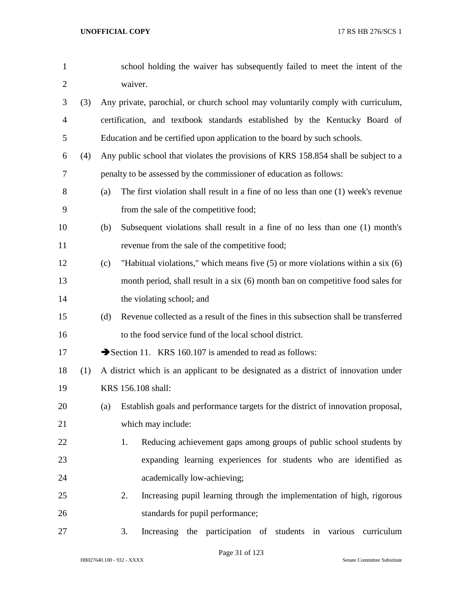| $\mathbf{1}$   |     |     | school holding the waiver has subsequently failed to meet the intent of the         |
|----------------|-----|-----|-------------------------------------------------------------------------------------|
| $\overline{2}$ |     |     | waiver.                                                                             |
| 3              | (3) |     | Any private, parochial, or church school may voluntarily comply with curriculum,    |
| 4              |     |     | certification, and textbook standards established by the Kentucky Board of          |
| 5              |     |     | Education and be certified upon application to the board by such schools.           |
| 6              | (4) |     | Any public school that violates the provisions of KRS 158.854 shall be subject to a |
| 7              |     |     | penalty to be assessed by the commissioner of education as follows:                 |
| 8              |     | (a) | The first violation shall result in a fine of no less than one (1) week's revenue   |
| 9              |     |     | from the sale of the competitive food;                                              |
| 10             |     | (b) | Subsequent violations shall result in a fine of no less than one (1) month's        |
| 11             |     |     | revenue from the sale of the competitive food;                                      |
| 12             |     | (c) | "Habitual violations," which means five $(5)$ or more violations within a six $(6)$ |
| 13             |     |     | month period, shall result in a six (6) month ban on competitive food sales for     |
| 14             |     |     | the violating school; and                                                           |
| 15             |     | (d) | Revenue collected as a result of the fines in this subsection shall be transferred  |
| 16             |     |     | to the food service fund of the local school district.                              |
| 17             |     |     | Section 11. KRS 160.107 is amended to read as follows:                              |
| 18             | (1) |     | A district which is an applicant to be designated as a district of innovation under |
| 19             |     |     | KRS 156.108 shall:                                                                  |
| 20             |     | (a) | Establish goals and performance targets for the district of innovation proposal,    |
| 21             |     |     | which may include:                                                                  |
| 22             |     |     | Reducing achievement gaps among groups of public school students by<br>1.           |
| 23             |     |     | expanding learning experiences for students who are identified as                   |
| 24             |     |     | academically low-achieving;                                                         |
| 25             |     |     | 2.<br>Increasing pupil learning through the implementation of high, rigorous        |
| 26             |     |     | standards for pupil performance;                                                    |
| 27             |     |     | Increasing the participation of students in various<br>3.<br>curriculum             |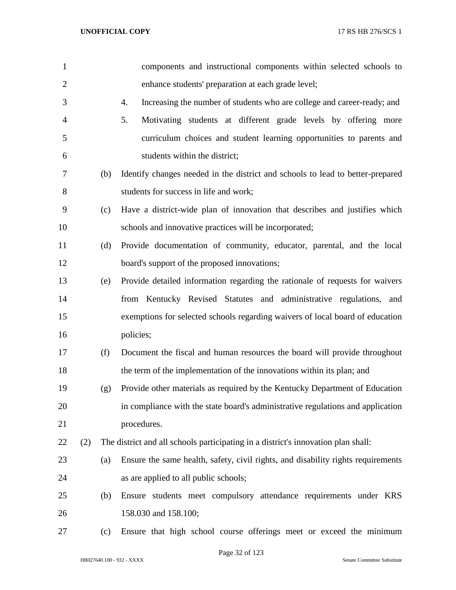| $\mathbf{1}$   |     |     | components and instructional components within selected schools to                |
|----------------|-----|-----|-----------------------------------------------------------------------------------|
| $\overline{2}$ |     |     | enhance students' preparation at each grade level;                                |
| 3              |     |     | Increasing the number of students who are college and career-ready; and<br>4.     |
| $\overline{4}$ |     |     | Motivating students at different grade levels by offering more<br>5.              |
| 5              |     |     | curriculum choices and student learning opportunities to parents and              |
| 6              |     |     | students within the district;                                                     |
| 7              |     | (b) | Identify changes needed in the district and schools to lead to better-prepared    |
| 8              |     |     | students for success in life and work;                                            |
| 9              |     | (c) | Have a district-wide plan of innovation that describes and justifies which        |
| 10             |     |     | schools and innovative practices will be incorporated;                            |
| 11             |     | (d) | Provide documentation of community, educator, parental, and the local             |
| 12             |     |     | board's support of the proposed innovations;                                      |
| 13             |     | (e) | Provide detailed information regarding the rationale of requests for waivers      |
| 14             |     |     | from Kentucky Revised Statutes and administrative regulations, and                |
| 15             |     |     | exemptions for selected schools regarding waivers of local board of education     |
| 16             |     |     | policies;                                                                         |
| 17             |     | (f) | Document the fiscal and human resources the board will provide throughout         |
| 18             |     |     | the term of the implementation of the innovations within its plan; and            |
| 19             |     | (g) | Provide other materials as required by the Kentucky Department of Education       |
| 20             |     |     | in compliance with the state board's administrative regulations and application   |
| 21             |     |     | procedures.                                                                       |
| 22             | (2) |     | The district and all schools participating in a district's innovation plan shall: |
| 23             |     | (a) | Ensure the same health, safety, civil rights, and disability rights requirements  |
| 24             |     |     | as are applied to all public schools;                                             |
| 25             |     | (b) | Ensure students meet compulsory attendance requirements under KRS                 |
| 26             |     |     | 158.030 and 158.100;                                                              |
| 27             |     | (c) | Ensure that high school course offerings meet or exceed the minimum               |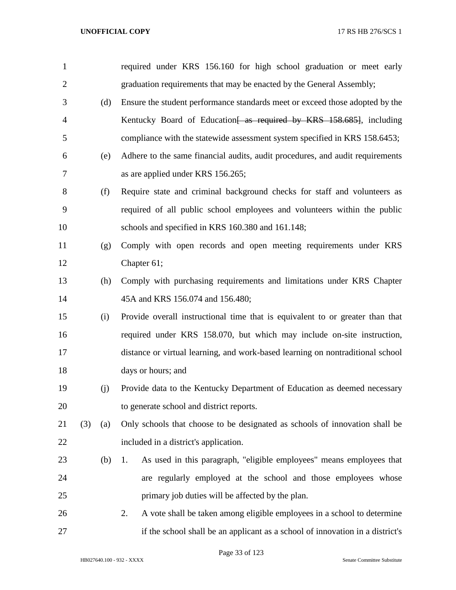| $\mathbf{1}$   |     |     | required under KRS 156.160 for high school graduation or meet early            |
|----------------|-----|-----|--------------------------------------------------------------------------------|
| $\overline{2}$ |     |     | graduation requirements that may be enacted by the General Assembly;           |
| 3              |     | (d) | Ensure the student performance standards meet or exceed those adopted by the   |
| 4              |     |     | Kentucky Board of Education as required by KRS 158.685, including              |
| 5              |     |     | compliance with the statewide assessment system specified in KRS 158.6453;     |
| 6              |     | (e) | Adhere to the same financial audits, audit procedures, and audit requirements  |
| 7              |     |     | as are applied under KRS 156.265;                                              |
| 8              |     | (f) | Require state and criminal background checks for staff and volunteers as       |
| 9              |     |     | required of all public school employees and volunteers within the public       |
| 10             |     |     | schools and specified in KRS 160.380 and 161.148;                              |
| 11             |     | (g) | Comply with open records and open meeting requirements under KRS               |
| 12             |     |     | Chapter 61;                                                                    |
| 13             |     | (h) | Comply with purchasing requirements and limitations under KRS Chapter          |
| 14             |     |     | 45A and KRS 156.074 and 156.480;                                               |
| 15             |     | (i) | Provide overall instructional time that is equivalent to or greater than that  |
| 16             |     |     | required under KRS 158.070, but which may include on-site instruction,         |
| 17             |     |     | distance or virtual learning, and work-based learning on nontraditional school |
| 18             |     |     | days or hours; and                                                             |
| 19             |     | (j) | Provide data to the Kentucky Department of Education as deemed necessary       |
| 20             |     |     | to generate school and district reports.                                       |
| 21             | (3) | (a) | Only schools that choose to be designated as schools of innovation shall be    |
| 22             |     |     | included in a district's application.                                          |
| 23             |     | (b) | As used in this paragraph, "eligible employees" means employees that<br>1.     |
| 24             |     |     | are regularly employed at the school and those employees whose                 |
| 25             |     |     | primary job duties will be affected by the plan.                               |
| 26             |     |     | 2.<br>A vote shall be taken among eligible employees in a school to determine  |
| 27             |     |     | if the school shall be an applicant as a school of innovation in a district's  |

Page 33 of 123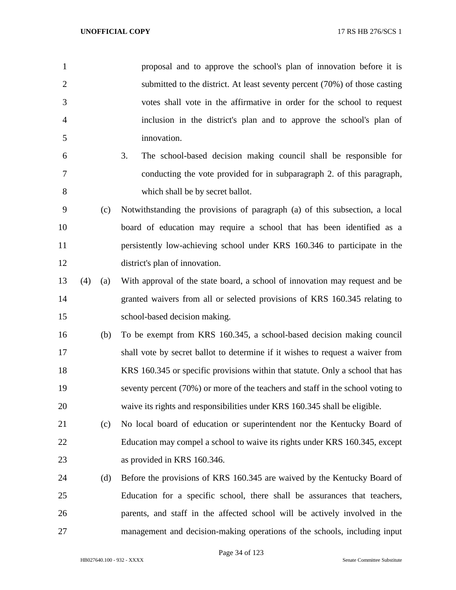| 1              |     |     | proposal and to approve the school's plan of innovation before it is            |
|----------------|-----|-----|---------------------------------------------------------------------------------|
| $\overline{2}$ |     |     | submitted to the district. At least seventy percent (70%) of those casting      |
| 3              |     |     | votes shall vote in the affirmative in order for the school to request          |
| $\overline{4}$ |     |     | inclusion in the district's plan and to approve the school's plan of            |
| 5              |     |     | innovation.                                                                     |
| 6              |     |     | 3.<br>The school-based decision making council shall be responsible for         |
| 7              |     |     | conducting the vote provided for in subparagraph 2. of this paragraph,          |
| 8              |     |     | which shall be by secret ballot.                                                |
| 9              |     | (c) | Notwithstanding the provisions of paragraph (a) of this subsection, a local     |
| 10             |     |     | board of education may require a school that has been identified as a           |
| 11             |     |     | persistently low-achieving school under KRS 160.346 to participate in the       |
| 12             |     |     | district's plan of innovation.                                                  |
| 13             | (4) | (a) | With approval of the state board, a school of innovation may request and be     |
| 14             |     |     | granted waivers from all or selected provisions of KRS 160.345 relating to      |
| 15             |     |     | school-based decision making.                                                   |
| 16             |     | (b) | To be exempt from KRS 160.345, a school-based decision making council           |
| 17             |     |     | shall vote by secret ballot to determine if it wishes to request a waiver from  |
| 18             |     |     | KRS 160.345 or specific provisions within that statute. Only a school that has  |
| 19             |     |     | seventy percent (70%) or more of the teachers and staff in the school voting to |
| 20             |     |     | waive its rights and responsibilities under KRS 160.345 shall be eligible.      |
| 21             |     | (c) | No local board of education or superintendent nor the Kentucky Board of         |
| 22             |     |     | Education may compel a school to waive its rights under KRS 160.345, except     |
| 23             |     |     | as provided in KRS 160.346.                                                     |
| 24             |     | (d) | Before the provisions of KRS 160.345 are waived by the Kentucky Board of        |
| 25             |     |     | Education for a specific school, there shall be assurances that teachers,       |
| 26             |     |     | parents, and staff in the affected school will be actively involved in the      |
| 27             |     |     | management and decision-making operations of the schools, including input       |

Page 34 of 123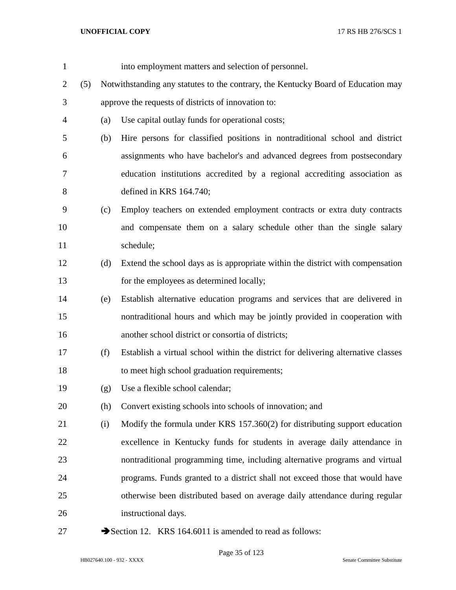| $\mathbf{1}$   |     |     | into employment matters and selection of personnel.                               |
|----------------|-----|-----|-----------------------------------------------------------------------------------|
| $\overline{2}$ | (5) |     | Notwithstanding any statutes to the contrary, the Kentucky Board of Education may |
| 3              |     |     | approve the requests of districts of innovation to:                               |
| $\overline{4}$ |     | (a) | Use capital outlay funds for operational costs;                                   |
| 5              |     | (b) | Hire persons for classified positions in nontraditional school and district       |
| 6              |     |     | assignments who have bachelor's and advanced degrees from postsecondary           |
| 7              |     |     | education institutions accredited by a regional accrediting association as        |
| 8              |     |     | defined in KRS 164.740;                                                           |
| 9              |     | (c) | Employ teachers on extended employment contracts or extra duty contracts          |
| 10             |     |     | and compensate them on a salary schedule other than the single salary             |
| 11             |     |     | schedule;                                                                         |
| 12             |     | (d) | Extend the school days as is appropriate within the district with compensation    |
| 13             |     |     | for the employees as determined locally;                                          |
| 14             |     | (e) | Establish alternative education programs and services that are delivered in       |
| 15             |     |     | nontraditional hours and which may be jointly provided in cooperation with        |
| 16             |     |     | another school district or consortia of districts;                                |
| 17             |     | (f) | Establish a virtual school within the district for delivering alternative classes |
| 18             |     |     | to meet high school graduation requirements;                                      |
| 19             |     | (g) | Use a flexible school calendar;                                                   |
| 20             |     | (h) | Convert existing schools into schools of innovation; and                          |
| 21             |     | (i) | Modify the formula under KRS 157.360(2) for distributing support education        |
| 22             |     |     | excellence in Kentucky funds for students in average daily attendance in          |
| 23             |     |     | nontraditional programming time, including alternative programs and virtual       |
| 24             |     |     | programs. Funds granted to a district shall not exceed those that would have      |
| 25             |     |     | otherwise been distributed based on average daily attendance during regular       |
| 26             |     |     | instructional days.                                                               |
| 27             |     |     | Section 12. KRS 164.6011 is amended to read as follows:                           |

HB027640.100 - 932 - XXXX Senate Committee Substitute

Page 35 of 123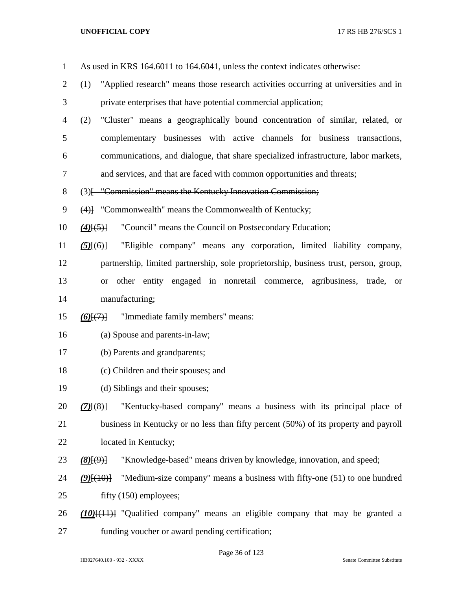| $\mathbf{1}$   | As used in KRS 164.6011 to 164.6041, unless the context indicates otherwise:               |
|----------------|--------------------------------------------------------------------------------------------|
| $\overline{2}$ | "Applied research" means those research activities occurring at universities and in<br>(1) |
| 3              | private enterprises that have potential commercial application;                            |
| $\overline{4}$ | "Cluster" means a geographically bound concentration of similar, related, or<br>(2)        |
| 5              | complementary businesses with active channels for business transactions,                   |
| 6              | communications, and dialogue, that share specialized infrastructure, labor markets,        |
| 7              | and services, and that are faced with common opportunities and threats;                    |
| $8\,$          | (3) [ "Commission" means the Kentucky Innovation Commission;                               |
| 9              | (4)] "Commonwealth" means the Commonwealth of Kentucky;                                    |
| 10             | "Council" means the Council on Postsecondary Education;<br>$(4)$ [ $(5)$ ]                 |
| 11             | "Eligible company" means any corporation, limited liability company,<br>$(5)$ [(6)]        |
| 12             | partnership, limited partnership, sole proprietorship, business trust, person, group,      |
| 13             | other entity engaged in nonretail commerce, agribusiness, trade,<br><b>or</b><br><b>or</b> |
| 14             | manufacturing;                                                                             |
| 15             | "Immediate family members" means:<br>$(6)$ $(7)$                                           |
| 16             | (a) Spouse and parents-in-law;                                                             |
| 17             | (b) Parents and grandparents;                                                              |
| 18             | (c) Children and their spouses; and                                                        |
| 19             | (d) Siblings and their spouses;                                                            |
| 20             | "Kentucky-based company" means a business with its principal place of<br>$(7)$ $(8)$ }     |
| 21             | business in Kentucky or no less than fifty percent (50%) of its property and payroll       |
| 22             | located in Kentucky;                                                                       |
| 23             | "Knowledge-based" means driven by knowledge, innovation, and speed;<br>$(8)$ [ $(9)$ ]     |
| 24             | "Medium-size company" means a business with fifty-one (51) to one hundred<br>$(9)$ $(10)$  |
| 25             | fifty (150) employees;                                                                     |
| 26             | $(10)$ [ $(11)$ ] "Qualified company" means an eligible company that may be granted a      |
| 27             | funding voucher or award pending certification;                                            |

Page 36 of 123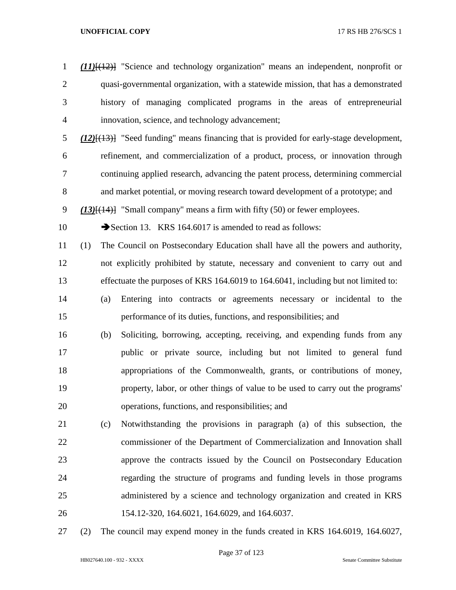- *(11)*[(12)] "Science and technology organization" means an independent, nonprofit or quasi-governmental organization, with a statewide mission, that has a demonstrated history of managing complicated programs in the areas of entrepreneurial innovation, science, and technology advancement; *(12)*[(13)] "Seed funding" means financing that is provided for early-stage development, refinement, and commercialization of a product, process, or innovation through continuing applied research, advancing the patent process, determining commercial and market potential, or moving research toward development of a prototype; and *(13)*[(14)] "Small company" means a firm with fifty (50) or fewer employees. 10 Section 13. KRS 164.6017 is amended to read as follows: (1) The Council on Postsecondary Education shall have all the powers and authority, not explicitly prohibited by statute, necessary and convenient to carry out and effectuate the purposes of KRS 164.6019 to 164.6041, including but not limited to: (a) Entering into contracts or agreements necessary or incidental to the performance of its duties, functions, and responsibilities; and (b) Soliciting, borrowing, accepting, receiving, and expending funds from any public or private source, including but not limited to general fund appropriations of the Commonwealth, grants, or contributions of money, property, labor, or other things of value to be used to carry out the programs' operations, functions, and responsibilities; and (c) Notwithstanding the provisions in paragraph (a) of this subsection, the commissioner of the Department of Commercialization and Innovation shall approve the contracts issued by the Council on Postsecondary Education regarding the structure of programs and funding levels in those programs administered by a science and technology organization and created in KRS 154.12-320, 164.6021, 164.6029, and 164.6037.
- (2) The council may expend money in the funds created in KRS 164.6019, 164.6027,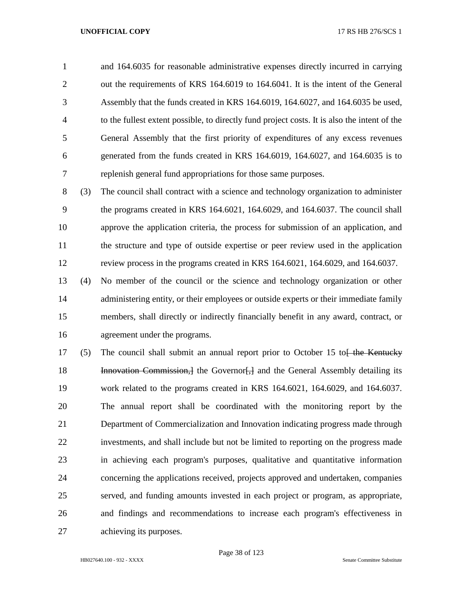and 164.6035 for reasonable administrative expenses directly incurred in carrying out the requirements of KRS 164.6019 to 164.6041. It is the intent of the General Assembly that the funds created in KRS 164.6019, 164.6027, and 164.6035 be used, to the fullest extent possible, to directly fund project costs. It is also the intent of the General Assembly that the first priority of expenditures of any excess revenues generated from the funds created in KRS 164.6019, 164.6027, and 164.6035 is to replenish general fund appropriations for those same purposes.

 (3) The council shall contract with a science and technology organization to administer the programs created in KRS 164.6021, 164.6029, and 164.6037. The council shall approve the application criteria, the process for submission of an application, and the structure and type of outside expertise or peer review used in the application review process in the programs created in KRS 164.6021, 164.6029, and 164.6037.

 (4) No member of the council or the science and technology organization or other 14 administering entity, or their employees or outside experts or their immediate family members, shall directly or indirectly financially benefit in any award, contract, or agreement under the programs.

17 (5) The council shall submit an annual report prior to October 15 to  $\frac{1}{16}$  the Kentucky **Innovation Commission,** I the Governor [, ] and the General Assembly detailing its work related to the programs created in KRS 164.6021, 164.6029, and 164.6037. The annual report shall be coordinated with the monitoring report by the Department of Commercialization and Innovation indicating progress made through investments, and shall include but not be limited to reporting on the progress made in achieving each program's purposes, qualitative and quantitative information concerning the applications received, projects approved and undertaken, companies served, and funding amounts invested in each project or program, as appropriate, and findings and recommendations to increase each program's effectiveness in achieving its purposes.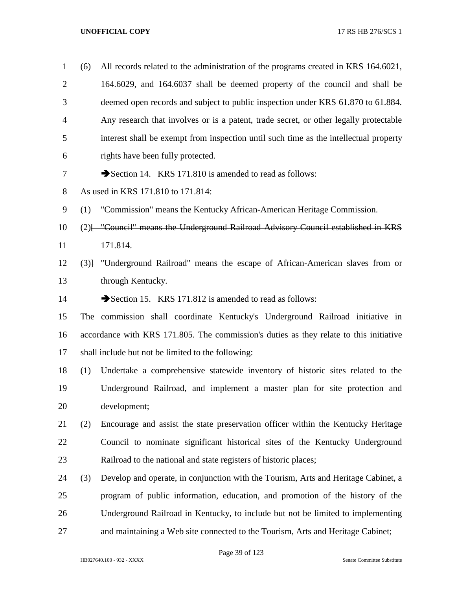| $\mathbf{1}$   | (6) | All records related to the administration of the programs created in KRS 164.6021,     |
|----------------|-----|----------------------------------------------------------------------------------------|
| $\overline{2}$ |     | 164.6029, and 164.6037 shall be deemed property of the council and shall be            |
| 3              |     | deemed open records and subject to public inspection under KRS 61.870 to 61.884.       |
| 4              |     | Any research that involves or is a patent, trade secret, or other legally protectable  |
| 5              |     | interest shall be exempt from inspection until such time as the intellectual property  |
| 6              |     | rights have been fully protected.                                                      |
| 7              |     | Section 14. KRS 171.810 is amended to read as follows:                                 |
| 8              |     | As used in KRS 171.810 to 171.814:                                                     |
| 9              | (1) | "Commission" means the Kentucky African-American Heritage Commission.                  |
| 10             |     | (2) [- "Council" means the Underground Railroad Advisory Council established in KRS    |
| 11             |     | 171.814.                                                                               |
| 12             |     | (3) "Underground Railroad" means the escape of African-American slaves from or         |
| 13             |     | through Kentucky.                                                                      |
| 14             |     | Section 15. KRS 171.812 is amended to read as follows:                                 |
| 15             |     | The commission shall coordinate Kentucky's Underground Railroad initiative in          |
| 16             |     | accordance with KRS 171.805. The commission's duties as they relate to this initiative |
| 17             |     | shall include but not be limited to the following:                                     |
| 18             | (1) | Undertake a comprehensive statewide inventory of historic sites related to the         |
| 19             |     | Underground Railroad, and implement a master plan for site protection and              |
| 20             |     | development;                                                                           |
| 21             | (2) | Encourage and assist the state preservation officer within the Kentucky Heritage       |
| 22             |     | Council to nominate significant historical sites of the Kentucky Underground           |
| 23             |     | Railroad to the national and state registers of historic places;                       |
| 24             | (3) | Develop and operate, in conjunction with the Tourism, Arts and Heritage Cabinet, a     |
| 25             |     | program of public information, education, and promotion of the history of the          |
| 26             |     | Underground Railroad in Kentucky, to include but not be limited to implementing        |
| 27             |     | and maintaining a Web site connected to the Tourism, Arts and Heritage Cabinet;        |

Page 39 of 123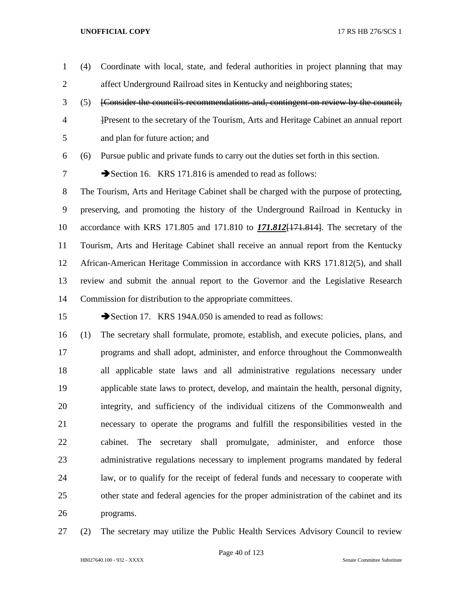- (4) Coordinate with local, state, and federal authorities in project planning that may affect Underground Railroad sites in Kentucky and neighboring states;
- (5) [Consider the council's recommendations and, contingent on review by the council, ]Present to the secretary of the Tourism, Arts and Heritage Cabinet an annual report and plan for future action; and

(6) Pursue public and private funds to carry out the duties set forth in this section.

7 Section 16. KRS 171.816 is amended to read as follows:

 The Tourism, Arts and Heritage Cabinet shall be charged with the purpose of protecting, preserving, and promoting the history of the Underground Railroad in Kentucky in accordance with KRS 171.805 and 171.810 to *171.812*[171.814]. The secretary of the Tourism, Arts and Heritage Cabinet shall receive an annual report from the Kentucky African-American Heritage Commission in accordance with KRS 171.812(5), and shall review and submit the annual report to the Governor and the Legislative Research Commission for distribution to the appropriate committees.

15 Section 17. KRS 194A.050 is amended to read as follows:

 (1) The secretary shall formulate, promote, establish, and execute policies, plans, and programs and shall adopt, administer, and enforce throughout the Commonwealth all applicable state laws and all administrative regulations necessary under applicable state laws to protect, develop, and maintain the health, personal dignity, integrity, and sufficiency of the individual citizens of the Commonwealth and necessary to operate the programs and fulfill the responsibilities vested in the cabinet. The secretary shall promulgate, administer, and enforce those administrative regulations necessary to implement programs mandated by federal law, or to qualify for the receipt of federal funds and necessary to cooperate with other state and federal agencies for the proper administration of the cabinet and its programs.

(2) The secretary may utilize the Public Health Services Advisory Council to review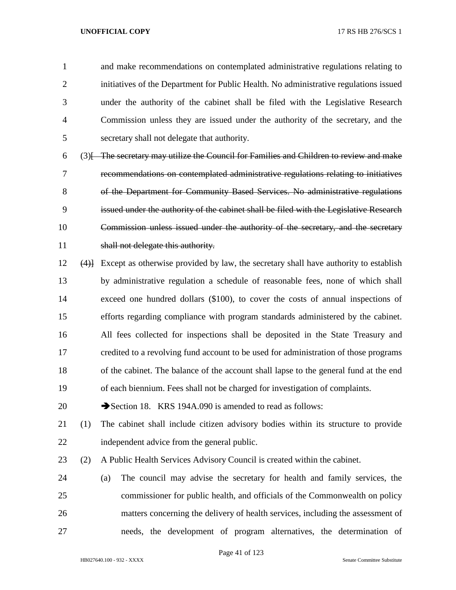and make recommendations on contemplated administrative regulations relating to initiatives of the Department for Public Health. No administrative regulations issued under the authority of the cabinet shall be filed with the Legislative Research Commission unless they are issued under the authority of the secretary, and the secretary shall not delegate that authority.

 (3)[ The secretary may utilize the Council for Families and Children to review and make recommendations on contemplated administrative regulations relating to initiatives of the Department for Community Based Services. No administrative regulations issued under the authority of the cabinet shall be filed with the Legislative Research Commission unless issued under the authority of the secretary, and the secretary 11 shall not delegate this authority.

 (4)] Except as otherwise provided by law, the secretary shall have authority to establish by administrative regulation a schedule of reasonable fees, none of which shall exceed one hundred dollars (\$100), to cover the costs of annual inspections of efforts regarding compliance with program standards administered by the cabinet. All fees collected for inspections shall be deposited in the State Treasury and credited to a revolving fund account to be used for administration of those programs of the cabinet. The balance of the account shall lapse to the general fund at the end of each biennium. Fees shall not be charged for investigation of complaints.

20 Section 18. KRS 194A.090 is amended to read as follows:

- (1) The cabinet shall include citizen advisory bodies within its structure to provide independent advice from the general public.
- (2) A Public Health Services Advisory Council is created within the cabinet.
- (a) The council may advise the secretary for health and family services, the commissioner for public health, and officials of the Commonwealth on policy matters concerning the delivery of health services, including the assessment of needs, the development of program alternatives, the determination of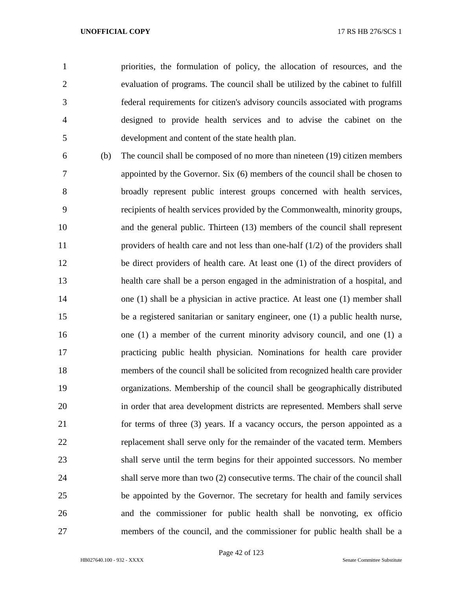priorities, the formulation of policy, the allocation of resources, and the evaluation of programs. The council shall be utilized by the cabinet to fulfill federal requirements for citizen's advisory councils associated with programs designed to provide health services and to advise the cabinet on the development and content of the state health plan.

 (b) The council shall be composed of no more than nineteen (19) citizen members appointed by the Governor. Six (6) members of the council shall be chosen to broadly represent public interest groups concerned with health services, recipients of health services provided by the Commonwealth, minority groups, and the general public. Thirteen (13) members of the council shall represent providers of health care and not less than one-half (1/2) of the providers shall be direct providers of health care. At least one (1) of the direct providers of health care shall be a person engaged in the administration of a hospital, and one (1) shall be a physician in active practice. At least one (1) member shall be a registered sanitarian or sanitary engineer, one (1) a public health nurse, one (1) a member of the current minority advisory council, and one (1) a practicing public health physician. Nominations for health care provider members of the council shall be solicited from recognized health care provider organizations. Membership of the council shall be geographically distributed in order that area development districts are represented. Members shall serve for terms of three (3) years. If a vacancy occurs, the person appointed as a replacement shall serve only for the remainder of the vacated term. Members shall serve until the term begins for their appointed successors. No member shall serve more than two (2) consecutive terms. The chair of the council shall be appointed by the Governor. The secretary for health and family services and the commissioner for public health shall be nonvoting, ex officio members of the council, and the commissioner for public health shall be a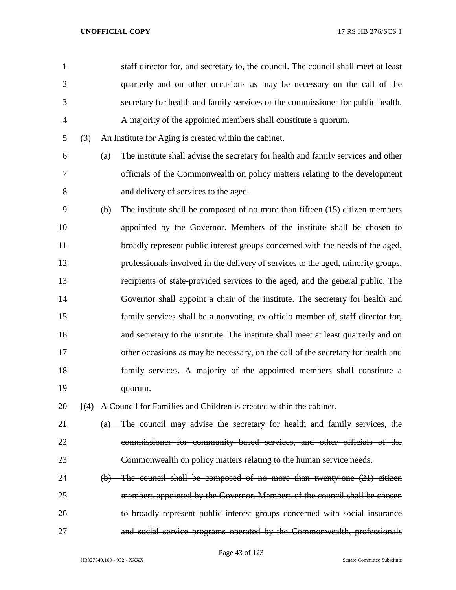|     |     | staff director for, and secretary to, the council. The council shall meet at least |
|-----|-----|------------------------------------------------------------------------------------|
|     |     | quarterly and on other occasions as may be necessary on the call of the            |
|     |     | secretary for health and family services or the commissioner for public health.    |
|     |     | A majority of the appointed members shall constitute a quorum.                     |
| (3) |     | An Institute for Aging is created within the cabinet.                              |
|     | (a) | The institute shall advise the secretary for health and family services and other  |
|     |     | officials of the Commonwealth on policy matters relating to the development        |
|     |     | and delivery of services to the aged.                                              |
|     | (b) | The institute shall be composed of no more than fifteen (15) citizen members       |
|     |     | appointed by the Governor. Members of the institute shall be chosen to             |
|     |     | broadly represent public interest groups concerned with the needs of the aged,     |
|     |     | professionals involved in the delivery of services to the aged, minority groups,   |
|     |     | recipients of state-provided services to the aged, and the general public. The     |
|     |     | Governor shall appoint a chair of the institute. The secretary for health and      |
|     |     | family services shall be a nonvoting, ex officio member of, staff director for,    |
|     |     | and secretary to the institute. The institute shall meet at least quarterly and on |
|     |     | other occasions as may be necessary, on the call of the secretary for health and   |
|     |     | family services. A majority of the appointed members shall constitute a            |
|     |     | quorum.                                                                            |
|     |     | [(4) A Council for Families and Children is created within the cabinet.            |
|     | (a) | The council may advise the secretary for health and family services, the           |
|     |     | commissioner for community based services, and other officials of the              |
|     |     | Commonwealth on policy matters relating to the human service needs.                |
|     |     | (b) The council shall be composed of no more than twenty-one (21) citizen          |
|     |     | members appointed by the Governor. Members of the council shall be chosen          |
|     |     | to broadly represent public interest groups concerned with social insurance        |
|     |     | and social service programs operated by the Commonwealth, professionals            |
|     |     |                                                                                    |

Page 43 of 123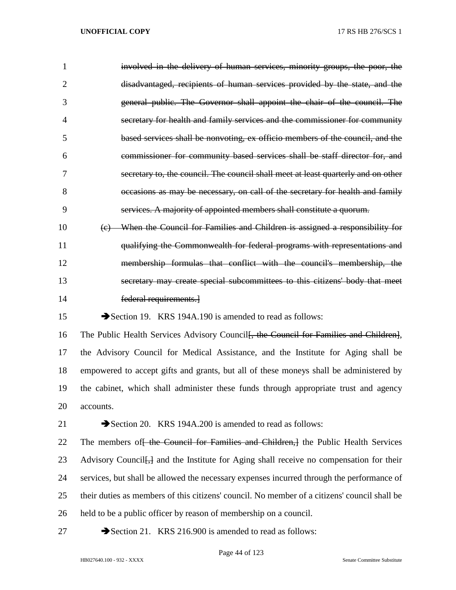| 1              | involved in the delivery of human services, minority groups, the poor, the                          |
|----------------|-----------------------------------------------------------------------------------------------------|
| $\overline{2}$ | disadvantaged, recipients of human services provided by the state, and the                          |
| 3              | general public. The Governor shall appoint the chair of the council. The                            |
| $\overline{4}$ | secretary for health and family services and the commissioner for community                         |
| 5              | based services shall be nonvoting, ex officio members of the council, and the                       |
| 6              | commissioner for community based services shall be staff director for, and                          |
| 7              | secretary to, the council. The council shall meet at least quarterly and on other                   |
| 8              | occasions as may be necessary, on call of the secretary for health and family                       |
| 9              | services. A majority of appointed members shall constitute a quorum.                                |
| 10             | When the Council for Families and Children is assigned a responsibility for<br>$\left( e\right)$    |
| 11             | qualifying the Commonwealth for federal programs with representations and                           |
| 12             | membership formulas that conflict with the council's membership, the                                |
| 13             | secretary may create special subcommittees to this citizens' body that meet                         |
| 14             | federal requirements.                                                                               |
| 15             | Section 19. KRS 194A.190 is amended to read as follows:                                             |
| 16             | The Public Health Services Advisory Council <del>[, the Council for Families and Children]</del> ,  |
| 17             | the Advisory Council for Medical Assistance, and the Institute for Aging shall be                   |
| 18             | empowered to accept gifts and grants, but all of these moneys shall be administered by              |
| 19             | the cabinet, which shall administer these funds through appropriate trust and agency                |
| 20             | accounts.                                                                                           |
| 21             | Section 20. KRS 194A.200 is amended to read as follows:                                             |
| 22             | The members of the Council for Families and Children, the Public Health Services                    |
| 23             | Advisory Council <del>[,]</del> and the Institute for Aging shall receive no compensation for their |
| 24             | services, but shall be allowed the necessary expenses incurred through the performance of           |

their duties as members of this citizens' council. No member of a citizens' council shall be

- held to be a public officer by reason of membership on a council.
- 

27 Section 21. KRS 216.900 is amended to read as follows: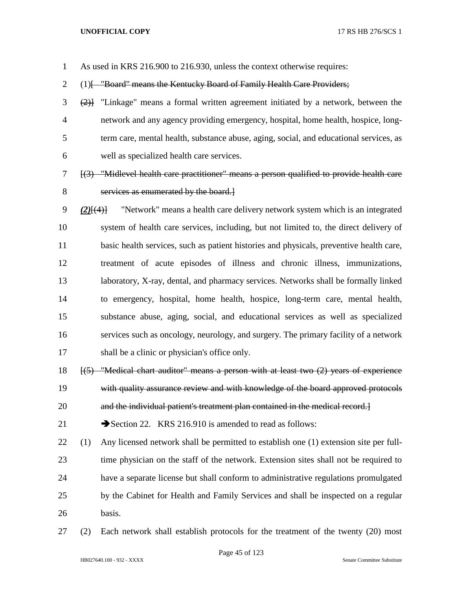As used in KRS 216.900 to 216.930, unless the context otherwise requires:

2 (1) [ "Board" means the Kentucky Board of Family Health Care Providers;

- (2)] "Linkage" means a formal written agreement initiated by a network, between the network and any agency providing emergency, hospital, home health, hospice, long- term care, mental health, substance abuse, aging, social, and educational services, as well as specialized health care services.
- [(3) "Midlevel health care practitioner" means a person qualified to provide health care services as enumerated by the board.]
- *(2)*[(4)] "Network" means a health care delivery network system which is an integrated system of health care services, including, but not limited to, the direct delivery of basic health services, such as patient histories and physicals, preventive health care, treatment of acute episodes of illness and chronic illness, immunizations, laboratory, X-ray, dental, and pharmacy services. Networks shall be formally linked to emergency, hospital, home health, hospice, long-term care, mental health, substance abuse, aging, social, and educational services as well as specialized services such as oncology, neurology, and surgery. The primary facility of a network shall be a clinic or physician's office only.
- [(5) "Medical chart auditor" means a person with at least two (2) years of experience with quality assurance review and with knowledge of the board approved protocols
- and the individual patient's treatment plan contained in the medical record.]

21 Section 22. KRS 216.910 is amended to read as follows:

- (1) Any licensed network shall be permitted to establish one (1) extension site per full- time physician on the staff of the network. Extension sites shall not be required to have a separate license but shall conform to administrative regulations promulgated by the Cabinet for Health and Family Services and shall be inspected on a regular basis.
- (2) Each network shall establish protocols for the treatment of the twenty (20) most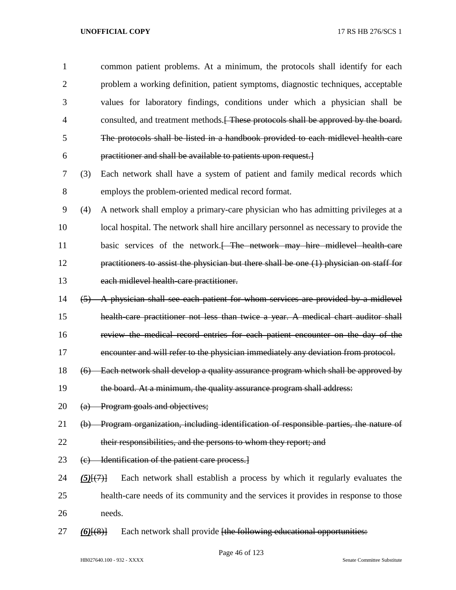| $\mathbf{1}$   |             | common patient problems. At a minimum, the protocols shall identify for each              |
|----------------|-------------|-------------------------------------------------------------------------------------------|
| $\overline{2}$ |             | problem a working definition, patient symptoms, diagnostic techniques, acceptable         |
| 3              |             | values for laboratory findings, conditions under which a physician shall be               |
| $\overline{4}$ |             | consulted, and treatment methods. These protocols shall be approved by the board.         |
| 5              |             | The protocols shall be listed in a handbook provided to each midlevel health-care         |
| 6              |             | practitioner and shall be available to patients upon request.                             |
| 7              | (3)         | Each network shall have a system of patient and family medical records which              |
| 8              |             | employs the problem-oriented medical record format.                                       |
| 9              | (4)         | A network shall employ a primary-care physician who has admitting privileges at a         |
| 10             |             | local hospital. The network shall hire ancillary personnel as necessary to provide the    |
| 11             |             | basic services of the network. <del> The network may hire midlevel health-care</del>      |
| 12             |             | practitioners to assist the physician but there shall be one $(1)$ physician on staff for |
| 13             |             | each midlevel health-care practitioner.                                                   |
| 14             |             | (5) A physician shall see each patient for whom services are provided by a midlevel       |
| 15             |             | health care practitioner not less than twice a year. A medical chart auditor shall        |
| 16             |             | review the medical record entries for each patient encounter on the day of the            |
| 17             |             | encounter and will refer to the physician immediately any deviation from protocol.        |
| 18             | (6)         | Each network shall develop a quality assurance program which shall be approved by         |
| 19             |             | the board. At a minimum, the quality assurance program shall address:                     |
| 20             |             | (a) Program goals and objectives;                                                         |
| 21             |             | (b) Program organization, including identification of responsible parties, the nature of  |
| 22             |             | their responsibilities, and the persons to whom they report; and                          |
| 23             |             | (c) Identification of the patient care process.                                           |
| 24             | $(5)$ $(7)$ | Each network shall establish a process by which it regularly evaluates the                |
| 25             |             | health-care needs of its community and the services it provides in response to those      |
| 26             |             | needs.                                                                                    |
| 27             | $(6)$ $(8)$ | Each network shall provide [the following educational opportunities:                      |
|                |             |                                                                                           |

Page 46 of 123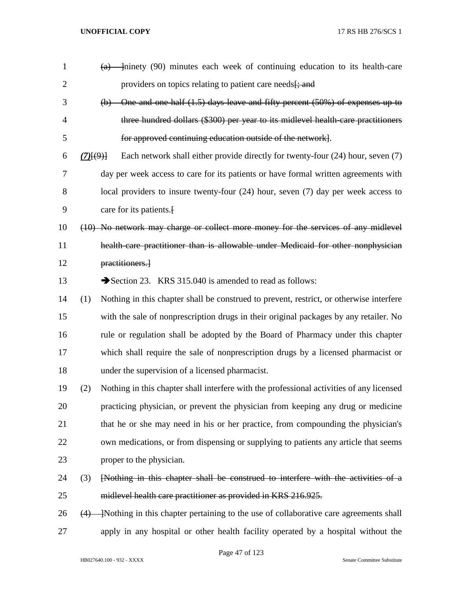| $\mathbf{1}$   |             | minety (90) minutes each week of continuing education to its health-care<br>$\left( a\right)$ |
|----------------|-------------|-----------------------------------------------------------------------------------------------|
| $\overline{2}$ |             | providers on topics relating to patient care needs <del>[; and</del>                          |
| 3              |             | One and one half (1.5) days leave and fifty percent (50%) of expenses up to<br>$\Theta$       |
| 4              |             | three hundred dollars (\$300) per year to its midlevel health care practitioners              |
| 5              |             | for approved continuing education outside of the network].                                    |
| 6              | $(7)$ $(9)$ | Each network shall either provide directly for twenty-four (24) hour, seven (7)               |
| 7              |             | day per week access to care for its patients or have formal written agreements with           |
| 8              |             | local providers to insure twenty-four $(24)$ hour, seven $(7)$ day per week access to         |
| 9              |             | care for its patients.                                                                        |
| 10             |             | (10) No network may charge or collect more money for the services of any midlevel             |
| 11             |             | health care practitioner than is allowable under Medicaid for other nonphysician              |
| 12             |             | practitioners.                                                                                |
| 13             |             | Section 23. KRS 315.040 is amended to read as follows:                                        |
| 14             | (1)         | Nothing in this chapter shall be construed to prevent, restrict, or otherwise interfere       |
| 15             |             | with the sale of nonprescription drugs in their original packages by any retailer. No         |
| 16             |             | rule or regulation shall be adopted by the Board of Pharmacy under this chapter               |
| 17             |             | which shall require the sale of nonprescription drugs by a licensed pharmacist or             |
| 18             |             | under the supervision of a licensed pharmacist.                                               |
| 19             | (2)         | Nothing in this chapter shall interfere with the professional activities of any licensed      |
| 20             |             | practicing physician, or prevent the physician from keeping any drug or medicine              |
| 21             |             | that he or she may need in his or her practice, from compounding the physician's              |
| 22             |             | own medications, or from dispensing or supplying to patients any article that seems           |
| 23             |             | proper to the physician.                                                                      |
| 24             | (3)         | [Nothing in this chapter shall be construed to interfere with the activities of a             |
| 25             |             | midlevel health care practitioner as provided in KRS 216.925.                                 |
| 26             | (4)         | -Nothing in this chapter pertaining to the use of collaborative care agreements shall         |
| 27             |             | apply in any hospital or other health facility operated by a hospital without the             |
|                |             |                                                                                               |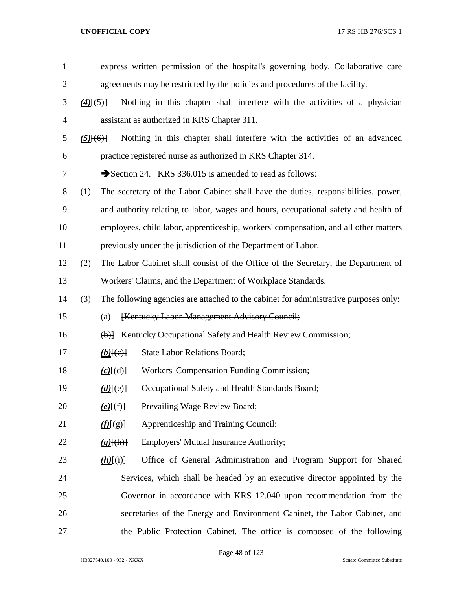| $\mathbf{1}$   | express written permission of the hospital's governing body. Collaborative care             |
|----------------|---------------------------------------------------------------------------------------------|
| $\overline{2}$ | agreements may be restricted by the policies and procedures of the facility.                |
| 3              | Nothing in this chapter shall interfere with the activities of a physician<br>$(4)$ $(5)$ } |
| 4              | assistant as authorized in KRS Chapter 311.                                                 |
| 5              | Nothing in this chapter shall interfere with the activities of an advanced<br>$(5)$ $(6)$   |
| 6              | practice registered nurse as authorized in KRS Chapter 314.                                 |
| 7              | Section 24. KRS 336.015 is amended to read as follows:                                      |
| 8              | (1)<br>The secretary of the Labor Cabinet shall have the duties, responsibilities, power,   |
| 9              | and authority relating to labor, wages and hours, occupational safety and health of         |
| 10             | employees, child labor, apprenticeship, workers' compensation, and all other matters        |
| 11             | previously under the jurisdiction of the Department of Labor.                               |
| 12             | (2)<br>The Labor Cabinet shall consist of the Office of the Secretary, the Department of    |
| 13             | Workers' Claims, and the Department of Workplace Standards.                                 |
| 14             | (3)<br>The following agencies are attached to the cabinet for administrative purposes only: |
| 15             | [Kentucky Labor-Management Advisory Council;<br>(a)                                         |
| 16             | (b)] Kentucky Occupational Safety and Health Review Commission;                             |
| 17             | <b>State Labor Relations Board;</b><br>$(b)$ [(e)]                                          |
| 18             | Workers' Compensation Funding Commission;<br>$(c)$ $(d)$                                    |
| 19             | Occupational Safety and Health Standards Board;<br>$(d)$ [(e)]                              |
| 20             | Prevailing Wage Review Board;<br>$(e)$ [(f)]                                                |
| 21             | Apprenticeship and Training Council;<br>$\langle f(f(g)) $                                  |
| 22             | <b>Employers' Mutual Insurance Authority;</b><br>$(g)$ [(h)]                                |
| 23             | Office of General Administration and Program Support for Shared<br>$(h)$ [(i)]              |
| 24             | Services, which shall be headed by an executive director appointed by the                   |
| 25             | Governor in accordance with KRS 12.040 upon recommendation from the                         |
| 26             | secretaries of the Energy and Environment Cabinet, the Labor Cabinet, and                   |
| 27             | the Public Protection Cabinet. The office is composed of the following                      |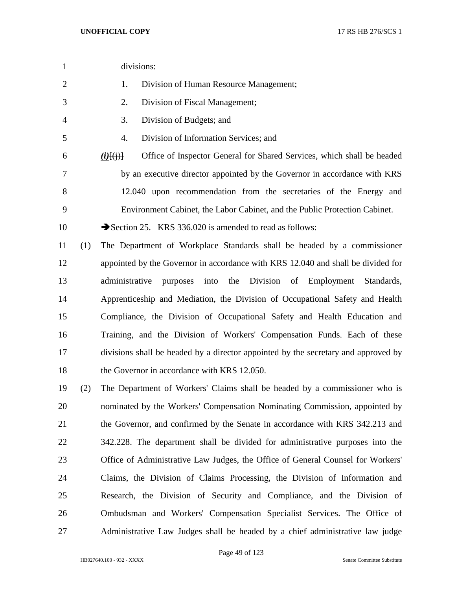| $\mathbf{1}$   |     | divisions:                                                                                       |
|----------------|-----|--------------------------------------------------------------------------------------------------|
| $\overline{2}$ |     | 1.<br>Division of Human Resource Management;                                                     |
| 3              |     | Division of Fiscal Management;<br>2.                                                             |
| $\overline{4}$ |     | Division of Budgets; and<br>3.                                                                   |
| 5              |     | Division of Information Services; and<br>4.                                                      |
| 6              |     | Office of Inspector General for Shared Services, which shall be headed<br>$(i)$ $(i)$ $(i)$ $\}$ |
| 7              |     | by an executive director appointed by the Governor in accordance with KRS                        |
| $8\,$          |     | 12.040 upon recommendation from the secretaries of the Energy and                                |
| 9              |     | Environment Cabinet, the Labor Cabinet, and the Public Protection Cabinet.                       |
| 10             |     | Section 25. KRS 336.020 is amended to read as follows:                                           |
| 11             | (1) | The Department of Workplace Standards shall be headed by a commissioner                          |
| 12             |     | appointed by the Governor in accordance with KRS 12.040 and shall be divided for                 |
| 13             |     | into the Division of Employment Standards,<br>administrative<br>purposes                         |
| 14             |     | Apprenticeship and Mediation, the Division of Occupational Safety and Health                     |
| 15             |     | Compliance, the Division of Occupational Safety and Health Education and                         |
| 16             |     | Training, and the Division of Workers' Compensation Funds. Each of these                         |
| 17             |     | divisions shall be headed by a director appointed by the secretary and approved by               |
| 18             |     | the Governor in accordance with KRS 12.050.                                                      |
| 19             | (2) | The Department of Workers' Claims shall be headed by a commissioner who is                       |
| 20             |     | nominated by the Workers' Compensation Nominating Commission, appointed by                       |
| 21             |     | the Governor, and confirmed by the Senate in accordance with KRS 342.213 and                     |
| 22             |     | 342.228. The department shall be divided for administrative purposes into the                    |
| 23             |     | Office of Administrative Law Judges, the Office of General Counsel for Workers'                  |
| 24             |     | Claims, the Division of Claims Processing, the Division of Information and                       |
| 25             |     | Research, the Division of Security and Compliance, and the Division of                           |
| 26             |     | Ombudsman and Workers' Compensation Specialist Services. The Office of                           |

Administrative Law Judges shall be headed by a chief administrative law judge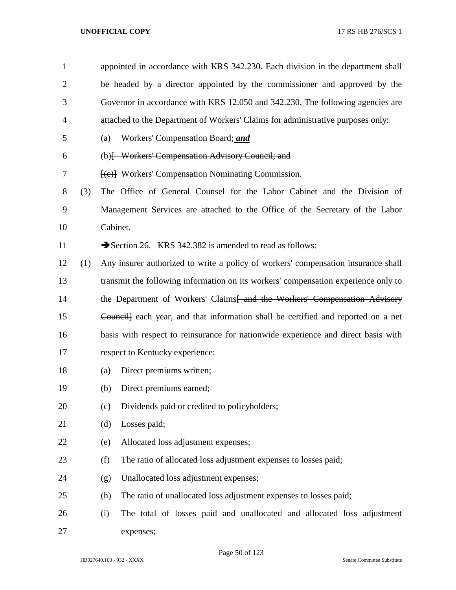appointed in accordance with KRS 342.230. Each division in the department shall be headed by a director appointed by the commissioner and approved by the Governor in accordance with KRS 12.050 and 342.230. The following agencies are attached to the Department of Workers' Claims for administrative purposes only:

- (a) Workers' Compensation Board; *and*
- (b)[ Workers' Compensation Advisory Council; and
- 7 [(e)] Workers' Compensation Nominating Commission.
- (3) The Office of General Counsel for the Labor Cabinet and the Division of Management Services are attached to the Office of the Secretary of the Labor Cabinet.
- 11 Section 26. KRS 342.382 is amended to read as follows:
- (1) Any insurer authorized to write a policy of workers' compensation insurance shall transmit the following information on its workers' compensation experience only to 14 the Department of Workers' Claims<del>[ and the Workers' Compensation Advisory</del> Council] each year, and that information shall be certified and reported on a net basis with respect to reinsurance for nationwide experience and direct basis with respect to Kentucky experience:
- (a) Direct premiums written;
- (b) Direct premiums earned;
- (c) Dividends paid or credited to policyholders;
- (d) Losses paid;
- (e) Allocated loss adjustment expenses;
- (f) The ratio of allocated loss adjustment expenses to losses paid;
- (g) Unallocated loss adjustment expenses;
- (h) The ratio of unallocated loss adjustment expenses to losses paid;
- (i) The total of losses paid and unallocated and allocated loss adjustment expenses;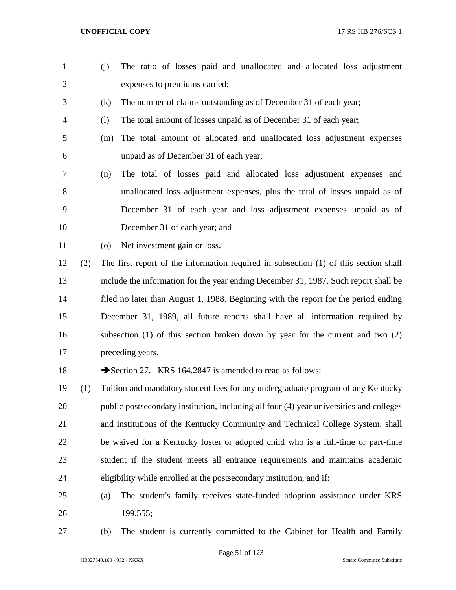- (j) The ratio of losses paid and unallocated and allocated loss adjustment expenses to premiums earned;
- (k) The number of claims outstanding as of December 31 of each year;
- (l) The total amount of losses unpaid as of December 31 of each year;
- (m) The total amount of allocated and unallocated loss adjustment expenses unpaid as of December 31 of each year;
- (n) The total of losses paid and allocated loss adjustment expenses and unallocated loss adjustment expenses, plus the total of losses unpaid as of December 31 of each year and loss adjustment expenses unpaid as of December 31 of each year; and
- (o) Net investment gain or loss.
- (2) The first report of the information required in subsection (1) of this section shall include the information for the year ending December 31, 1987. Such report shall be filed no later than August 1, 1988. Beginning with the report for the period ending December 31, 1989, all future reports shall have all information required by subsection (1) of this section broken down by year for the current and two (2) preceding years.
- 18 Section 27. KRS 164.2847 is amended to read as follows:
- (1) Tuition and mandatory student fees for any undergraduate program of any Kentucky public postsecondary institution, including all four (4) year universities and colleges and institutions of the Kentucky Community and Technical College System, shall be waived for a Kentucky foster or adopted child who is a full-time or part-time student if the student meets all entrance requirements and maintains academic eligibility while enrolled at the postsecondary institution, and if:
- (a) The student's family receives state-funded adoption assistance under KRS 199.555;
- 
- (b) The student is currently committed to the Cabinet for Health and Family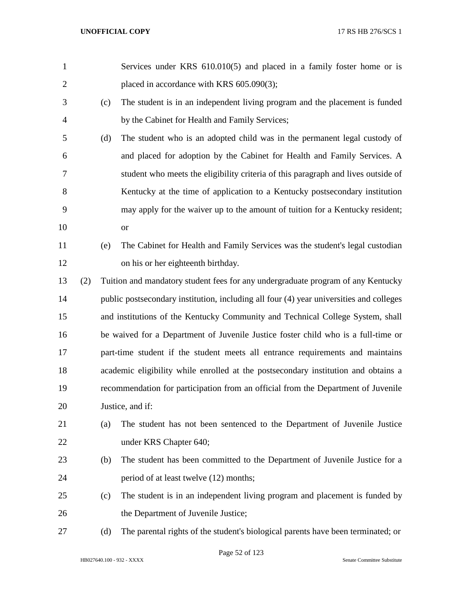| $\mathbf{1}$   |     |                                                                                         | Services under KRS 610.010(5) and placed in a family foster home or is            |  |  |  |  |
|----------------|-----|-----------------------------------------------------------------------------------------|-----------------------------------------------------------------------------------|--|--|--|--|
| $\overline{2}$ |     |                                                                                         | placed in accordance with KRS 605.090(3);                                         |  |  |  |  |
| 3              |     | (c)                                                                                     | The student is in an independent living program and the placement is funded       |  |  |  |  |
| $\overline{4}$ |     |                                                                                         | by the Cabinet for Health and Family Services;                                    |  |  |  |  |
| 5              |     | (d)                                                                                     | The student who is an adopted child was in the permanent legal custody of         |  |  |  |  |
| 6              |     |                                                                                         | and placed for adoption by the Cabinet for Health and Family Services. A          |  |  |  |  |
| 7              |     |                                                                                         | student who meets the eligibility criteria of this paragraph and lives outside of |  |  |  |  |
| 8              |     |                                                                                         | Kentucky at the time of application to a Kentucky postsecondary institution       |  |  |  |  |
| 9              |     |                                                                                         | may apply for the waiver up to the amount of tuition for a Kentucky resident;     |  |  |  |  |
| 10             |     |                                                                                         | <b>or</b>                                                                         |  |  |  |  |
| 11             |     | (e)                                                                                     | The Cabinet for Health and Family Services was the student's legal custodian      |  |  |  |  |
| 12             |     |                                                                                         | on his or her eighteenth birthday.                                                |  |  |  |  |
| 13             | (2) |                                                                                         | Tuition and mandatory student fees for any undergraduate program of any Kentucky  |  |  |  |  |
| 14             |     | public postsecondary institution, including all four (4) year universities and colleges |                                                                                   |  |  |  |  |
| 15             |     | and institutions of the Kentucky Community and Technical College System, shall          |                                                                                   |  |  |  |  |
| 16             |     | be waived for a Department of Juvenile Justice foster child who is a full-time or       |                                                                                   |  |  |  |  |
| 17             |     | part-time student if the student meets all entrance requirements and maintains          |                                                                                   |  |  |  |  |
| 18             |     | academic eligibility while enrolled at the postsecondary institution and obtains a      |                                                                                   |  |  |  |  |
| 19             |     |                                                                                         | recommendation for participation from an official from the Department of Juvenile |  |  |  |  |
| 20             |     |                                                                                         | Justice, and if:                                                                  |  |  |  |  |
| 21             |     | (a)                                                                                     | The student has not been sentenced to the Department of Juvenile Justice          |  |  |  |  |
| 22             |     |                                                                                         | under KRS Chapter 640;                                                            |  |  |  |  |
| 23             |     | (b)                                                                                     | The student has been committed to the Department of Juvenile Justice for a        |  |  |  |  |
| 24             |     |                                                                                         | period of at least twelve (12) months;                                            |  |  |  |  |
| 25             |     | (c)                                                                                     | The student is in an independent living program and placement is funded by        |  |  |  |  |
| 26             |     |                                                                                         | the Department of Juvenile Justice;                                               |  |  |  |  |
| 27             |     | (d)                                                                                     | The parental rights of the student's biological parents have been terminated; or  |  |  |  |  |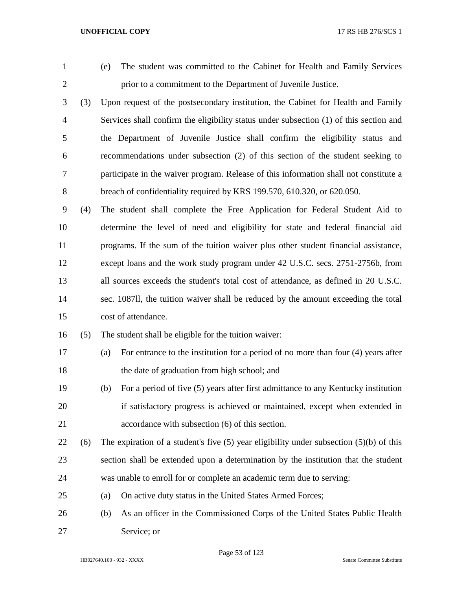(e) The student was committed to the Cabinet for Health and Family Services prior to a commitment to the Department of Juvenile Justice.

 (3) Upon request of the postsecondary institution, the Cabinet for Health and Family Services shall confirm the eligibility status under subsection (1) of this section and the Department of Juvenile Justice shall confirm the eligibility status and recommendations under subsection (2) of this section of the student seeking to participate in the waiver program. Release of this information shall not constitute a breach of confidentiality required by KRS 199.570, 610.320, or 620.050.

 (4) The student shall complete the Free Application for Federal Student Aid to determine the level of need and eligibility for state and federal financial aid programs. If the sum of the tuition waiver plus other student financial assistance, except loans and the work study program under 42 U.S.C. secs. 2751-2756b, from all sources exceeds the student's total cost of attendance, as defined in 20 U.S.C. sec. 1087ll, the tuition waiver shall be reduced by the amount exceeding the total cost of attendance.

(5) The student shall be eligible for the tuition waiver:

- (a) For entrance to the institution for a period of no more than four (4) years after the date of graduation from high school; and
- (b) For a period of five (5) years after first admittance to any Kentucky institution if satisfactory progress is achieved or maintained, except when extended in accordance with subsection (6) of this section.
- 22 (6) The expiration of a student's five (5) year eligibility under subsection (5)(b) of this section shall be extended upon a determination by the institution that the student was unable to enroll for or complete an academic term due to serving:
- (a) On active duty status in the United States Armed Forces;
- (b) As an officer in the Commissioned Corps of the United States Public Health Service; or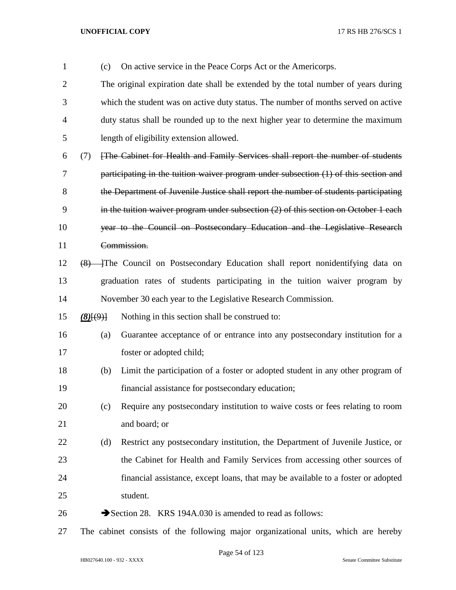| $\mathbf{1}$   |                 | (c) | On active service in the Peace Corps Act or the Americorps.                            |
|----------------|-----------------|-----|----------------------------------------------------------------------------------------|
| $\overline{2}$ |                 |     | The original expiration date shall be extended by the total number of years during     |
| 3              |                 |     | which the student was on active duty status. The number of months served on active     |
| 4              |                 |     | duty status shall be rounded up to the next higher year to determine the maximum       |
| 5              |                 |     | length of eligibility extension allowed.                                               |
| 6              | (7)             |     | [The Cabinet for Health and Family Services shall report the number of students        |
| 7              |                 |     | participating in the tuition waiver program under subsection (1) of this section and   |
| 8              |                 |     | the Department of Juvenile Justice shall report the number of students participating   |
| 9              |                 |     | in the tuition waiver program under subsection $(2)$ of this section on October 1 each |
| 10             |                 |     | year to the Council on Postsecondary Education and the Legislative Research            |
| 11             |                 |     | Commission.                                                                            |
| 12             | (8)             |     | The Council on Postsecondary Education shall report nonidentifying data on             |
| 13             |                 |     | graduation rates of students participating in the tuition waiver program by            |
| 14             |                 |     | November 30 each year to the Legislative Research Commission.                          |
| 15             | $(8)$ [ $(9)$ ] |     | Nothing in this section shall be construed to:                                         |
| 16             |                 | (a) | Guarantee acceptance of or entrance into any postsecondary institution for a           |
| 17             |                 |     | foster or adopted child;                                                               |
| 18             |                 | (b) | Limit the participation of a foster or adopted student in any other program of         |
| 19             |                 |     | financial assistance for postsecondary education;                                      |
| 20             |                 | (c) | Require any postsecondary institution to waive costs or fees relating to room          |
| 21             |                 |     | and board; or                                                                          |
| 22             |                 | (d) | Restrict any postsecondary institution, the Department of Juvenile Justice, or         |
| 23             |                 |     | the Cabinet for Health and Family Services from accessing other sources of             |
| 24             |                 |     | financial assistance, except loans, that may be available to a foster or adopted       |
| 25             |                 |     | student.                                                                               |
| 26             |                 |     | Section 28. KRS 194A.030 is amended to read as follows:                                |
|                |                 |     |                                                                                        |

The cabinet consists of the following major organizational units, which are hereby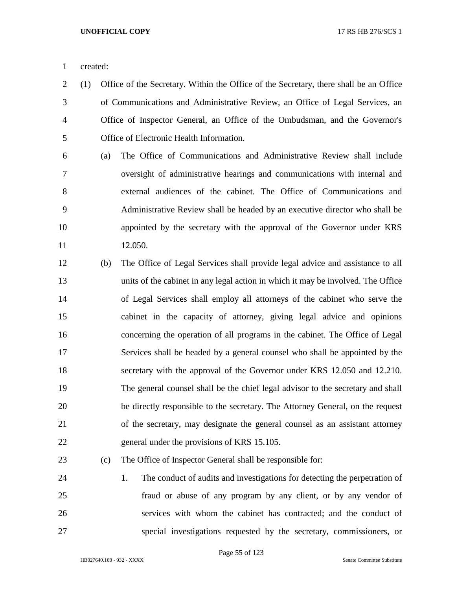created:

- (1) Office of the Secretary. Within the Office of the Secretary, there shall be an Office of Communications and Administrative Review, an Office of Legal Services, an Office of Inspector General, an Office of the Ombudsman, and the Governor's Office of Electronic Health Information.
- (a) The Office of Communications and Administrative Review shall include oversight of administrative hearings and communications with internal and external audiences of the cabinet. The Office of Communications and Administrative Review shall be headed by an executive director who shall be appointed by the secretary with the approval of the Governor under KRS 12.050.
- (b) The Office of Legal Services shall provide legal advice and assistance to all units of the cabinet in any legal action in which it may be involved. The Office of Legal Services shall employ all attorneys of the cabinet who serve the cabinet in the capacity of attorney, giving legal advice and opinions concerning the operation of all programs in the cabinet. The Office of Legal Services shall be headed by a general counsel who shall be appointed by the secretary with the approval of the Governor under KRS 12.050 and 12.210. The general counsel shall be the chief legal advisor to the secretary and shall be directly responsible to the secretary. The Attorney General, on the request of the secretary, may designate the general counsel as an assistant attorney general under the provisions of KRS 15.105.

# (c) The Office of Inspector General shall be responsible for:

 1. The conduct of audits and investigations for detecting the perpetration of fraud or abuse of any program by any client, or by any vendor of services with whom the cabinet has contracted; and the conduct of special investigations requested by the secretary, commissioners, or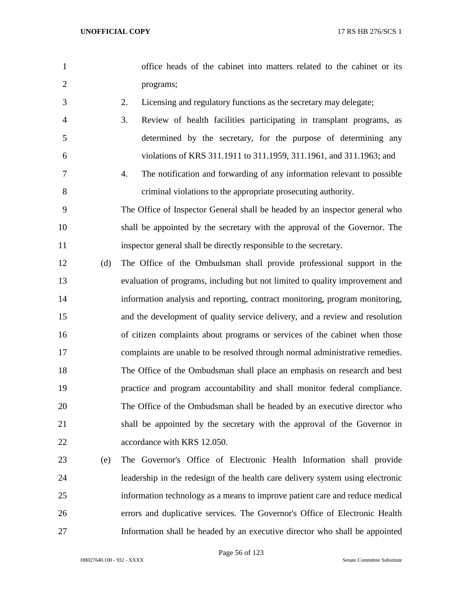| office heads of the cabinet into matters related to the cabinet or its |  |  |  |  |  |  |
|------------------------------------------------------------------------|--|--|--|--|--|--|
| programs;                                                              |  |  |  |  |  |  |

- 
- 2. Licensing and regulatory functions as the secretary may delegate;
- 3. Review of health facilities participating in transplant programs, as determined by the secretary, for the purpose of determining any violations of KRS 311.1911 to 311.1959, 311.1961, and 311.1963; and
- 4. The notification and forwarding of any information relevant to possible criminal violations to the appropriate prosecuting authority.
- The Office of Inspector General shall be headed by an inspector general who shall be appointed by the secretary with the approval of the Governor. The inspector general shall be directly responsible to the secretary.
- (d) The Office of the Ombudsman shall provide professional support in the evaluation of programs, including but not limited to quality improvement and information analysis and reporting, contract monitoring, program monitoring, and the development of quality service delivery, and a review and resolution of citizen complaints about programs or services of the cabinet when those complaints are unable to be resolved through normal administrative remedies. The Office of the Ombudsman shall place an emphasis on research and best practice and program accountability and shall monitor federal compliance. The Office of the Ombudsman shall be headed by an executive director who shall be appointed by the secretary with the approval of the Governor in 22 accordance with KRS 12.050.
- (e) The Governor's Office of Electronic Health Information shall provide leadership in the redesign of the health care delivery system using electronic information technology as a means to improve patient care and reduce medical errors and duplicative services. The Governor's Office of Electronic Health Information shall be headed by an executive director who shall be appointed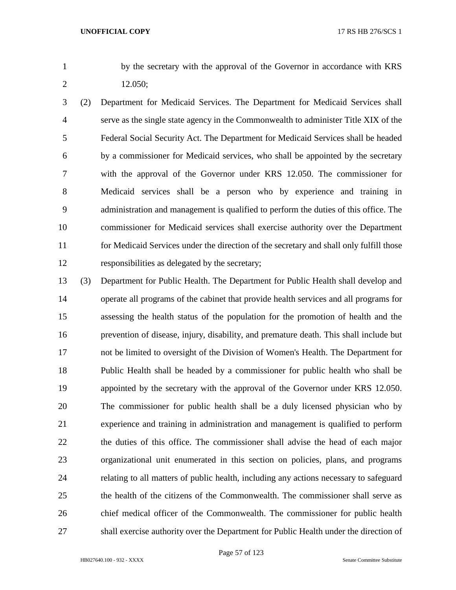by the secretary with the approval of the Governor in accordance with KRS 12.050;

- (2) Department for Medicaid Services. The Department for Medicaid Services shall serve as the single state agency in the Commonwealth to administer Title XIX of the Federal Social Security Act. The Department for Medicaid Services shall be headed by a commissioner for Medicaid services, who shall be appointed by the secretary with the approval of the Governor under KRS 12.050. The commissioner for Medicaid services shall be a person who by experience and training in administration and management is qualified to perform the duties of this office. The commissioner for Medicaid services shall exercise authority over the Department for Medicaid Services under the direction of the secretary and shall only fulfill those responsibilities as delegated by the secretary;
- (3) Department for Public Health. The Department for Public Health shall develop and operate all programs of the cabinet that provide health services and all programs for assessing the health status of the population for the promotion of health and the prevention of disease, injury, disability, and premature death. This shall include but not be limited to oversight of the Division of Women's Health. The Department for Public Health shall be headed by a commissioner for public health who shall be appointed by the secretary with the approval of the Governor under KRS 12.050. The commissioner for public health shall be a duly licensed physician who by experience and training in administration and management is qualified to perform the duties of this office. The commissioner shall advise the head of each major organizational unit enumerated in this section on policies, plans, and programs relating to all matters of public health, including any actions necessary to safeguard the health of the citizens of the Commonwealth. The commissioner shall serve as chief medical officer of the Commonwealth. The commissioner for public health shall exercise authority over the Department for Public Health under the direction of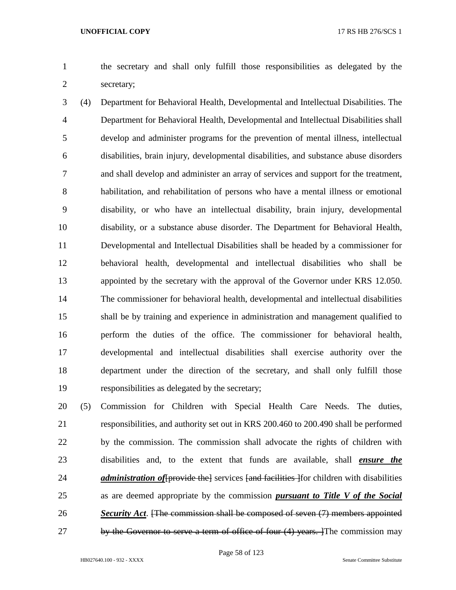the secretary and shall only fulfill those responsibilities as delegated by the secretary;

 (4) Department for Behavioral Health, Developmental and Intellectual Disabilities. The Department for Behavioral Health, Developmental and Intellectual Disabilities shall develop and administer programs for the prevention of mental illness, intellectual disabilities, brain injury, developmental disabilities, and substance abuse disorders and shall develop and administer an array of services and support for the treatment, habilitation, and rehabilitation of persons who have a mental illness or emotional disability, or who have an intellectual disability, brain injury, developmental disability, or a substance abuse disorder. The Department for Behavioral Health, Developmental and Intellectual Disabilities shall be headed by a commissioner for behavioral health, developmental and intellectual disabilities who shall be appointed by the secretary with the approval of the Governor under KRS 12.050. The commissioner for behavioral health, developmental and intellectual disabilities shall be by training and experience in administration and management qualified to perform the duties of the office. The commissioner for behavioral health, developmental and intellectual disabilities shall exercise authority over the department under the direction of the secretary, and shall only fulfill those responsibilities as delegated by the secretary;

 (5) Commission for Children with Special Health Care Needs. The duties, responsibilities, and authority set out in KRS 200.460 to 200.490 shall be performed by the commission. The commission shall advocate the rights of children with disabilities and, to the extent that funds are available, shall *ensure the administration of* [provide the] services [and facilities ] for children with disabilities as are deemed appropriate by the commission *pursuant to Title V of the Social Security Act*. [The commission shall be composed of seven (7) members appointed 27 by the Governor to serve a term of office of four (4) years. The commission may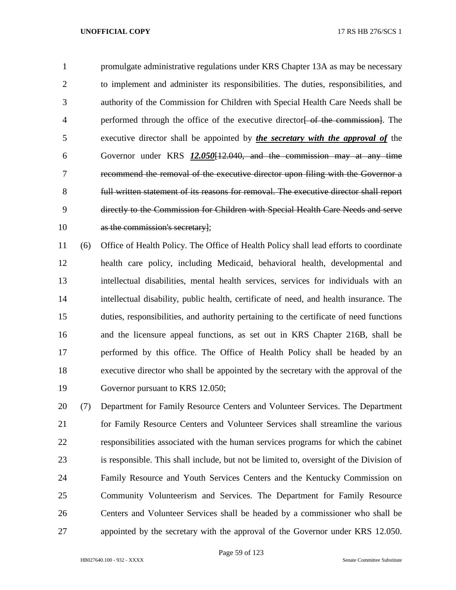promulgate administrative regulations under KRS Chapter 13A as may be necessary to implement and administer its responsibilities. The duties, responsibilities, and authority of the Commission for Children with Special Health Care Needs shall be 4 performed through the office of the executive director of the commission. The executive director shall be appointed by *the secretary with the approval of* the Governor under KRS *12.050*[12.040, and the commission may at any time recommend the removal of the executive director upon filing with the Governor a full written statement of its reasons for removal. The executive director shall report directly to the Commission for Children with Special Health Care Needs and serve 10 as the commission's secretary];

 (6) Office of Health Policy. The Office of Health Policy shall lead efforts to coordinate health care policy, including Medicaid, behavioral health, developmental and intellectual disabilities, mental health services, services for individuals with an intellectual disability, public health, certificate of need, and health insurance. The duties, responsibilities, and authority pertaining to the certificate of need functions and the licensure appeal functions, as set out in KRS Chapter 216B, shall be performed by this office. The Office of Health Policy shall be headed by an executive director who shall be appointed by the secretary with the approval of the Governor pursuant to KRS 12.050;

 (7) Department for Family Resource Centers and Volunteer Services. The Department for Family Resource Centers and Volunteer Services shall streamline the various responsibilities associated with the human services programs for which the cabinet is responsible. This shall include, but not be limited to, oversight of the Division of Family Resource and Youth Services Centers and the Kentucky Commission on Community Volunteerism and Services. The Department for Family Resource Centers and Volunteer Services shall be headed by a commissioner who shall be appointed by the secretary with the approval of the Governor under KRS 12.050.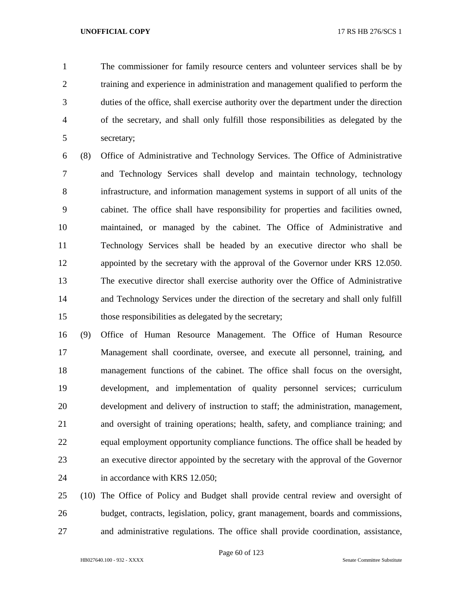The commissioner for family resource centers and volunteer services shall be by training and experience in administration and management qualified to perform the duties of the office, shall exercise authority over the department under the direction of the secretary, and shall only fulfill those responsibilities as delegated by the secretary;

 (8) Office of Administrative and Technology Services. The Office of Administrative and Technology Services shall develop and maintain technology, technology infrastructure, and information management systems in support of all units of the cabinet. The office shall have responsibility for properties and facilities owned, maintained, or managed by the cabinet. The Office of Administrative and Technology Services shall be headed by an executive director who shall be appointed by the secretary with the approval of the Governor under KRS 12.050. The executive director shall exercise authority over the Office of Administrative and Technology Services under the direction of the secretary and shall only fulfill those responsibilities as delegated by the secretary;

 (9) Office of Human Resource Management. The Office of Human Resource Management shall coordinate, oversee, and execute all personnel, training, and management functions of the cabinet. The office shall focus on the oversight, development, and implementation of quality personnel services; curriculum development and delivery of instruction to staff; the administration, management, and oversight of training operations; health, safety, and compliance training; and equal employment opportunity compliance functions. The office shall be headed by an executive director appointed by the secretary with the approval of the Governor in accordance with KRS 12.050;

 (10) The Office of Policy and Budget shall provide central review and oversight of budget, contracts, legislation, policy, grant management, boards and commissions, and administrative regulations. The office shall provide coordination, assistance,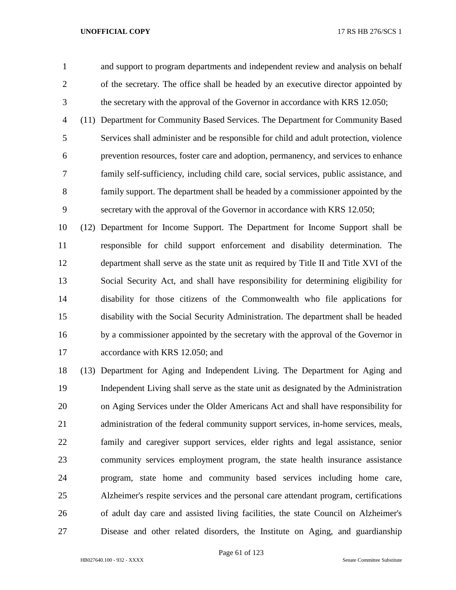and support to program departments and independent review and analysis on behalf of the secretary. The office shall be headed by an executive director appointed by the secretary with the approval of the Governor in accordance with KRS 12.050;

 (11) Department for Community Based Services. The Department for Community Based Services shall administer and be responsible for child and adult protection, violence prevention resources, foster care and adoption, permanency, and services to enhance family self-sufficiency, including child care, social services, public assistance, and family support. The department shall be headed by a commissioner appointed by the secretary with the approval of the Governor in accordance with KRS 12.050;

 (12) Department for Income Support. The Department for Income Support shall be responsible for child support enforcement and disability determination. The department shall serve as the state unit as required by Title II and Title XVI of the Social Security Act, and shall have responsibility for determining eligibility for disability for those citizens of the Commonwealth who file applications for disability with the Social Security Administration. The department shall be headed by a commissioner appointed by the secretary with the approval of the Governor in accordance with KRS 12.050; and

 (13) Department for Aging and Independent Living. The Department for Aging and Independent Living shall serve as the state unit as designated by the Administration on Aging Services under the Older Americans Act and shall have responsibility for administration of the federal community support services, in-home services, meals, family and caregiver support services, elder rights and legal assistance, senior community services employment program, the state health insurance assistance program, state home and community based services including home care, Alzheimer's respite services and the personal care attendant program, certifications of adult day care and assisted living facilities, the state Council on Alzheimer's Disease and other related disorders, the Institute on Aging, and guardianship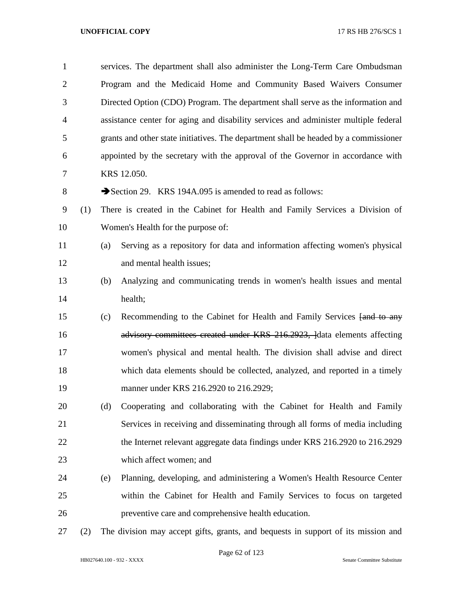| $\mathbf{1}$   |     |     | services. The department shall also administer the Long-Term Care Ombudsman          |
|----------------|-----|-----|--------------------------------------------------------------------------------------|
| $\overline{2}$ |     |     | Program and the Medicaid Home and Community Based Waivers Consumer                   |
| 3              |     |     | Directed Option (CDO) Program. The department shall serve as the information and     |
| 4              |     |     | assistance center for aging and disability services and administer multiple federal  |
| 5              |     |     | grants and other state initiatives. The department shall be headed by a commissioner |
| 6              |     |     | appointed by the secretary with the approval of the Governor in accordance with      |
| 7              |     |     | KRS 12.050.                                                                          |
| 8              |     |     | Section 29. KRS 194A.095 is amended to read as follows:                              |
| 9              | (1) |     | There is created in the Cabinet for Health and Family Services a Division of         |
| 10             |     |     | Women's Health for the purpose of:                                                   |
| 11             |     | (a) | Serving as a repository for data and information affecting women's physical          |
| 12             |     |     | and mental health issues;                                                            |
| 13             |     | (b) | Analyzing and communicating trends in women's health issues and mental               |
| 14             |     |     | health;                                                                              |
| 15             |     | (c) | Recommending to the Cabinet for Health and Family Services [and to any               |
| 16             |     |     | advisory committees created under KRS 216.2923, data elements affecting              |
| 17             |     |     | women's physical and mental health. The division shall advise and direct             |
| 18             |     |     | which data elements should be collected, analyzed, and reported in a timely          |
| 19             |     |     | manner under KRS 216.2920 to 216.2929;                                               |
| 20             |     | (d) | Cooperating and collaborating with the Cabinet for Health and Family                 |
| 21             |     |     | Services in receiving and disseminating through all forms of media including         |
| 22             |     |     | the Internet relevant aggregate data findings under KRS 216.2920 to 216.2929         |
| 23             |     |     | which affect women; and                                                              |
| 24             |     | (e) | Planning, developing, and administering a Women's Health Resource Center             |
| 25             |     |     | within the Cabinet for Health and Family Services to focus on targeted               |
| 26             |     |     | preventive care and comprehensive health education.                                  |
| $\mathcal{L}$  |     |     | $: \mathfrak{a}$ and $\mathfrak{a}$ and $\mathfrak{b}$ and $\mathfrak{a}$            |

(2) The division may accept gifts, grants, and bequests in support of its mission and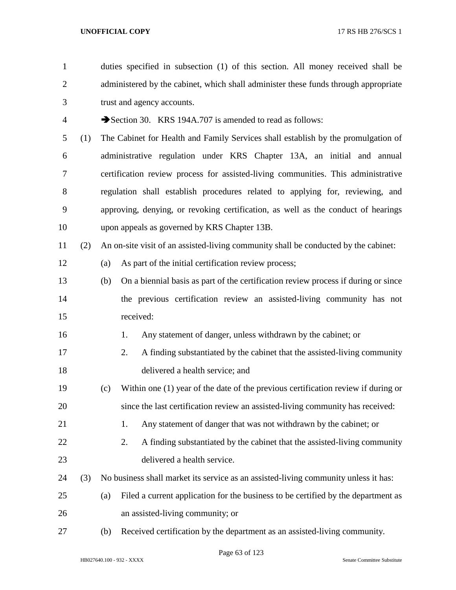duties specified in subsection (1) of this section. All money received shall be administered by the cabinet, which shall administer these funds through appropriate trust and agency accounts. 4 Section 30. KRS 194A.707 is amended to read as follows: (1) The Cabinet for Health and Family Services shall establish by the promulgation of administrative regulation under KRS Chapter 13A, an initial and annual certification review process for assisted-living communities. This administrative regulation shall establish procedures related to applying for, reviewing, and approving, denying, or revoking certification, as well as the conduct of hearings upon appeals as governed by KRS Chapter 13B. (2) An on-site visit of an assisted-living community shall be conducted by the cabinet: (a) As part of the initial certification review process; (b) On a biennial basis as part of the certification review process if during or since the previous certification review an assisted-living community has not received: 1. Any statement of danger, unless withdrawn by the cabinet; or 2. A finding substantiated by the cabinet that the assisted-living community delivered a health service; and (c) Within one (1) year of the date of the previous certification review if during or since the last certification review an assisted-living community has received: 21 1. Any statement of danger that was not withdrawn by the cabinet; or 22 2. A finding substantiated by the cabinet that the assisted-living community delivered a health service. (3) No business shall market its service as an assisted-living community unless it has: (a) Filed a current application for the business to be certified by the department as an assisted-living community; or (b) Received certification by the department as an assisted-living community.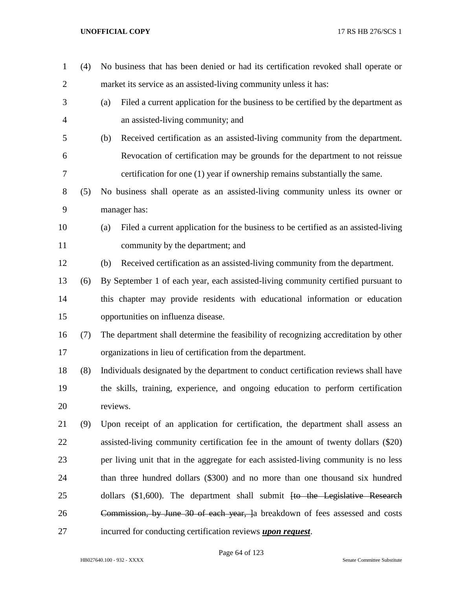| $\mathbf{1}$   | (4) | No business that has been denied or had its certification revoked shall operate or        |
|----------------|-----|-------------------------------------------------------------------------------------------|
| $\overline{2}$ |     | market its service as an assisted-living community unless it has:                         |
| 3              |     | Filed a current application for the business to be certified by the department as<br>(a)  |
| $\overline{4}$ |     | an assisted-living community; and                                                         |
| 5              |     | (b)<br>Received certification as an assisted-living community from the department.        |
| 6              |     | Revocation of certification may be grounds for the department to not reissue              |
| 7              |     | certification for one (1) year if ownership remains substantially the same.               |
| 8              | (5) | No business shall operate as an assisted-living community unless its owner or             |
| 9              |     | manager has:                                                                              |
| 10             |     | Filed a current application for the business to be certified as an assisted-living<br>(a) |
| 11             |     | community by the department; and                                                          |
| 12             |     | Received certification as an assisted-living community from the department.<br>(b)        |
| 13             | (6) | By September 1 of each year, each assisted-living community certified pursuant to         |
| 14             |     | this chapter may provide residents with educational information or education              |
| 15             |     | opportunities on influenza disease.                                                       |
| 16             | (7) | The department shall determine the feasibility of recognizing accreditation by other      |
| 17             |     | organizations in lieu of certification from the department.                               |
| 18             | (8) | Individuals designated by the department to conduct certification reviews shall have      |
| 19             |     | the skills, training, experience, and ongoing education to perform certification          |
| 20             |     | reviews.                                                                                  |
| 21             | (9) | Upon receipt of an application for certification, the department shall assess an          |
| 22             |     | assisted-living community certification fee in the amount of twenty dollars (\$20)        |
| 23             |     | per living unit that in the aggregate for each assisted-living community is no less       |
| 24             |     | than three hundred dollars (\$300) and no more than one thousand six hundred              |
| 25             |     | dollars (\$1,600). The department shall submit <del>[to the Legislative Research</del>    |
| 26             |     | Commission, by June 30 of each year, Ja breakdown of fees assessed and costs              |
| 27             |     | incurred for conducting certification reviews upon request.                               |

Page 64 of 123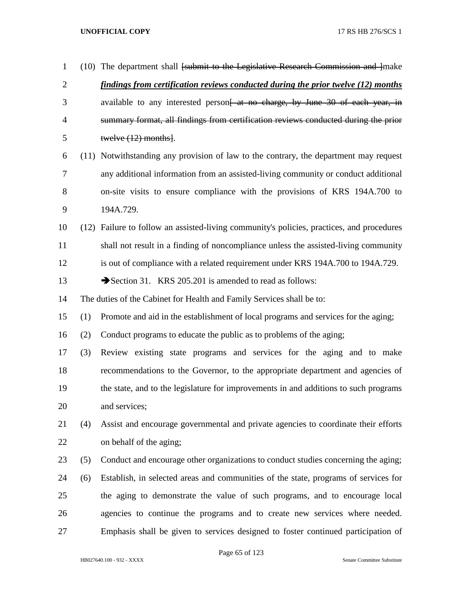| $\mathbf{1}$   |      | $(10)$ The department shall <del>[submit to the Legislative Research Commission and ]</del> make |
|----------------|------|--------------------------------------------------------------------------------------------------|
| $\overline{2}$ |      | findings from certification reviews conducted during the prior twelve (12) months                |
| 3              |      | available to any interested person <del>[ at no charge, by June 30 of each year, in</del>        |
| 4              |      | summary format, all findings from certification reviews conducted during the prior               |
| 5              |      | twelve $(12)$ months.                                                                            |
| 6              | (11) | Notwithstanding any provision of law to the contrary, the department may request                 |
| 7              |      | any additional information from an assisted-living community or conduct additional               |
| 8              |      | on-site visits to ensure compliance with the provisions of KRS 194A.700 to                       |
| 9              |      | 194A.729.                                                                                        |
| 10             | (12) | Failure to follow an assisted-living community's policies, practices, and procedures             |
| 11             |      | shall not result in a finding of noncompliance unless the assisted-living community              |
| 12             |      | is out of compliance with a related requirement under KRS 194A.700 to 194A.729.                  |
| 13             |      | Section 31. KRS 205.201 is amended to read as follows:                                           |
| 14             |      | The duties of the Cabinet for Health and Family Services shall be to:                            |
| 15             | (1)  | Promote and aid in the establishment of local programs and services for the aging;               |
| 16             | (2)  | Conduct programs to educate the public as to problems of the aging;                              |
| 17             | (3)  | Review existing state programs and services for the aging and to make                            |
| 18             |      | recommendations to the Governor, to the appropriate department and agencies of                   |
| 19             |      | the state, and to the legislature for improvements in and additions to such programs             |
| 20             |      | and services;                                                                                    |
| 21             | (4)  | Assist and encourage governmental and private agencies to coordinate their efforts               |
| 22             |      | on behalf of the aging;                                                                          |
| 23             | (5)  | Conduct and encourage other organizations to conduct studies concerning the aging;               |
| 24             | (6)  | Establish, in selected areas and communities of the state, programs of services for              |
| 25             |      | the aging to demonstrate the value of such programs, and to encourage local                      |
| 26             |      | agencies to continue the programs and to create new services where needed.                       |
| 27             |      | Emphasis shall be given to services designed to foster continued participation of                |

Page 65 of 123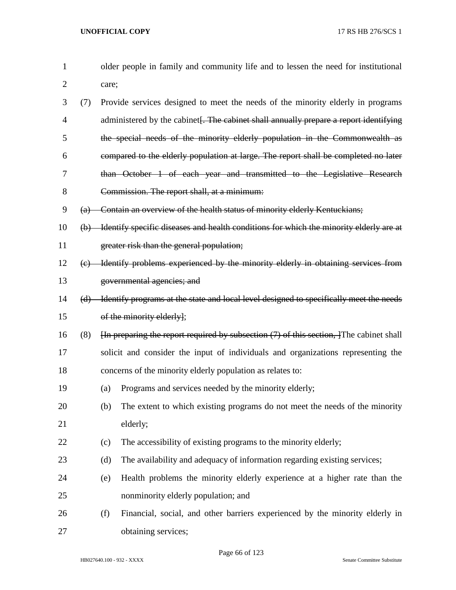| $\mathbf{1}$   |     |       | older people in family and community life and to lessen the need for institutional                                    |
|----------------|-----|-------|-----------------------------------------------------------------------------------------------------------------------|
| $\overline{2}$ |     | care; |                                                                                                                       |
| 3              | (7) |       | Provide services designed to meet the needs of the minority elderly in programs                                       |
| 4              |     |       | administered by the cabinet. The cabinet shall annually prepare a report identifying                                  |
| 5              |     |       | the special needs of the minority elderly population in the Commonwealth as                                           |
| 6              |     |       | compared to the elderly population at large. The report shall be completed no later                                   |
| 7              |     |       | than October 1 of each year and transmitted to the Legislative Research                                               |
| 8              |     |       | Commission. The report shall, at a minimum:                                                                           |
| 9              |     |       | (a) Contain an overview of the health status of minority elderly Kentuckians;                                         |
| 10             |     |       | (b) Identify specific diseases and health conditions for which the minority elderly are at                            |
| 11             |     |       | greater risk than the general population;                                                                             |
| 12             |     |       | (c) Identify problems experienced by the minority elderly in obtaining services from                                  |
| 13             |     |       | governmental agencies; and                                                                                            |
| 14             | (d) |       | Identify programs at the state and local level designed to specifically meet the needs                                |
| 15             |     |       | of the minority elderly];                                                                                             |
| 16             | (8) |       | $\overline{f}$ + Hn preparing the report required by subsection (7) of this section, $\overline{f}$ The cabinet shall |
| 17             |     |       | solicit and consider the input of individuals and organizations representing the                                      |
| 18             |     |       | concerns of the minority elderly population as relates to:                                                            |
| 19             |     | (a)   | Programs and services needed by the minority elderly;                                                                 |
| 20             |     | (b)   | The extent to which existing programs do not meet the needs of the minority                                           |
| 21             |     |       | elderly;                                                                                                              |
| 22             |     | (c)   | The accessibility of existing programs to the minority elderly;                                                       |
| 23             |     | (d)   | The availability and adequacy of information regarding existing services;                                             |
| 24             |     | (e)   | Health problems the minority elderly experience at a higher rate than the                                             |
| 25             |     |       | nonminority elderly population; and                                                                                   |
| 26             |     | (f)   | Financial, social, and other barriers experienced by the minority elderly in                                          |
| 27             |     |       | obtaining services;                                                                                                   |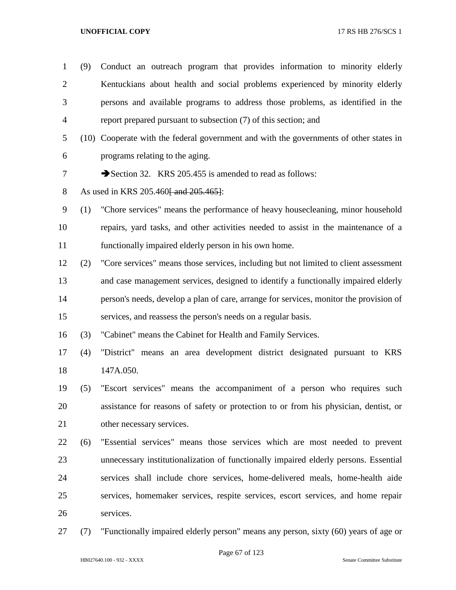| $\mathbf{1}$   | (9) | Conduct an outreach program that provides information to minority elderly              |
|----------------|-----|----------------------------------------------------------------------------------------|
| $\overline{2}$ |     | Kentuckians about health and social problems experienced by minority elderly           |
| 3              |     | persons and available programs to address those problems, as identified in the         |
| 4              |     | report prepared pursuant to subsection (7) of this section; and                        |
| 5              |     | (10) Cooperate with the federal government and with the governments of other states in |
| 6              |     | programs relating to the aging.                                                        |
| 7              |     | Section 32. KRS 205.455 is amended to read as follows:                                 |
| 8              |     | As used in KRS 205.460 and 205.465.                                                    |
| 9              | (1) | "Chore services" means the performance of heavy housecleaning, minor household         |
| 10             |     | repairs, yard tasks, and other activities needed to assist in the maintenance of a     |
| 11             |     | functionally impaired elderly person in his own home.                                  |
| 12             | (2) | "Core services" means those services, including but not limited to client assessment   |
| 13             |     | and case management services, designed to identify a functionally impaired elderly     |
| 14             |     | person's needs, develop a plan of care, arrange for services, monitor the provision of |
| 15             |     | services, and reassess the person's needs on a regular basis.                          |
| 16             | (3) | "Cabinet" means the Cabinet for Health and Family Services.                            |
| 17             | (4) | "District" means an area development district designated pursuant to KRS               |
| 18             |     | 147A.050.                                                                              |
| 19             | (5) | "Escort services" means the accompaniment of a person who requires such                |
| 20             |     | assistance for reasons of safety or protection to or from his physician, dentist, or   |
| 21             |     | other necessary services.                                                              |
| 22             | (6) | "Essential services" means those services which are most needed to prevent             |
| 23             |     | unnecessary institutionalization of functionally impaired elderly persons. Essential   |
| 24             |     | services shall include chore services, home-delivered meals, home-health aide          |
| 25             |     | services, homemaker services, respite services, escort services, and home repair       |
| 26             |     | services.                                                                              |

(7) "Functionally impaired elderly person" means any person, sixty (60) years of age or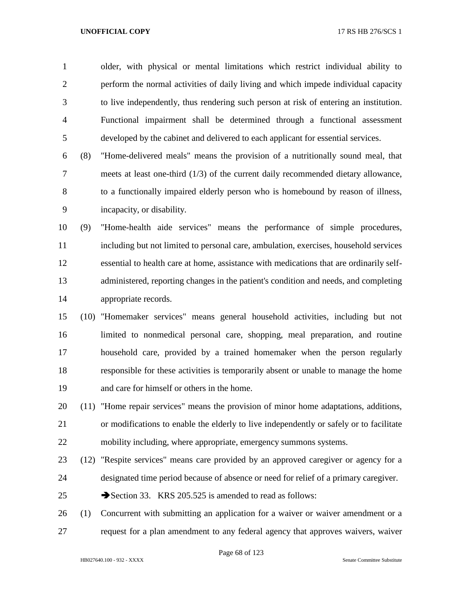older, with physical or mental limitations which restrict individual ability to perform the normal activities of daily living and which impede individual capacity to live independently, thus rendering such person at risk of entering an institution. Functional impairment shall be determined through a functional assessment developed by the cabinet and delivered to each applicant for essential services.

 (8) "Home-delivered meals" means the provision of a nutritionally sound meal, that meets at least one-third (1/3) of the current daily recommended dietary allowance, to a functionally impaired elderly person who is homebound by reason of illness, incapacity, or disability.

 (9) "Home-health aide services" means the performance of simple procedures, including but not limited to personal care, ambulation, exercises, household services essential to health care at home, assistance with medications that are ordinarily self- administered, reporting changes in the patient's condition and needs, and completing appropriate records.

 (10) "Homemaker services" means general household activities, including but not limited to nonmedical personal care, shopping, meal preparation, and routine household care, provided by a trained homemaker when the person regularly responsible for these activities is temporarily absent or unable to manage the home and care for himself or others in the home.

 (11) "Home repair services" means the provision of minor home adaptations, additions, or modifications to enable the elderly to live independently or safely or to facilitate mobility including, where appropriate, emergency summons systems.

- (12) "Respite services" means care provided by an approved caregiver or agency for a designated time period because of absence or need for relief of a primary caregiver.
- 25 Section 33. KRS 205.525 is amended to read as follows:
- (1) Concurrent with submitting an application for a waiver or waiver amendment or a request for a plan amendment to any federal agency that approves waivers, waiver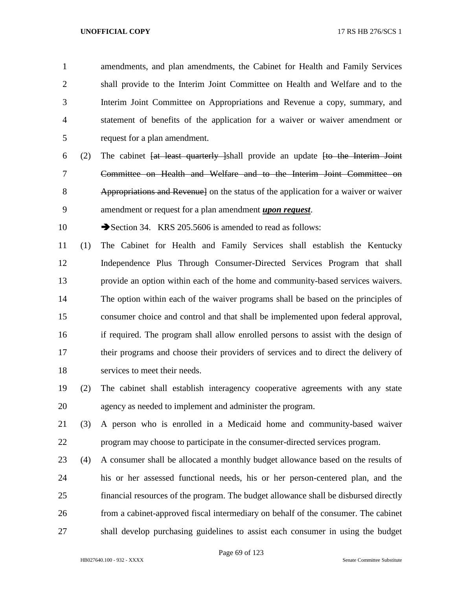amendments, and plan amendments, the Cabinet for Health and Family Services shall provide to the Interim Joint Committee on Health and Welfare and to the Interim Joint Committee on Appropriations and Revenue a copy, summary, and statement of benefits of the application for a waiver or waiver amendment or request for a plan amendment.

6 (2) The cabinet  $\{at \text{ least quarterly -} \}$ shall provide an update  $\{to \text{ the} \}$  Committee on Health and Welfare and to the Interim Joint Committee on Appropriations and Revenue] on the status of the application for a waiver or waiver amendment or request for a plan amendment *upon request*.

10 Section 34. KRS 205.5606 is amended to read as follows:

 (1) The Cabinet for Health and Family Services shall establish the Kentucky Independence Plus Through Consumer-Directed Services Program that shall provide an option within each of the home and community-based services waivers. The option within each of the waiver programs shall be based on the principles of consumer choice and control and that shall be implemented upon federal approval, if required. The program shall allow enrolled persons to assist with the design of their programs and choose their providers of services and to direct the delivery of services to meet their needs.

- (2) The cabinet shall establish interagency cooperative agreements with any state agency as needed to implement and administer the program.
- (3) A person who is enrolled in a Medicaid home and community-based waiver program may choose to participate in the consumer-directed services program.
- (4) A consumer shall be allocated a monthly budget allowance based on the results of his or her assessed functional needs, his or her person-centered plan, and the financial resources of the program. The budget allowance shall be disbursed directly from a cabinet-approved fiscal intermediary on behalf of the consumer. The cabinet shall develop purchasing guidelines to assist each consumer in using the budget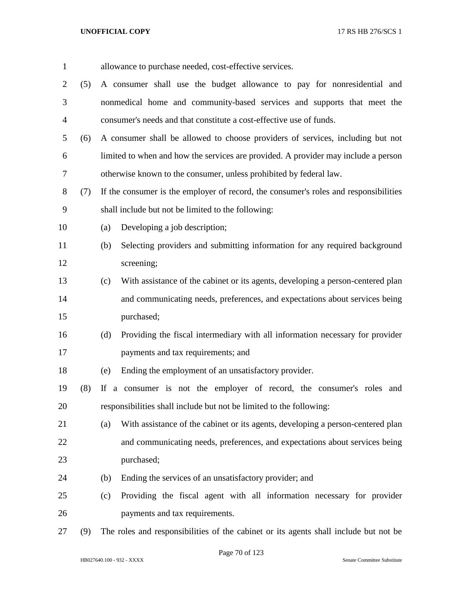| $\mathbf{1}$   |     | allowance to purchase needed, cost-effective services.                                 |
|----------------|-----|----------------------------------------------------------------------------------------|
| $\overline{c}$ | (5) | A consumer shall use the budget allowance to pay for nonresidential and                |
| 3              |     | nonmedical home and community-based services and supports that meet the                |
| $\overline{4}$ |     | consumer's needs and that constitute a cost-effective use of funds.                    |
| 5              | (6) | A consumer shall be allowed to choose providers of services, including but not         |
| 6              |     | limited to when and how the services are provided. A provider may include a person     |
| 7              |     | otherwise known to the consumer, unless prohibited by federal law.                     |
| $8\,$          | (7) | If the consumer is the employer of record, the consumer's roles and responsibilities   |
| 9              |     | shall include but not be limited to the following:                                     |
| 10             |     | Developing a job description;<br>(a)                                                   |
| 11             |     | Selecting providers and submitting information for any required background<br>(b)      |
| 12             |     | screening;                                                                             |
| 13             |     | With assistance of the cabinet or its agents, developing a person-centered plan<br>(c) |
| 14             |     | and communicating needs, preferences, and expectations about services being            |
| 15             |     | purchased;                                                                             |
| 16             |     | Providing the fiscal intermediary with all information necessary for provider<br>(d)   |
| 17             |     | payments and tax requirements; and                                                     |
| 18             |     | Ending the employment of an unsatisfactory provider.<br>(e)                            |
| 19             | (8) | If a consumer is not the employer of record, the consumer's roles and                  |
| 20             |     | responsibilities shall include but not be limited to the following:                    |
| 21             |     | With assistance of the cabinet or its agents, developing a person-centered plan<br>(a) |
| 22             |     | and communicating needs, preferences, and expectations about services being            |
| 23             |     | purchased;                                                                             |
| 24             |     | Ending the services of an unsatisfactory provider; and<br>(b)                          |
| 25             |     | Providing the fiscal agent with all information necessary for provider<br>(c)          |
| 26             |     | payments and tax requirements.                                                         |
| 27             | (9) | The roles and responsibilities of the cabinet or its agents shall include but not be   |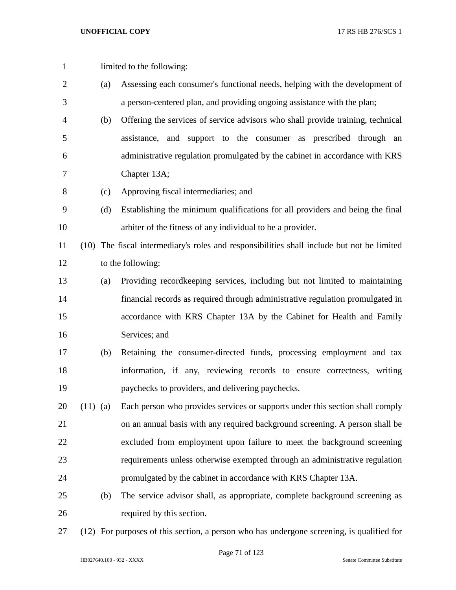| $\mathbf{1}$   |            |     | limited to the following:                                                                  |
|----------------|------------|-----|--------------------------------------------------------------------------------------------|
| $\overline{c}$ |            | (a) | Assessing each consumer's functional needs, helping with the development of                |
| 3              |            |     | a person-centered plan, and providing ongoing assistance with the plan;                    |
| 4              |            | (b) | Offering the services of service advisors who shall provide training, technical            |
| 5              |            |     | assistance, and support to the consumer as prescribed through an                           |
| 6              |            |     | administrative regulation promulgated by the cabinet in accordance with KRS                |
|                |            |     |                                                                                            |
| 7              |            |     | Chapter 13A;                                                                               |
| 8              |            | (c) | Approving fiscal intermediaries; and                                                       |
| 9              |            | (d) | Establishing the minimum qualifications for all providers and being the final              |
| 10             |            |     | arbiter of the fitness of any individual to be a provider.                                 |
| 11             |            |     | (10) The fiscal intermediary's roles and responsibilities shall include but not be limited |
| 12             |            |     | to the following:                                                                          |
| 13             |            | (a) | Providing recordkeeping services, including but not limited to maintaining                 |
| 14             |            |     | financial records as required through administrative regulation promulgated in             |
| 15             |            |     | accordance with KRS Chapter 13A by the Cabinet for Health and Family                       |
| 16             |            |     | Services; and                                                                              |
| 17             |            | (b) | Retaining the consumer-directed funds, processing employment and tax                       |
| 18             |            |     | information, if any, reviewing records to ensure correctness, writing                      |
| 19             |            |     | paychecks to providers, and delivering paychecks.                                          |
| 20             | $(11)$ (a) |     | Each person who provides services or supports under this section shall comply              |
| 21             |            |     | on an annual basis with any required background screening. A person shall be               |
| 22             |            |     | excluded from employment upon failure to meet the background screening                     |
| 23             |            |     | requirements unless otherwise exempted through an administrative regulation                |
| 24             |            |     | promulgated by the cabinet in accordance with KRS Chapter 13A.                             |
| 25             |            | (b) | The service advisor shall, as appropriate, complete background screening as                |
| 26             |            |     | required by this section.                                                                  |
|                |            |     |                                                                                            |

(12) For purposes of this section, a person who has undergone screening, is qualified for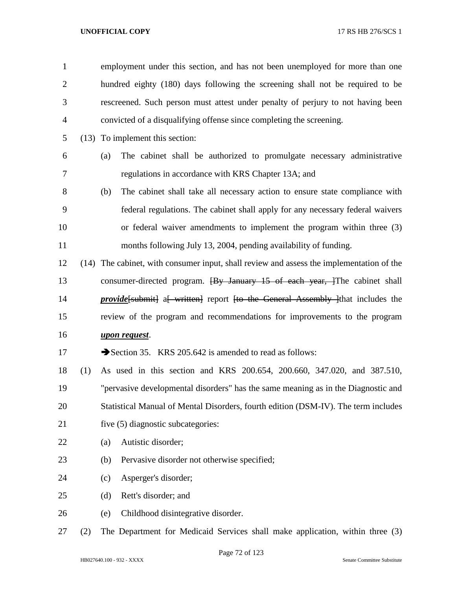| $\mathbf{1}$   |     | employment under this section, and has not been unemployed for more than one                  |
|----------------|-----|-----------------------------------------------------------------------------------------------|
| $\overline{2}$ |     | hundred eighty (180) days following the screening shall not be required to be                 |
| 3              |     | rescreened. Such person must attest under penalty of perjury to not having been               |
| $\overline{4}$ |     | convicted of a disqualifying offense since completing the screening.                          |
| 5              |     | (13) To implement this section:                                                               |
| 6              |     | The cabinet shall be authorized to promulgate necessary administrative<br>(a)                 |
| 7              |     | regulations in accordance with KRS Chapter 13A; and                                           |
| 8              |     | The cabinet shall take all necessary action to ensure state compliance with<br>(b)            |
| 9              |     | federal regulations. The cabinet shall apply for any necessary federal waivers                |
| 10             |     | or federal waiver amendments to implement the program within three (3)                        |
| 11             |     | months following July 13, 2004, pending availability of funding.                              |
| 12             |     | (14) The cabinet, with consumer input, shall review and assess the implementation of the      |
| 13             |     | consumer-directed program. <del>[By January 15 of each year, ]</del> The cabinet shall        |
| 14             |     | <i>provide</i> [submit] a written general content for the General Assembly linat includes the |
| 15             |     | review of the program and recommendations for improvements to the program                     |
| 16             |     | upon request.                                                                                 |
| 17             |     | Section 35. KRS 205.642 is amended to read as follows:                                        |
| 18             | (1) | As used in this section and KRS 200.654, 200.660, 347.020, and 387.510,                       |
| 19             |     | "pervasive developmental disorders" has the same meaning as in the Diagnostic and             |
| 20             |     | Statistical Manual of Mental Disorders, fourth edition (DSM-IV). The term includes            |
| 21             |     | five (5) diagnostic subcategories:                                                            |
| 22             |     | Autistic disorder;<br>(a)                                                                     |
| 23             |     | Pervasive disorder not otherwise specified;<br>(b)                                            |
| 24             |     | Asperger's disorder;<br>(c)                                                                   |
| 25             |     | Rett's disorder; and<br>(d)                                                                   |
| 26             |     | Childhood disintegrative disorder.<br>(e)                                                     |
| 27             | (2) | The Department for Medicaid Services shall make application, within three (3)                 |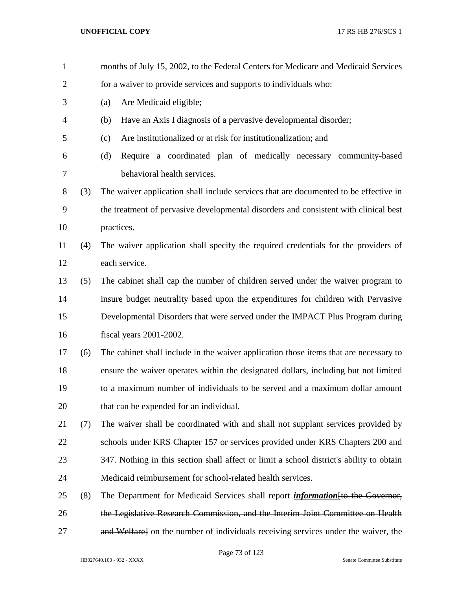| $\mathbf{1}$   |     | months of July 15, 2002, to the Federal Centers for Medicare and Medicaid Services       |
|----------------|-----|------------------------------------------------------------------------------------------|
| $\overline{2}$ |     | for a waiver to provide services and supports to individuals who:                        |
| 3              |     | Are Medicaid eligible;<br>(a)                                                            |
| 4              |     | Have an Axis I diagnosis of a pervasive developmental disorder;<br>(b)                   |
| 5              |     | Are institutionalized or at risk for institutionalization; and<br>(c)                    |
| 6              |     | Require a coordinated plan of medically necessary community-based<br>(d)                 |
| 7              |     | behavioral health services.                                                              |
| 8              | (3) | The waiver application shall include services that are documented to be effective in     |
| 9              |     | the treatment of pervasive developmental disorders and consistent with clinical best     |
| 10             |     | practices.                                                                               |
| 11             | (4) | The waiver application shall specify the required credentials for the providers of       |
| 12             |     | each service.                                                                            |
| 13             | (5) | The cabinet shall cap the number of children served under the waiver program to          |
| 14             |     | insure budget neutrality based upon the expenditures for children with Pervasive         |
| 15             |     | Developmental Disorders that were served under the IMPACT Plus Program during            |
| 16             |     | fiscal years 2001-2002.                                                                  |
| 17             | (6) | The cabinet shall include in the waiver application those items that are necessary to    |
| 18             |     | ensure the waiver operates within the designated dollars, including but not limited      |
| 19             |     | to a maximum number of individuals to be served and a maximum dollar amount              |
| 20             |     | that can be expended for an individual.                                                  |
| 21             | (7) | The waiver shall be coordinated with and shall not supplant services provided by         |
| 22             |     | schools under KRS Chapter 157 or services provided under KRS Chapters 200 and            |
| 23             |     | 347. Nothing in this section shall affect or limit a school district's ability to obtain |
| 24             |     | Medicaid reimbursement for school-related health services.                               |
| 25             | (8) | The Department for Medicaid Services shall report <i>information</i> [to the Governor,   |
| 26             |     | the Legislative Research Commission, and the Interim Joint Committee on Health           |
| 27             |     | and Welfare] on the number of individuals receiving services under the waiver, the       |

Page 73 of 123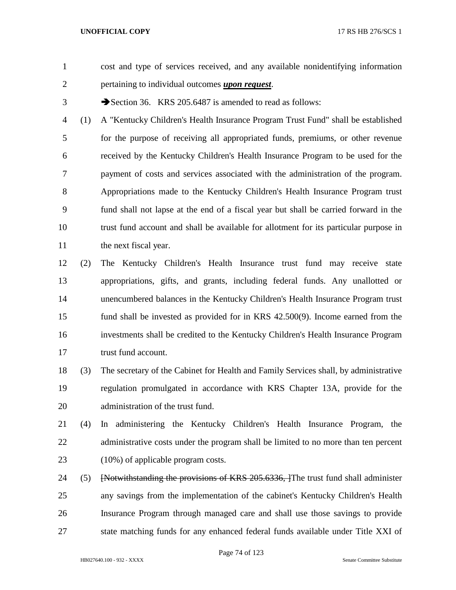- cost and type of services received, and any available nonidentifying information pertaining to individual outcomes *upon request*.
- 

3 Section 36. KRS 205.6487 is amended to read as follows:

 (1) A "Kentucky Children's Health Insurance Program Trust Fund" shall be established for the purpose of receiving all appropriated funds, premiums, or other revenue received by the Kentucky Children's Health Insurance Program to be used for the payment of costs and services associated with the administration of the program. Appropriations made to the Kentucky Children's Health Insurance Program trust fund shall not lapse at the end of a fiscal year but shall be carried forward in the trust fund account and shall be available for allotment for its particular purpose in 11 the next fiscal year.

 (2) The Kentucky Children's Health Insurance trust fund may receive state appropriations, gifts, and grants, including federal funds. Any unallotted or unencumbered balances in the Kentucky Children's Health Insurance Program trust fund shall be invested as provided for in KRS 42.500(9). Income earned from the investments shall be credited to the Kentucky Children's Health Insurance Program 17 trust fund account.

 (3) The secretary of the Cabinet for Health and Family Services shall, by administrative regulation promulgated in accordance with KRS Chapter 13A, provide for the administration of the trust fund.

- (4) In administering the Kentucky Children's Health Insurance Program, the 22 administrative costs under the program shall be limited to no more than ten percent 23 (10%) of applicable program costs.
- 24 (5) [Notwithstanding the provisions of KRS 205.6336, ] The trust fund shall administer any savings from the implementation of the cabinet's Kentucky Children's Health Insurance Program through managed care and shall use those savings to provide state matching funds for any enhanced federal funds available under Title XXI of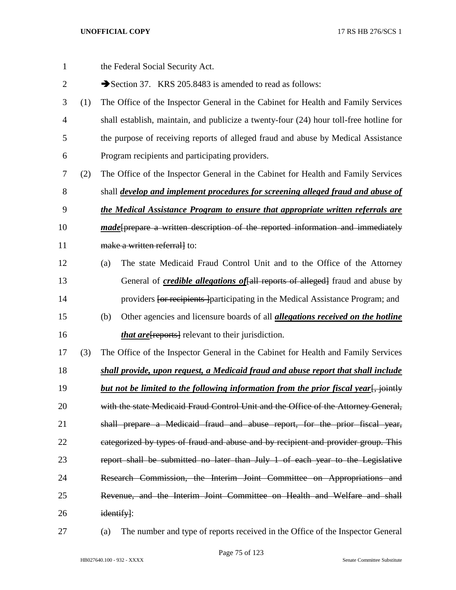| $\mathbf{1}$   |     | the Federal Social Security Act.                                                             |
|----------------|-----|----------------------------------------------------------------------------------------------|
| $\overline{c}$ |     | Section 37. KRS 205.8483 is amended to read as follows:                                      |
| 3              | (1) | The Office of the Inspector General in the Cabinet for Health and Family Services            |
| 4              |     | shall establish, maintain, and publicize a twenty-four (24) hour toll-free hotline for       |
| 5              |     | the purpose of receiving reports of alleged fraud and abuse by Medical Assistance            |
| 6              |     | Program recipients and participating providers.                                              |
| 7              | (2) | The Office of the Inspector General in the Cabinet for Health and Family Services            |
| 8              |     | shall <i>develop and implement procedures for screening alleged fraud and abuse of</i>       |
| 9              |     | the Medical Assistance Program to ensure that appropriate written referrals are              |
| 10             |     | made[prepare a written description of the reported information and immediately               |
| 11             |     | make a written referrall to:                                                                 |
| 12             |     | The state Medicaid Fraud Control Unit and to the Office of the Attorney<br>(a)               |
| 13             |     | General of <i>credible allegations of</i> [all reports of alleged] fraud and abuse by        |
| 14             |     | providers <i>for recipients Jparticipating</i> in the Medical Assistance Program; and        |
| 15             |     | Other agencies and licensure boards of all <i>allegations received on the hotline</i><br>(b) |
| 16             |     | <i>that are</i> [reports] relevant to their jurisdiction.                                    |
| 17             | (3) | The Office of the Inspector General in the Cabinet for Health and Family Services            |
| 18             |     | shall provide, upon request, a Medicaid fraud and abuse report that shall include            |
| 19             |     | but not be limited to the following information from the prior fiscal year. jointly          |
| 20             |     | with the state Medicaid Fraud Control Unit and the Office of the Attorney General,           |
| 21             |     | shall prepare a Medicaid fraud and abuse report, for the prior fiscal year,                  |
| 22             |     | eategorized by types of fraud and abuse and by recipient and provider group. This            |
| 23             |     | report shall be submitted no later than July 1 of each year to the Legislative               |
| 24             |     | Research Commission, the Interim Joint Committee on Appropriations and                       |
| 25             |     | Revenue, and the Interim Joint Committee on Health and Welfare and shall                     |
| 26             |     | identify]:                                                                                   |
|                |     |                                                                                              |

(a) The number and type of reports received in the Office of the Inspector General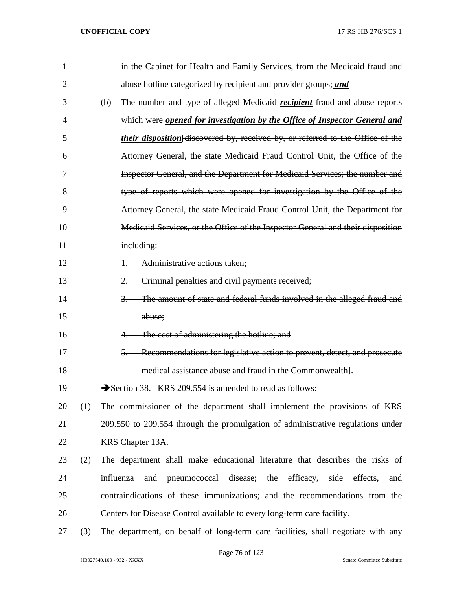| $\mathbf{1}$   |     | in the Cabinet for Health and Family Services, from the Medicaid fraud and                  |
|----------------|-----|---------------------------------------------------------------------------------------------|
| $\overline{2}$ |     | abuse hotline categorized by recipient and provider groups; and                             |
| 3              |     | The number and type of alleged Medicaid <i>recipient</i> fraud and abuse reports<br>(b)     |
| 4              |     | which were <b>opened for investigation by the Office of Inspector General and</b>           |
| 5              |     | <i>their disposition</i> [discovered by, received by, or referred to the Office of the      |
| 6              |     | Attorney General, the state Medicaid Fraud Control Unit, the Office of the                  |
| 7              |     | Inspector General, and the Department for Medicaid Services; the number and                 |
| 8              |     | type of reports which were opened for investigation by the Office of the                    |
| 9              |     | Attorney General, the state Medicaid Fraud Control Unit, the Department for                 |
| 10             |     | Medicaid Services, or the Office of the Inspector General and their disposition             |
| 11             |     | including:                                                                                  |
| 12             |     | Administrative actions taken;                                                               |
| 13             |     | Criminal penalties and civil payments received;<br>2                                        |
| 14             |     | The amount of state and federal funds involved in the alleged fraud and<br>$\overline{3}$ . |
| 15             |     | abuse;                                                                                      |
| 16             |     | The cost of administering the hotline; and                                                  |
| 17             |     | Recommendations for legislative action to prevent, detect, and prosecute<br>$5-$            |
| 18             |     | medical assistance abuse and fraud in the Commonwealth].                                    |
| 19             |     | Section 38. KRS 209.554 is amended to read as follows:                                      |
| 20             | (1) | The commissioner of the department shall implement the provisions of KRS                    |
| 21             |     | 209.550 to 209.554 through the promulgation of administrative regulations under             |
| 22             |     | KRS Chapter 13A.                                                                            |
| 23             | (2) | The department shall make educational literature that describes the risks of                |
| 24             |     | disease;<br>influenza<br>pneumococcal<br>the<br>efficacy,<br>side<br>effects,<br>and<br>and |
| 25             |     | contraindications of these immunizations; and the recommendations from the                  |
| 26             |     | Centers for Disease Control available to every long-term care facility.                     |
| 27             | (3) | The department, on behalf of long-term care facilities, shall negotiate with any            |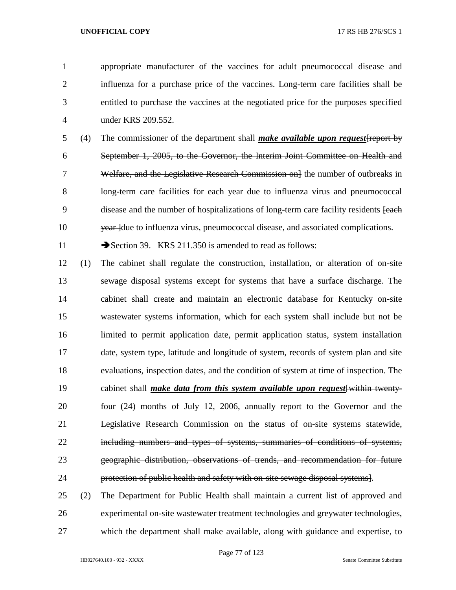appropriate manufacturer of the vaccines for adult pneumococcal disease and influenza for a purchase price of the vaccines. Long-term care facilities shall be entitled to purchase the vaccines at the negotiated price for the purposes specified under KRS 209.552.

 (4) The commissioner of the department shall *make available upon request*[report by September 1, 2005, to the Governor, the Interim Joint Committee on Health and 7 Welfare, and the Legislative Research Commission on lthe number of outbreaks in long-term care facilities for each year due to influenza virus and pneumococcal 9 disease and the number of hospitalizations of long-term care facility residents [each] 10 year due to influenza virus, pneumococcal disease, and associated complications.

11 Section 39. KRS 211.350 is amended to read as follows:

 (1) The cabinet shall regulate the construction, installation, or alteration of on-site sewage disposal systems except for systems that have a surface discharge. The cabinet shall create and maintain an electronic database for Kentucky on-site wastewater systems information, which for each system shall include but not be limited to permit application date, permit application status, system installation date, system type, latitude and longitude of system, records of system plan and site evaluations, inspection dates, and the condition of system at time of inspection. The cabinet shall *make data from this system available upon request*[within twenty- four (24) months of July 12, 2006, annually report to the Governor and the Legislative Research Commission on the status of on-site systems statewide, including numbers and types of systems, summaries of conditions of systems, geographic distribution, observations of trends, and recommendation for future protection of public health and safety with on-site sewage disposal systems].

 (2) The Department for Public Health shall maintain a current list of approved and experimental on-site wastewater treatment technologies and greywater technologies, which the department shall make available, along with guidance and expertise, to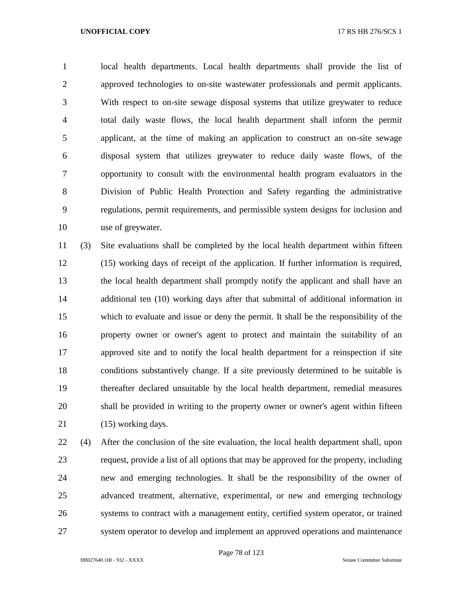local health departments. Local health departments shall provide the list of approved technologies to on-site wastewater professionals and permit applicants. With respect to on-site sewage disposal systems that utilize greywater to reduce total daily waste flows, the local health department shall inform the permit applicant, at the time of making an application to construct an on-site sewage disposal system that utilizes greywater to reduce daily waste flows, of the opportunity to consult with the environmental health program evaluators in the Division of Public Health Protection and Safety regarding the administrative regulations, permit requirements, and permissible system designs for inclusion and use of greywater.

 (3) Site evaluations shall be completed by the local health department within fifteen (15) working days of receipt of the application. If further information is required, the local health department shall promptly notify the applicant and shall have an additional ten (10) working days after that submittal of additional information in which to evaluate and issue or deny the permit. It shall be the responsibility of the property owner or owner's agent to protect and maintain the suitability of an approved site and to notify the local health department for a reinspection if site conditions substantively change. If a site previously determined to be suitable is thereafter declared unsuitable by the local health department, remedial measures shall be provided in writing to the property owner or owner's agent within fifteen 21 (15) working days.

 (4) After the conclusion of the site evaluation, the local health department shall, upon request, provide a list of all options that may be approved for the property, including new and emerging technologies. It shall be the responsibility of the owner of advanced treatment, alternative, experimental, or new and emerging technology systems to contract with a management entity, certified system operator, or trained system operator to develop and implement an approved operations and maintenance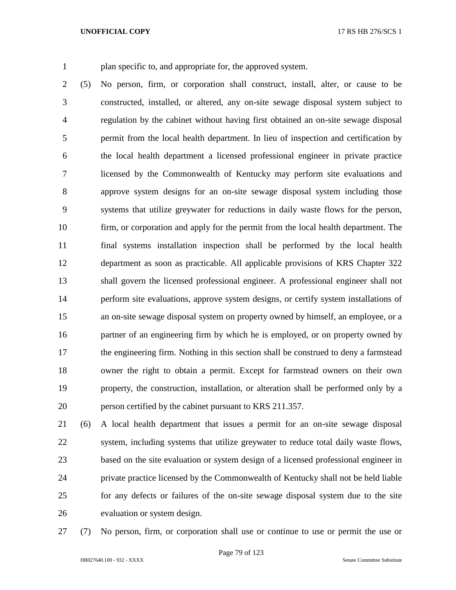plan specific to, and appropriate for, the approved system.

 (5) No person, firm, or corporation shall construct, install, alter, or cause to be constructed, installed, or altered, any on-site sewage disposal system subject to regulation by the cabinet without having first obtained an on-site sewage disposal permit from the local health department. In lieu of inspection and certification by the local health department a licensed professional engineer in private practice licensed by the Commonwealth of Kentucky may perform site evaluations and approve system designs for an on-site sewage disposal system including those systems that utilize greywater for reductions in daily waste flows for the person, firm, or corporation and apply for the permit from the local health department. The final systems installation inspection shall be performed by the local health department as soon as practicable. All applicable provisions of KRS Chapter 322 shall govern the licensed professional engineer. A professional engineer shall not perform site evaluations, approve system designs, or certify system installations of an on-site sewage disposal system on property owned by himself, an employee, or a partner of an engineering firm by which he is employed, or on property owned by 17 the engineering firm. Nothing in this section shall be construed to deny a farmstead owner the right to obtain a permit. Except for farmstead owners on their own property, the construction, installation, or alteration shall be performed only by a person certified by the cabinet pursuant to KRS 211.357.

 (6) A local health department that issues a permit for an on-site sewage disposal system, including systems that utilize greywater to reduce total daily waste flows, based on the site evaluation or system design of a licensed professional engineer in private practice licensed by the Commonwealth of Kentucky shall not be held liable for any defects or failures of the on-site sewage disposal system due to the site evaluation or system design.

(7) No person, firm, or corporation shall use or continue to use or permit the use or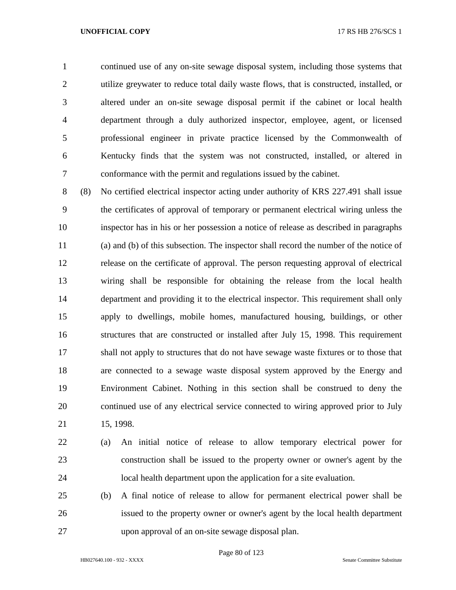continued use of any on-site sewage disposal system, including those systems that utilize greywater to reduce total daily waste flows, that is constructed, installed, or altered under an on-site sewage disposal permit if the cabinet or local health department through a duly authorized inspector, employee, agent, or licensed professional engineer in private practice licensed by the Commonwealth of Kentucky finds that the system was not constructed, installed, or altered in conformance with the permit and regulations issued by the cabinet.

 (8) No certified electrical inspector acting under authority of KRS 227.491 shall issue the certificates of approval of temporary or permanent electrical wiring unless the inspector has in his or her possession a notice of release as described in paragraphs (a) and (b) of this subsection. The inspector shall record the number of the notice of release on the certificate of approval. The person requesting approval of electrical wiring shall be responsible for obtaining the release from the local health department and providing it to the electrical inspector. This requirement shall only apply to dwellings, mobile homes, manufactured housing, buildings, or other structures that are constructed or installed after July 15, 1998. This requirement shall not apply to structures that do not have sewage waste fixtures or to those that are connected to a sewage waste disposal system approved by the Energy and Environment Cabinet. Nothing in this section shall be construed to deny the continued use of any electrical service connected to wiring approved prior to July 15, 1998.

 (a) An initial notice of release to allow temporary electrical power for construction shall be issued to the property owner or owner's agent by the local health department upon the application for a site evaluation.

 (b) A final notice of release to allow for permanent electrical power shall be issued to the property owner or owner's agent by the local health department upon approval of an on-site sewage disposal plan.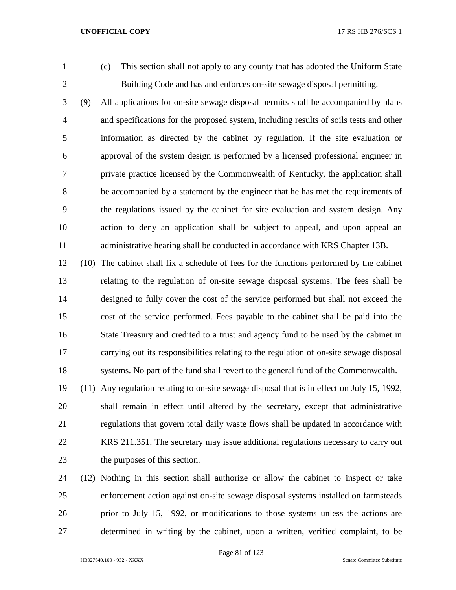(c) This section shall not apply to any county that has adopted the Uniform State Building Code and has and enforces on-site sewage disposal permitting.

 (9) All applications for on-site sewage disposal permits shall be accompanied by plans and specifications for the proposed system, including results of soils tests and other information as directed by the cabinet by regulation. If the site evaluation or approval of the system design is performed by a licensed professional engineer in private practice licensed by the Commonwealth of Kentucky, the application shall be accompanied by a statement by the engineer that he has met the requirements of the regulations issued by the cabinet for site evaluation and system design. Any action to deny an application shall be subject to appeal, and upon appeal an administrative hearing shall be conducted in accordance with KRS Chapter 13B.

 (10) The cabinet shall fix a schedule of fees for the functions performed by the cabinet relating to the regulation of on-site sewage disposal systems. The fees shall be designed to fully cover the cost of the service performed but shall not exceed the cost of the service performed. Fees payable to the cabinet shall be paid into the State Treasury and credited to a trust and agency fund to be used by the cabinet in carrying out its responsibilities relating to the regulation of on-site sewage disposal systems. No part of the fund shall revert to the general fund of the Commonwealth.

 (11) Any regulation relating to on-site sewage disposal that is in effect on July 15, 1992, shall remain in effect until altered by the secretary, except that administrative regulations that govern total daily waste flows shall be updated in accordance with KRS 211.351. The secretary may issue additional regulations necessary to carry out the purposes of this section.

 (12) Nothing in this section shall authorize or allow the cabinet to inspect or take enforcement action against on-site sewage disposal systems installed on farmsteads prior to July 15, 1992, or modifications to those systems unless the actions are determined in writing by the cabinet, upon a written, verified complaint, to be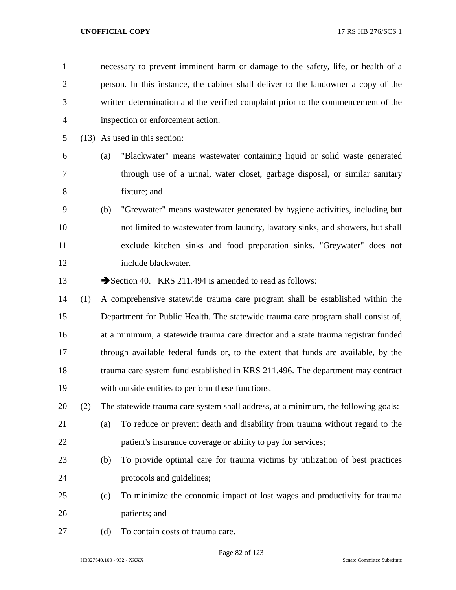| $\mathbf{1}$   |     |     | necessary to prevent imminent harm or damage to the safety, life, or health of a   |  |  |  |  |
|----------------|-----|-----|------------------------------------------------------------------------------------|--|--|--|--|
| $\overline{2}$ |     |     | person. In this instance, the cabinet shall deliver to the landowner a copy of the |  |  |  |  |
| 3              |     |     | written determination and the verified complaint prior to the commencement of the  |  |  |  |  |
| 4              |     |     | inspection or enforcement action.                                                  |  |  |  |  |
| 5              |     |     | (13) As used in this section:                                                      |  |  |  |  |
| 6              |     | (a) | "Blackwater" means wastewater containing liquid or solid waste generated           |  |  |  |  |
| 7              |     |     | through use of a urinal, water closet, garbage disposal, or similar sanitary       |  |  |  |  |
| 8              |     |     | fixture; and                                                                       |  |  |  |  |
| 9              |     | (b) | "Greywater" means wastewater generated by hygiene activities, including but        |  |  |  |  |
| 10             |     |     | not limited to wastewater from laundry, lavatory sinks, and showers, but shall     |  |  |  |  |
| 11             |     |     | exclude kitchen sinks and food preparation sinks. "Greywater" does not             |  |  |  |  |
| 12             |     |     | include blackwater.                                                                |  |  |  |  |
| 13             |     |     | Section 40. KRS 211.494 is amended to read as follows:                             |  |  |  |  |
| 14             | (1) |     | A comprehensive statewide trauma care program shall be established within the      |  |  |  |  |
| 15             |     |     | Department for Public Health. The statewide trauma care program shall consist of,  |  |  |  |  |
| 16             |     |     | at a minimum, a statewide trauma care director and a state trauma registrar funded |  |  |  |  |
| 17             |     |     | through available federal funds or, to the extent that funds are available, by the |  |  |  |  |
| 18             |     |     | trauma care system fund established in KRS 211.496. The department may contract    |  |  |  |  |
| 19             |     |     | with outside entities to perform these functions.                                  |  |  |  |  |
| 20             | (2) |     | The statewide trauma care system shall address, at a minimum, the following goals: |  |  |  |  |
| 21             |     | (a) | To reduce or prevent death and disability from trauma without regard to the        |  |  |  |  |
| 22             |     |     | patient's insurance coverage or ability to pay for services;                       |  |  |  |  |
| 23             |     | (b) | To provide optimal care for trauma victims by utilization of best practices        |  |  |  |  |
| 24             |     |     | protocols and guidelines;                                                          |  |  |  |  |
| 25             |     | (c) | To minimize the economic impact of lost wages and productivity for trauma          |  |  |  |  |
| 26             |     |     | patients; and                                                                      |  |  |  |  |
| 27             |     | (d) | To contain costs of trauma care.                                                   |  |  |  |  |

Page 82 of 123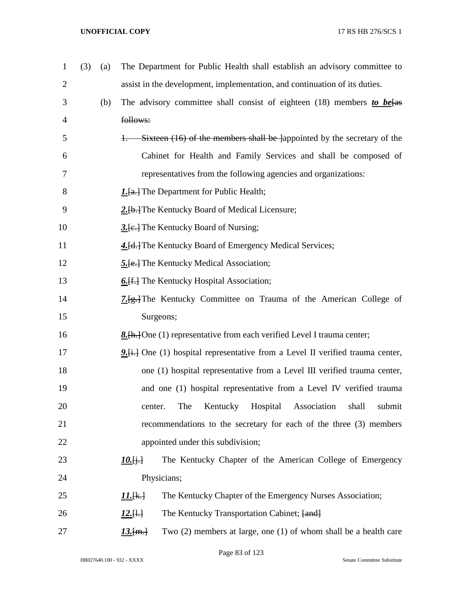| $\mathbf{1}$   | (3) | (a) | The Department for Public Health shall establish an advisory committee to          |
|----------------|-----|-----|------------------------------------------------------------------------------------|
| $\overline{2}$ |     |     | assist in the development, implementation, and continuation of its duties.         |
| 3              |     | (b) | The advisory committee shall consist of eighteen $(18)$ members to be [as          |
| 4              |     |     | follows:                                                                           |
| 5              |     |     | Sixteen (16) of the members shall be lappointed by the secretary of the            |
| 6              |     |     | Cabinet for Health and Family Services and shall be composed of                    |
| 7              |     |     | representatives from the following agencies and organizations:                     |
| 8              |     |     | <b>1.</b> [a.] The Department for Public Health;                                   |
| 9              |     |     | 2. [b.] The Kentucky Board of Medical Licensure;                                   |
| 10             |     |     | 3. [e.] The Kentucky Board of Nursing;                                             |
| 11             |     |     | 4. [d.] The Kentucky Board of Emergency Medical Services;                          |
| 12             |     |     | 5. [e.] The Kentucky Medical Association;                                          |
| 13             |     |     | 6. [f.] The Kentucky Hospital Association;                                         |
| 14             |     |     | 7. [g.] The Kentucky Committee on Trauma of the American College of                |
| 15             |     |     | Surgeons;                                                                          |
| 16             |     |     | <b>8.</b> [h. ] One (1) representative from each verified Level I trauma center;   |
| 17             |     |     | 9. [i.] One (1) hospital representative from a Level II verified trauma center,    |
| 18             |     |     | one (1) hospital representative from a Level III verified trauma center,           |
| 19             |     |     | and one (1) hospital representative from a Level IV verified trauma                |
| 20             |     |     | Kentucky Hospital<br>The<br>Association<br>shall<br>submit<br>center.              |
| 21             |     |     | recommendations to the secretary for each of the three (3) members                 |
| 22             |     |     | appointed under this subdivision;                                                  |
| 23             |     |     | The Kentucky Chapter of the American College of Emergency<br><u>10. [j.]</u>       |
| 24             |     |     | Physicians;                                                                        |
| 25             |     |     | The Kentucky Chapter of the Emergency Nurses Association;<br>$11.4 \pm 1$          |
| 26             |     |     | The Kentucky Transportation Cabinet; [and]<br>$12.[\frac{1}{2}]$                   |
| 27             |     |     | Two $(2)$ members at large, one $(1)$ of whom shall be a health care<br>$13.$ [m.] |

Page 83 of 123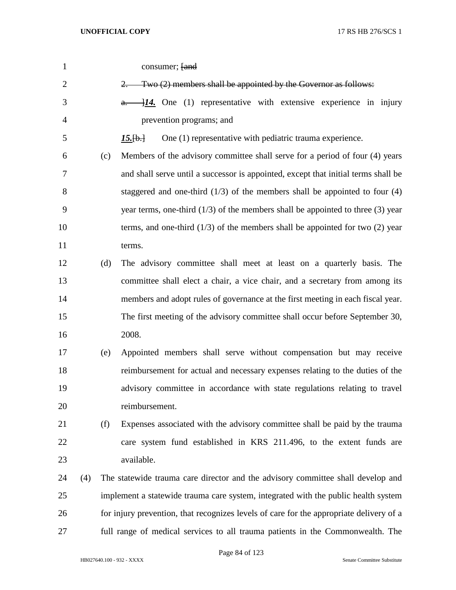| $\mathbf{1}$   |     |     | consumer; [and                                                                          |
|----------------|-----|-----|-----------------------------------------------------------------------------------------|
| $\overline{2}$ |     |     | Two (2) members shall be appointed by the Governor as follows:<br>$2 -$                 |
| 3              |     |     | $\frac{1}{4}$ . One (1) representative with extensive experience in injury<br>a.        |
| $\overline{4}$ |     |     | prevention programs; and                                                                |
| 5              |     |     | One (1) representative with pediatric trauma experience.<br><u>15. [b.]</u>             |
| 6              |     | (c) | Members of the advisory committee shall serve for a period of four (4) years            |
| 7              |     |     | and shall serve until a successor is appointed, except that initial terms shall be      |
| $8\,$          |     |     | staggered and one-third $(1/3)$ of the members shall be appointed to four $(4)$         |
| 9              |     |     | year terms, one-third $(1/3)$ of the members shall be appointed to three $(3)$ year     |
| 10             |     |     | terms, and one-third $(1/3)$ of the members shall be appointed for two $(2)$ year       |
| 11             |     |     | terms.                                                                                  |
| 12             |     | (d) | The advisory committee shall meet at least on a quarterly basis. The                    |
| 13             |     |     | committee shall elect a chair, a vice chair, and a secretary from among its             |
| 14             |     |     | members and adopt rules of governance at the first meeting in each fiscal year.         |
| 15             |     |     | The first meeting of the advisory committee shall occur before September 30,            |
| 16             |     |     | 2008.                                                                                   |
| 17             |     | (e) | Appointed members shall serve without compensation but may receive                      |
| 18             |     |     | reimbursement for actual and necessary expenses relating to the duties of the           |
| 19             |     |     | advisory committee in accordance with state regulations relating to travel              |
| 20             |     |     | reimbursement.                                                                          |
| 21             |     | (f) | Expenses associated with the advisory committee shall be paid by the trauma             |
| 22             |     |     | care system fund established in KRS 211.496, to the extent funds are                    |
| 23             |     |     | available.                                                                              |
| 24             | (4) |     | The statewide trauma care director and the advisory committee shall develop and         |
| 25             |     |     | implement a statewide trauma care system, integrated with the public health system      |
| 26             |     |     | for injury prevention, that recognizes levels of care for the appropriate delivery of a |
| 27             |     |     | full range of medical services to all trauma patients in the Commonwealth. The          |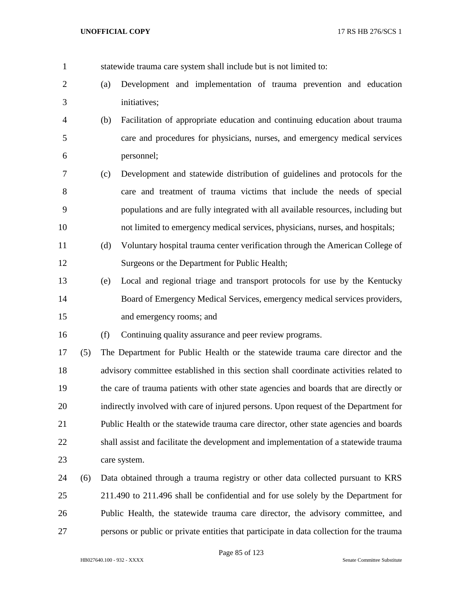- statewide trauma care system shall include but is not limited to:
- (a) Development and implementation of trauma prevention and education initiatives;
- (b) Facilitation of appropriate education and continuing education about trauma care and procedures for physicians, nurses, and emergency medical services personnel;
- (c) Development and statewide distribution of guidelines and protocols for the care and treatment of trauma victims that include the needs of special populations and are fully integrated with all available resources, including but not limited to emergency medical services, physicians, nurses, and hospitals;
- (d) Voluntary hospital trauma center verification through the American College of Surgeons or the Department for Public Health;
- (e) Local and regional triage and transport protocols for use by the Kentucky Board of Emergency Medical Services, emergency medical services providers, and emergency rooms; and

(f) Continuing quality assurance and peer review programs.

 (5) The Department for Public Health or the statewide trauma care director and the advisory committee established in this section shall coordinate activities related to the care of trauma patients with other state agencies and boards that are directly or indirectly involved with care of injured persons. Upon request of the Department for Public Health or the statewide trauma care director, other state agencies and boards shall assist and facilitate the development and implementation of a statewide trauma care system.

 (6) Data obtained through a trauma registry or other data collected pursuant to KRS 211.490 to 211.496 shall be confidential and for use solely by the Department for Public Health, the statewide trauma care director, the advisory committee, and persons or public or private entities that participate in data collection for the trauma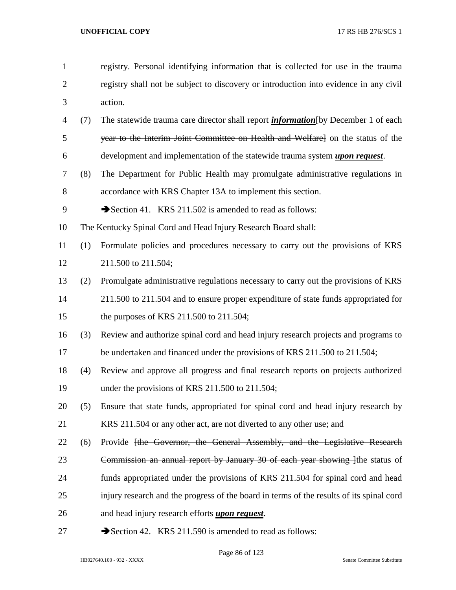registry shall not be subject to discovery or introduction into evidence in any civil action. (7) The statewide trauma care director shall report *information*[by December 1 of each year to the Interim Joint Committee on Health and Welfare] on the status of the development and implementation of the statewide trauma system *upon request*. (8) The Department for Public Health may promulgate administrative regulations in accordance with KRS Chapter 13A to implement this section. 9 Section 41. KRS 211.502 is amended to read as follows: The Kentucky Spinal Cord and Head Injury Research Board shall: (1) Formulate policies and procedures necessary to carry out the provisions of KRS 211.500 to 211.504; (2) Promulgate administrative regulations necessary to carry out the provisions of KRS 211.500 to 211.504 and to ensure proper expenditure of state funds appropriated for the purposes of KRS 211.500 to 211.504; (3) Review and authorize spinal cord and head injury research projects and programs to 17 be undertaken and financed under the provisions of KRS 211.500 to 211.504; (4) Review and approve all progress and final research reports on projects authorized 19 under the provisions of KRS 211.500 to 211.504; (5) Ensure that state funds, appropriated for spinal cord and head injury research by KRS 211.504 or any other act, are not diverted to any other use; and 22 (6) Provide <del>[the Governor, the General Assembly, and the Legislative Research</del> 23 Commission an annual report by January 30 of each year showing lthe status of funds appropriated under the provisions of KRS 211.504 for spinal cord and head injury research and the progress of the board in terms of the results of its spinal cord and head injury research efforts *upon request*. 27 Section 42. KRS 211.590 is amended to read as follows:

registry. Personal identifying information that is collected for use in the trauma

Page 86 of 123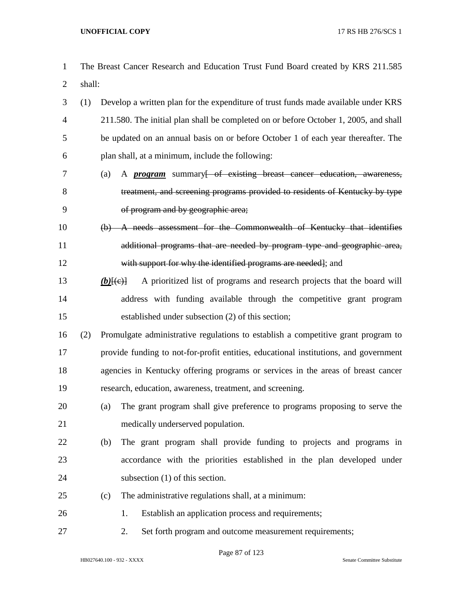- The Breast Cancer Research and Education Trust Fund Board created by KRS 211.585 shall:
- (1) Develop a written plan for the expenditure of trust funds made available under KRS 211.580. The initial plan shall be completed on or before October 1, 2005, and shall be updated on an annual basis on or before October 1 of each year thereafter. The plan shall, at a minimum, include the following:
- (a) A *program* summary[ of existing breast cancer education, awareness, treatment, and screening programs provided to residents of Kentucky by type of program and by geographic area;
- (b) A needs assessment for the Commonwealth of Kentucky that identifies additional programs that are needed by program type and geographic area, with support for why the identified programs are needed]; and
- 13 *(b)* $(\epsilon)$  A prioritized list of programs and research projects that the board will address with funding available through the competitive grant program established under subsection (2) of this section;
- (2) Promulgate administrative regulations to establish a competitive grant program to provide funding to not-for-profit entities, educational institutions, and government agencies in Kentucky offering programs or services in the areas of breast cancer research, education, awareness, treatment, and screening.
- (a) The grant program shall give preference to programs proposing to serve the medically underserved population.
- (b) The grant program shall provide funding to projects and programs in accordance with the priorities established in the plan developed under subsection (1) of this section.
- (c) The administrative regulations shall, at a minimum:
- 26 1. Establish an application process and requirements;
- 2. Set forth program and outcome measurement requirements;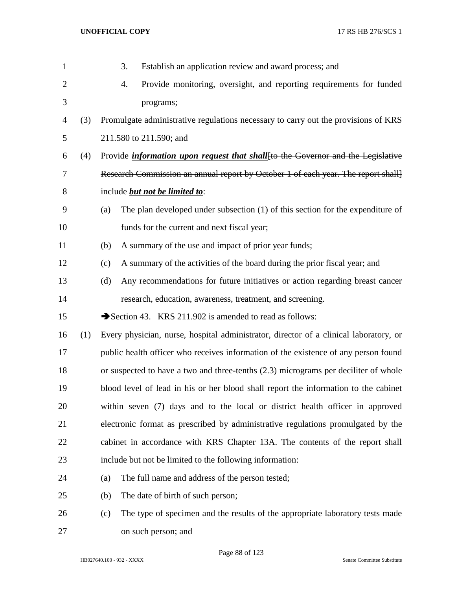| $\mathbf{1}$   |     | 3.<br>Establish an application review and award process; and                            |  |  |
|----------------|-----|-----------------------------------------------------------------------------------------|--|--|
| $\overline{2}$ |     | Provide monitoring, oversight, and reporting requirements for funded<br>4.              |  |  |
| 3              |     | programs;                                                                               |  |  |
| 4              | (3) | Promulgate administrative regulations necessary to carry out the provisions of KRS      |  |  |
| 5              |     | 211.580 to 211.590; and                                                                 |  |  |
| 6              | (4) | Provide <i>information upon request that shall</i> [to the Governor and the Legislative |  |  |
| 7              |     | Research Commission an annual report by October 1 of each year. The report shall        |  |  |
| 8              |     | include <b>but not be limited to:</b>                                                   |  |  |
| 9              |     | The plan developed under subsection $(1)$ of this section for the expenditure of<br>(a) |  |  |
| 10             |     | funds for the current and next fiscal year;                                             |  |  |
| 11             |     | A summary of the use and impact of prior year funds;<br>(b)                             |  |  |
| 12             |     | A summary of the activities of the board during the prior fiscal year; and<br>(c)       |  |  |
| 13             |     | Any recommendations for future initiatives or action regarding breast cancer<br>(d)     |  |  |
| 14             |     | research, education, awareness, treatment, and screening.                               |  |  |
| 15             |     | Section 43. KRS 211.902 is amended to read as follows:                                  |  |  |
| 16             | (1) | Every physician, nurse, hospital administrator, director of a clinical laboratory, or   |  |  |
| 17             |     | public health officer who receives information of the existence of any person found     |  |  |
| 18             |     | or suspected to have a two and three-tenths (2.3) micrograms per deciliter of whole     |  |  |
| 19             |     | blood level of lead in his or her blood shall report the information to the cabinet     |  |  |
| 20             |     | within seven (7) days and to the local or district health officer in approved           |  |  |
| 21             |     | electronic format as prescribed by administrative regulations promulgated by the        |  |  |
| 22             |     | cabinet in accordance with KRS Chapter 13A. The contents of the report shall            |  |  |
| 23             |     | include but not be limited to the following information:                                |  |  |
| 24             |     | The full name and address of the person tested;<br>(a)                                  |  |  |
| 25             |     | The date of birth of such person;<br>(b)                                                |  |  |
| 26             |     | The type of specimen and the results of the appropriate laboratory tests made<br>(c)    |  |  |
| 27             |     | on such person; and                                                                     |  |  |

Page 88 of 123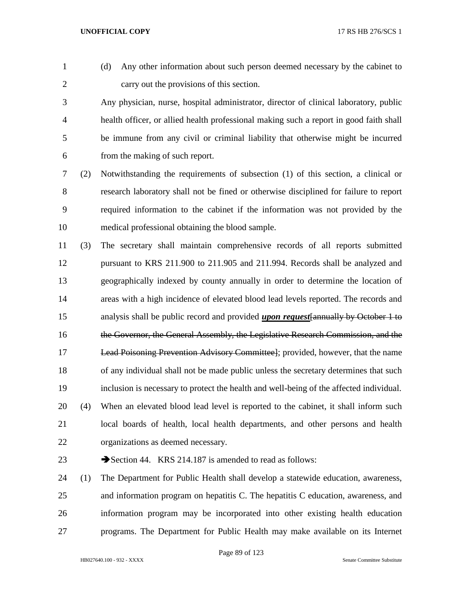- 
- (d) Any other information about such person deemed necessary by the cabinet to carry out the provisions of this section.

 Any physician, nurse, hospital administrator, director of clinical laboratory, public health officer, or allied health professional making such a report in good faith shall be immune from any civil or criminal liability that otherwise might be incurred from the making of such report.

 (2) Notwithstanding the requirements of subsection (1) of this section, a clinical or research laboratory shall not be fined or otherwise disciplined for failure to report required information to the cabinet if the information was not provided by the medical professional obtaining the blood sample.

 (3) The secretary shall maintain comprehensive records of all reports submitted pursuant to KRS 211.900 to 211.905 and 211.994. Records shall be analyzed and geographically indexed by county annually in order to determine the location of areas with a high incidence of elevated blood lead levels reported. The records and analysis shall be public record and provided *upon request*[annually by October 1 to the Governor, the General Assembly, the Legislative Research Commission, and the Lead Poisoning Prevention Advisory Committee]; provided, however, that the name of any individual shall not be made public unless the secretary determines that such inclusion is necessary to protect the health and well-being of the affected individual. (4) When an elevated blood lead level is reported to the cabinet, it shall inform such local boards of health, local health departments, and other persons and health organizations as deemed necessary.

23 Section 44. KRS 214.187 is amended to read as follows:

 (1) The Department for Public Health shall develop a statewide education, awareness, and information program on hepatitis C. The hepatitis C education, awareness, and information program may be incorporated into other existing health education programs. The Department for Public Health may make available on its Internet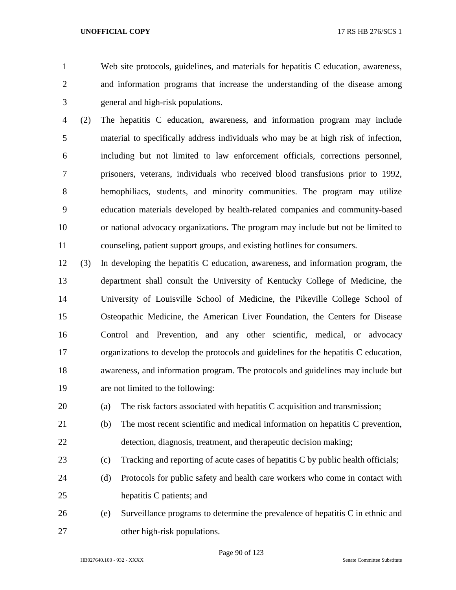Web site protocols, guidelines, and materials for hepatitis C education, awareness, and information programs that increase the understanding of the disease among general and high-risk populations.

 (2) The hepatitis C education, awareness, and information program may include material to specifically address individuals who may be at high risk of infection, including but not limited to law enforcement officials, corrections personnel, prisoners, veterans, individuals who received blood transfusions prior to 1992, hemophiliacs, students, and minority communities. The program may utilize education materials developed by health-related companies and community-based or national advocacy organizations. The program may include but not be limited to counseling, patient support groups, and existing hotlines for consumers.

 (3) In developing the hepatitis C education, awareness, and information program, the department shall consult the University of Kentucky College of Medicine, the University of Louisville School of Medicine, the Pikeville College School of Osteopathic Medicine, the American Liver Foundation, the Centers for Disease Control and Prevention, and any other scientific, medical, or advocacy organizations to develop the protocols and guidelines for the hepatitis C education, awareness, and information program. The protocols and guidelines may include but are not limited to the following:

(a) The risk factors associated with hepatitis C acquisition and transmission;

- (b) The most recent scientific and medical information on hepatitis C prevention, detection, diagnosis, treatment, and therapeutic decision making;
- (c) Tracking and reporting of acute cases of hepatitis C by public health officials;
- (d) Protocols for public safety and health care workers who come in contact with hepatitis C patients; and
- (e) Surveillance programs to determine the prevalence of hepatitis C in ethnic and other high-risk populations.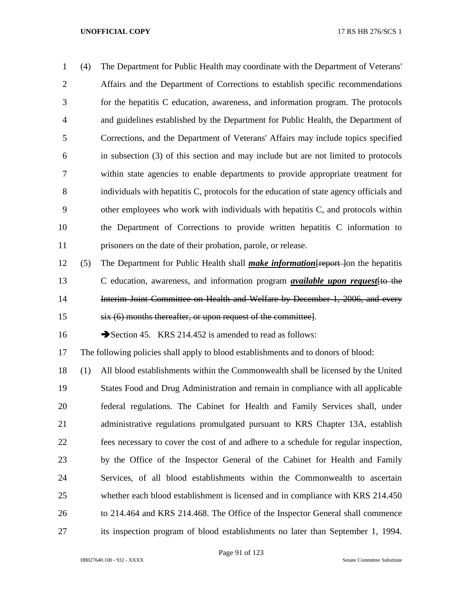- (4) The Department for Public Health may coordinate with the Department of Veterans' Affairs and the Department of Corrections to establish specific recommendations for the hepatitis C education, awareness, and information program. The protocols and guidelines established by the Department for Public Health, the Department of Corrections, and the Department of Veterans' Affairs may include topics specified in subsection (3) of this section and may include but are not limited to protocols within state agencies to enable departments to provide appropriate treatment for individuals with hepatitis C, protocols for the education of state agency officials and other employees who work with individuals with hepatitis C, and protocols within the Department of Corrections to provide written hepatitis C information to prisoners on the date of their probation, parole, or release.
- (5) The Department for Public Health shall *make information*[report ]on the hepatitis C education, awareness, and information program *available upon request*[to the 14 Interim Joint Committee on Health and Welfare by December 1, 2006, and every six (6) months thereafter, or upon request of the committee].

16 Section 45. KRS 214.452 is amended to read as follows:

The following policies shall apply to blood establishments and to donors of blood:

 (1) All blood establishments within the Commonwealth shall be licensed by the United States Food and Drug Administration and remain in compliance with all applicable federal regulations. The Cabinet for Health and Family Services shall, under administrative regulations promulgated pursuant to KRS Chapter 13A, establish fees necessary to cover the cost of and adhere to a schedule for regular inspection, by the Office of the Inspector General of the Cabinet for Health and Family Services, of all blood establishments within the Commonwealth to ascertain whether each blood establishment is licensed and in compliance with KRS 214.450 to 214.464 and KRS 214.468. The Office of the Inspector General shall commence its inspection program of blood establishments no later than September 1, 1994.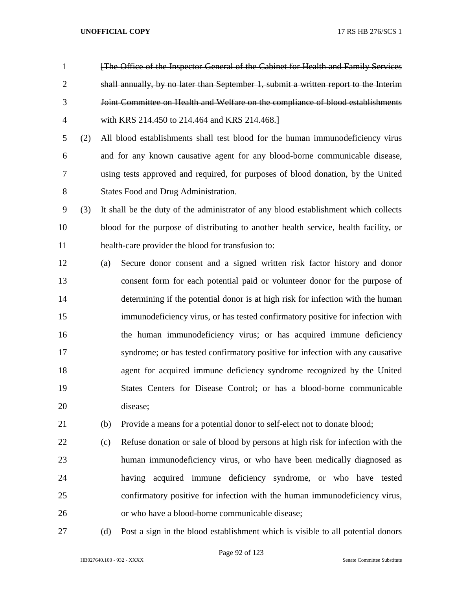- [The Office of the Inspector General of the Cabinet for Health and Family Services shall annually, by no later than September 1, submit a written report to the Interim Joint Committee on Health and Welfare on the compliance of blood establishments with KRS 214.450 to 214.464 and KRS 214.468.]
- (2) All blood establishments shall test blood for the human immunodeficiency virus and for any known causative agent for any blood-borne communicable disease, using tests approved and required, for purposes of blood donation, by the United States Food and Drug Administration.
- (3) It shall be the duty of the administrator of any blood establishment which collects blood for the purpose of distributing to another health service, health facility, or health-care provider the blood for transfusion to:
- (a) Secure donor consent and a signed written risk factor history and donor consent form for each potential paid or volunteer donor for the purpose of determining if the potential donor is at high risk for infection with the human immunodeficiency virus, or has tested confirmatory positive for infection with the human immunodeficiency virus; or has acquired immune deficiency syndrome; or has tested confirmatory positive for infection with any causative agent for acquired immune deficiency syndrome recognized by the United States Centers for Disease Control; or has a blood-borne communicable disease;
- (b) Provide a means for a potential donor to self-elect not to donate blood;
- (c) Refuse donation or sale of blood by persons at high risk for infection with the human immunodeficiency virus, or who have been medically diagnosed as having acquired immune deficiency syndrome, or who have tested confirmatory positive for infection with the human immunodeficiency virus, or who have a blood-borne communicable disease;
- 

(d) Post a sign in the blood establishment which is visible to all potential donors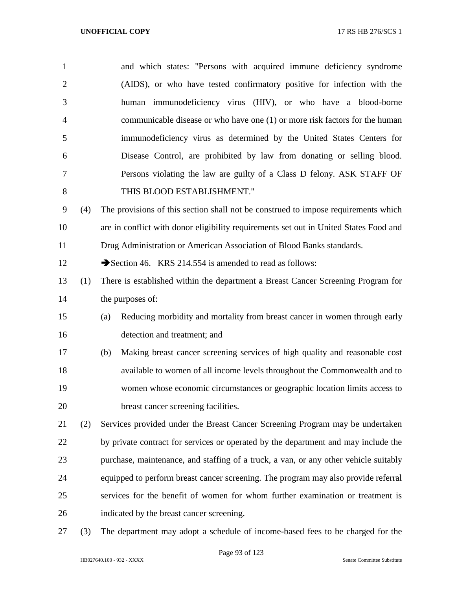| $\mathbf{1}$   |     | and which states: "Persons with acquired immune deficiency syndrome                   |
|----------------|-----|---------------------------------------------------------------------------------------|
| $\overline{2}$ |     | (AIDS), or who have tested confirmatory positive for infection with the               |
| 3              |     | human immunodeficiency virus (HIV), or who have a blood-borne                         |
| 4              |     | communicable disease or who have one (1) or more risk factors for the human           |
| 5              |     | immunodeficiency virus as determined by the United States Centers for                 |
| 6              |     | Disease Control, are prohibited by law from donating or selling blood.                |
| 7              |     | Persons violating the law are guilty of a Class D felony. ASK STAFF OF                |
| 8              |     | THIS BLOOD ESTABLISHMENT."                                                            |
| 9              | (4) | The provisions of this section shall not be construed to impose requirements which    |
| 10             |     | are in conflict with donor eligibility requirements set out in United States Food and |
| 11             |     | Drug Administration or American Association of Blood Banks standards.                 |
| 12             |     | Section 46. KRS 214.554 is amended to read as follows:                                |
| 13             | (1) | There is established within the department a Breast Cancer Screening Program for      |
| 14             |     | the purposes of:                                                                      |
| 15             |     | Reducing morbidity and mortality from breast cancer in women through early<br>(a)     |
| 16             |     | detection and treatment; and                                                          |
| 17             |     | Making breast cancer screening services of high quality and reasonable cost<br>(b)    |
| 18             |     | available to women of all income levels throughout the Commonwealth and to            |
| 19             |     | women whose economic circumstances or geographic location limits access to            |
| 20             |     | breast cancer screening facilities.                                                   |
| 21             | (2) | Services provided under the Breast Cancer Screening Program may be undertaken         |
| 22             |     | by private contract for services or operated by the department and may include the    |
| 23             |     | purchase, maintenance, and staffing of a truck, a van, or any other vehicle suitably  |
| 24             |     | equipped to perform breast cancer screening. The program may also provide referral    |
| 25             |     | services for the benefit of women for whom further examination or treatment is        |
| 26             |     | indicated by the breast cancer screening.                                             |
|                |     |                                                                                       |

(3) The department may adopt a schedule of income-based fees to be charged for the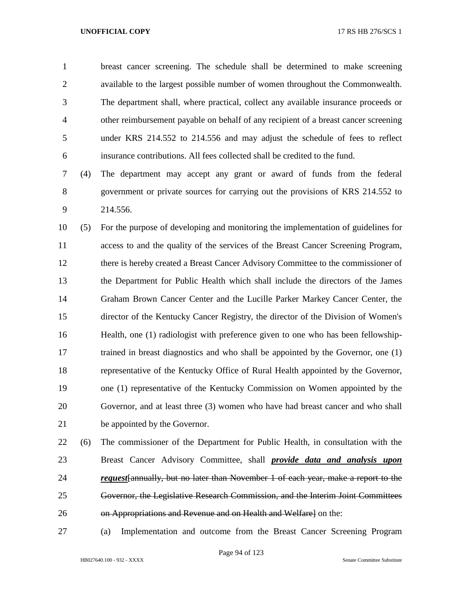breast cancer screening. The schedule shall be determined to make screening available to the largest possible number of women throughout the Commonwealth. The department shall, where practical, collect any available insurance proceeds or other reimbursement payable on behalf of any recipient of a breast cancer screening under KRS 214.552 to 214.556 and may adjust the schedule of fees to reflect insurance contributions. All fees collected shall be credited to the fund.

 (4) The department may accept any grant or award of funds from the federal government or private sources for carrying out the provisions of KRS 214.552 to 214.556.

 (5) For the purpose of developing and monitoring the implementation of guidelines for access to and the quality of the services of the Breast Cancer Screening Program, there is hereby created a Breast Cancer Advisory Committee to the commissioner of the Department for Public Health which shall include the directors of the James Graham Brown Cancer Center and the Lucille Parker Markey Cancer Center, the director of the Kentucky Cancer Registry, the director of the Division of Women's Health, one (1) radiologist with preference given to one who has been fellowship- trained in breast diagnostics and who shall be appointed by the Governor, one (1) representative of the Kentucky Office of Rural Health appointed by the Governor, one (1) representative of the Kentucky Commission on Women appointed by the Governor, and at least three (3) women who have had breast cancer and who shall be appointed by the Governor.

 (6) The commissioner of the Department for Public Health, in consultation with the Breast Cancer Advisory Committee, shall *provide data and analysis upon request*[annually, but no later than November 1 of each year, make a report to the Governor, the Legislative Research Commission, and the Interim Joint Committees on Appropriations and Revenue and on Health and Welfare] on the:

(a) Implementation and outcome from the Breast Cancer Screening Program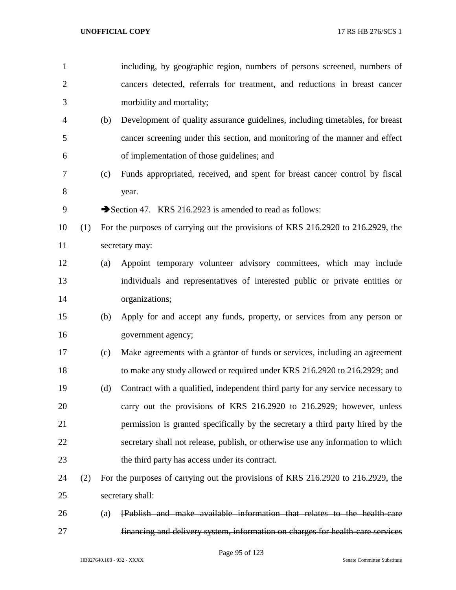| $\mathbf{1}$   |     |     | including, by geographic region, numbers of persons screened, numbers of         |
|----------------|-----|-----|----------------------------------------------------------------------------------|
| $\overline{2}$ |     |     | cancers detected, referrals for treatment, and reductions in breast cancer       |
| 3              |     |     | morbidity and mortality;                                                         |
| 4              |     | (b) | Development of quality assurance guidelines, including timetables, for breast    |
| 5              |     |     | cancer screening under this section, and monitoring of the manner and effect     |
| 6              |     |     | of implementation of those guidelines; and                                       |
| 7              |     | (c) | Funds appropriated, received, and spent for breast cancer control by fiscal      |
| 8              |     |     | year.                                                                            |
| 9              |     |     | Section 47. KRS 216.2923 is amended to read as follows:                          |
| 10             | (1) |     | For the purposes of carrying out the provisions of KRS 216.2920 to 216.2929, the |
| 11             |     |     | secretary may:                                                                   |
| 12             |     | (a) | Appoint temporary volunteer advisory committees, which may include               |
| 13             |     |     | individuals and representatives of interested public or private entities or      |
| 14             |     |     | organizations;                                                                   |
| 15             |     | (b) | Apply for and accept any funds, property, or services from any person or         |
| 16             |     |     | government agency;                                                               |
| 17             |     | (c) | Make agreements with a grantor of funds or services, including an agreement      |
| 18             |     |     | to make any study allowed or required under KRS 216.2920 to 216.2929; and        |
| 19             |     | (d) | Contract with a qualified, independent third party for any service necessary to  |
| 20             |     |     | carry out the provisions of KRS 216.2920 to 216.2929; however, unless            |
| 21             |     |     | permission is granted specifically by the secretary a third party hired by the   |
| 22             |     |     | secretary shall not release, publish, or otherwise use any information to which  |
| 23             |     |     | the third party has access under its contract.                                   |
| 24             | (2) |     | For the purposes of carrying out the provisions of KRS 216.2920 to 216.2929, the |
| 25             |     |     | secretary shall:                                                                 |
| 26             |     | (a) | [Publish and make available information that relates to the health-care          |

financing and delivery system, information on charges for health-care services

Page 95 of 123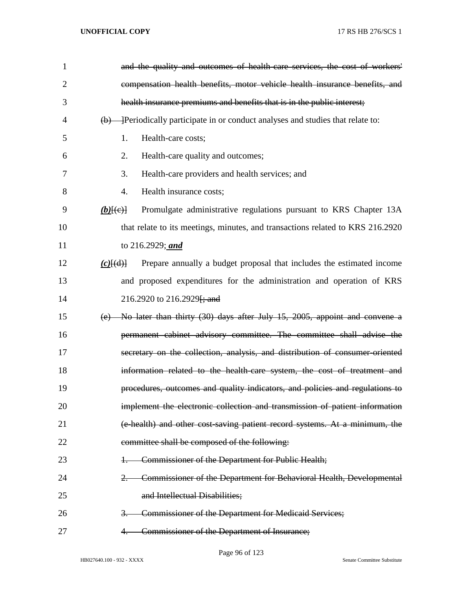| 1              | and the quality and outcomes of health care services, the cost of workers'             |
|----------------|----------------------------------------------------------------------------------------|
| $\overline{2}$ | compensation health benefits, motor vehicle health insurance benefits, and             |
| 3              | health insurance premiums and benefits that is in the public interest;                 |
| $\overline{4}$ | (b) Periodically participate in or conduct analyses and studies that relate to:        |
| 5              | Health-care costs;<br>1.                                                               |
| 6              | 2.<br>Health-care quality and outcomes;                                                |
| 7              | Health-care providers and health services; and<br>3.                                   |
| 8              | Health insurance costs;<br>4.                                                          |
| 9              | Promulgate administrative regulations pursuant to KRS Chapter 13A<br>$(b)$ [(e)]       |
| 10             | that relate to its meetings, minutes, and transactions related to KRS 216.2920         |
| 11             | to 216.2929; and                                                                       |
| 12             | Prepare annually a budget proposal that includes the estimated income<br>$(c)$ $\{d\}$ |
| 13             | and proposed expenditures for the administration and operation of KRS                  |
| 14             | 216.2920 to 216.2929 <del>[; and</del>                                                 |
| 15             | (e) No later than thirty (30) days after July 15, 2005, appoint and convene a          |
| 16             | permanent cabinet advisory committee. The committee shall advise the                   |
| 17             | secretary on the collection, analysis, and distribution of consumer-oriented           |
| 18             | information related to the health-care system, the cost of treatment and               |
| 19             | procedures, outcomes and quality indicators, and policies and regulations to           |
| 20             | implement the electronic collection and transmission of patient information            |
| 21             | (e-health) and other cost-saving patient record systems. At a minimum, the             |
| 22             | committee shall be composed of the following:                                          |
| 23             | Commissioner of the Department for Public Health;                                      |
| 24             | Commissioner of the Department for Behavioral Health, Developmental                    |
| 25             | and Intellectual Disabilities;                                                         |
| 26             | Commissioner of the Department for Medicaid Services;<br><del>3.</del>                 |
| 27             | Commissioner of the Department of Insurance;<br>4.                                     |

Page 96 of 123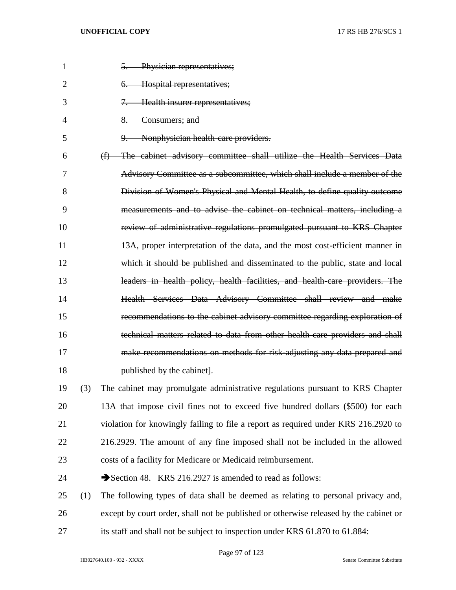| 1  |     | Physician representatives;<br>$5-$                                                    |
|----|-----|---------------------------------------------------------------------------------------|
| 2  |     | Hospital representatives;<br>6.                                                       |
| 3  |     | Health insurer representatives;<br>7                                                  |
| 4  |     | 8.<br>Consumers; and                                                                  |
| 5  |     | Nonphysician health-care providers.<br>9.                                             |
| 6  |     | The cabinet advisory committee shall utilize the Health Services Data<br>(f)          |
| 7  |     | Advisory Committee as a subcommittee, which shall include a member of the             |
| 8  |     | Division of Women's Physical and Mental Health, to define quality outcome             |
| 9  |     | measurements and to advise the cabinet on technical matters, including a              |
| 10 |     | review of administrative regulations promulgated pursuant to KRS Chapter              |
| 11 |     | 13A, proper interpretation of the data, and the most cost efficient manner in         |
| 12 |     | which it should be published and disseminated to the public, state and local          |
| 13 |     | leaders in health policy, health facilities, and health care providers. The           |
| 14 |     | Health Services Data Advisory Committee shall review and make                         |
| 15 |     | recommendations to the cabinet advisory committee regarding exploration of            |
| 16 |     | technical matters related to data from other health-care providers and shall          |
| 17 |     | make recommendations on methods for risk-adjusting any data prepared and              |
| 18 |     | published by the cabinet.                                                             |
| 19 | (3) | The cabinet may promulgate administrative regulations pursuant to KRS Chapter         |
| 20 |     | 13A that impose civil fines not to exceed five hundred dollars (\$500) for each       |
| 21 |     | violation for knowingly failing to file a report as required under KRS 216.2920 to    |
| 22 |     | 216.2929. The amount of any fine imposed shall not be included in the allowed         |
| 23 |     | costs of a facility for Medicare or Medicaid reimbursement.                           |
| 24 |     | Section 48. KRS 216.2927 is amended to read as follows:                               |
| 25 | (1) | The following types of data shall be deemed as relating to personal privacy and,      |
| 26 |     | except by court order, shall not be published or otherwise released by the cabinet or |
| 27 |     | its staff and shall not be subject to inspection under KRS 61.870 to 61.884:          |

Page 97 of 123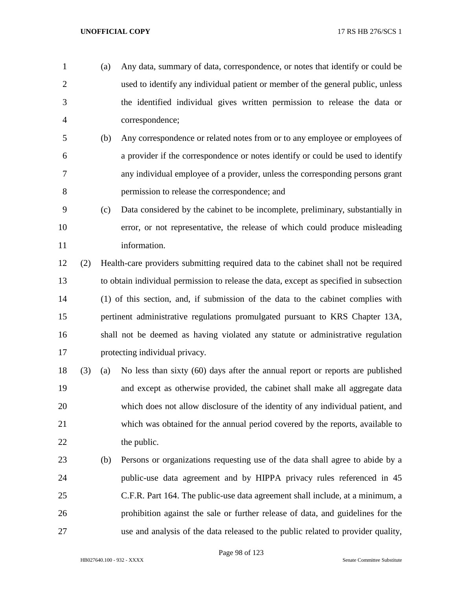- (a) Any data, summary of data, correspondence, or notes that identify or could be used to identify any individual patient or member of the general public, unless the identified individual gives written permission to release the data or correspondence;
- (b) Any correspondence or related notes from or to any employee or employees of a provider if the correspondence or notes identify or could be used to identify any individual employee of a provider, unless the corresponding persons grant permission to release the correspondence; and
- (c) Data considered by the cabinet to be incomplete, preliminary, substantially in error, or not representative, the release of which could produce misleading 11 information.
- (2) Health-care providers submitting required data to the cabinet shall not be required to obtain individual permission to release the data, except as specified in subsection (1) of this section, and, if submission of the data to the cabinet complies with pertinent administrative regulations promulgated pursuant to KRS Chapter 13A, shall not be deemed as having violated any statute or administrative regulation protecting individual privacy.
- (3) (a) No less than sixty (60) days after the annual report or reports are published and except as otherwise provided, the cabinet shall make all aggregate data which does not allow disclosure of the identity of any individual patient, and which was obtained for the annual period covered by the reports, available to 22 the public.
- (b) Persons or organizations requesting use of the data shall agree to abide by a public-use data agreement and by HIPPA privacy rules referenced in 45 C.F.R. Part 164. The public-use data agreement shall include, at a minimum, a prohibition against the sale or further release of data, and guidelines for the use and analysis of the data released to the public related to provider quality,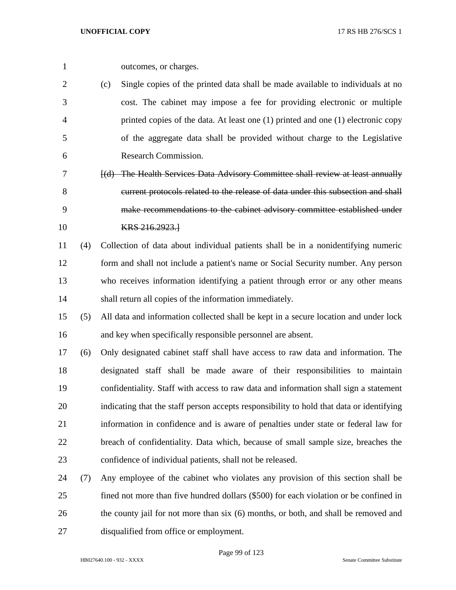| outcomes, or charges. |
|-----------------------|
|                       |

 (c) Single copies of the printed data shall be made available to individuals at no cost. The cabinet may impose a fee for providing electronic or multiple printed copies of the data. At least one (1) printed and one (1) electronic copy of the aggregate data shall be provided without charge to the Legislative Research Commission.

 [(d) The Health Services Data Advisory Committee shall review at least annually current protocols related to the release of data under this subsection and shall make recommendations to the cabinet advisory committee established under **KRS** 216.2923.

 (4) Collection of data about individual patients shall be in a nonidentifying numeric form and shall not include a patient's name or Social Security number. Any person who receives information identifying a patient through error or any other means shall return all copies of the information immediately.

 (5) All data and information collected shall be kept in a secure location and under lock and key when specifically responsible personnel are absent.

 (6) Only designated cabinet staff shall have access to raw data and information. The designated staff shall be made aware of their responsibilities to maintain confidentiality. Staff with access to raw data and information shall sign a statement indicating that the staff person accepts responsibility to hold that data or identifying information in confidence and is aware of penalties under state or federal law for breach of confidentiality. Data which, because of small sample size, breaches the confidence of individual patients, shall not be released.

 (7) Any employee of the cabinet who violates any provision of this section shall be fined not more than five hundred dollars (\$500) for each violation or be confined in 26 the county jail for not more than six (6) months, or both, and shall be removed and disqualified from office or employment.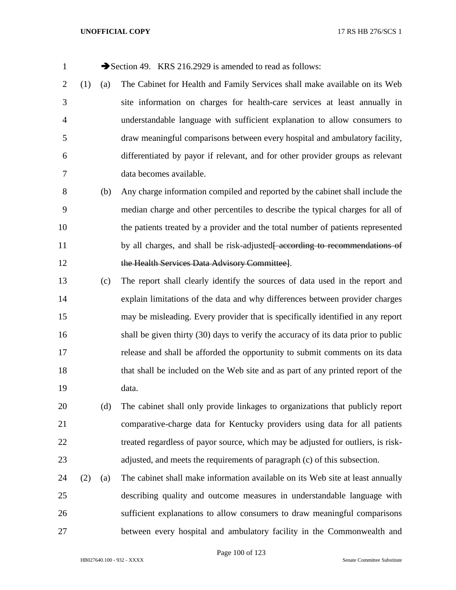1 Section 49. KRS 216.2929 is amended to read as follows:

 (1) (a) The Cabinet for Health and Family Services shall make available on its Web site information on charges for health-care services at least annually in understandable language with sufficient explanation to allow consumers to draw meaningful comparisons between every hospital and ambulatory facility, differentiated by payor if relevant, and for other provider groups as relevant data becomes available.

 (b) Any charge information compiled and reported by the cabinet shall include the median charge and other percentiles to describe the typical charges for all of the patients treated by a provider and the total number of patients represented 11 by all charges, and shall be risk-adjusted<del>[ according to recommendations of</del> the Health Services Data Advisory Committee].

 (c) The report shall clearly identify the sources of data used in the report and explain limitations of the data and why differences between provider charges may be misleading. Every provider that is specifically identified in any report shall be given thirty (30) days to verify the accuracy of its data prior to public release and shall be afforded the opportunity to submit comments on its data that shall be included on the Web site and as part of any printed report of the data.

 (d) The cabinet shall only provide linkages to organizations that publicly report comparative-charge data for Kentucky providers using data for all patients treated regardless of payor source, which may be adjusted for outliers, is risk-adjusted, and meets the requirements of paragraph (c) of this subsection.

 (2) (a) The cabinet shall make information available on its Web site at least annually describing quality and outcome measures in understandable language with sufficient explanations to allow consumers to draw meaningful comparisons between every hospital and ambulatory facility in the Commonwealth and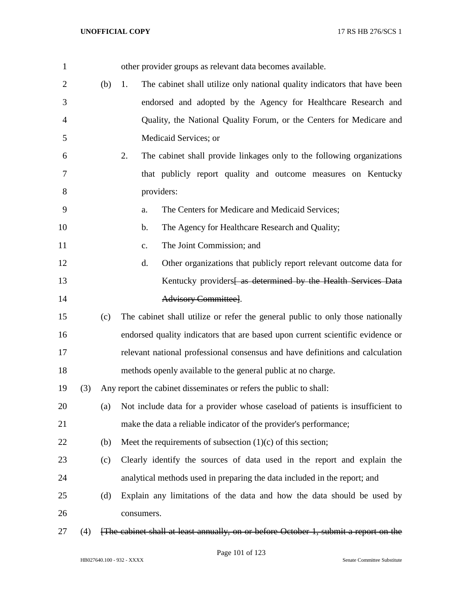| $\mathbf{1}$   |     |     | other provider groups as relevant data becomes available.                            |
|----------------|-----|-----|--------------------------------------------------------------------------------------|
| $\overline{2}$ |     | (b) | The cabinet shall utilize only national quality indicators that have been<br>1.      |
| 3              |     |     | endorsed and adopted by the Agency for Healthcare Research and                       |
| 4              |     |     | Quality, the National Quality Forum, or the Centers for Medicare and                 |
| 5              |     |     | Medicaid Services; or                                                                |
| 6              |     |     | The cabinet shall provide linkages only to the following organizations<br>2.         |
| 7              |     |     | that publicly report quality and outcome measures on Kentucky                        |
| 8              |     |     | providers:                                                                           |
| 9              |     |     | The Centers for Medicare and Medicaid Services;<br>a.                                |
| 10             |     |     | The Agency for Healthcare Research and Quality;<br>$\mathbf b$ .                     |
| 11             |     |     | The Joint Commission; and<br>$\mathbf{c}$ .                                          |
| 12             |     |     | d.<br>Other organizations that publicly report relevant outcome data for             |
| 13             |     |     | Kentucky providers as determined by the Health Services Data                         |
| 14             |     |     | Advisory Committee].                                                                 |
| 15             |     | (c) | The cabinet shall utilize or refer the general public to only those nationally       |
| 16             |     |     | endorsed quality indicators that are based upon current scientific evidence or       |
| 17             |     |     | relevant national professional consensus and have definitions and calculation        |
| 18             |     |     | methods openly available to the general public at no charge.                         |
| 19             | (3) |     | Any report the cabinet disseminates or refers the public to shall:                   |
| 20             |     | (a) | Not include data for a provider whose caseload of patients is insufficient to        |
| 21             |     |     | make the data a reliable indicator of the provider's performance;                    |
| 22             |     | (b) | Meet the requirements of subsection $(1)(c)$ of this section;                        |
| 23             |     | (c) | Clearly identify the sources of data used in the report and explain the              |
| 24             |     |     | analytical methods used in preparing the data included in the report; and            |
| 25             |     | (d) | Explain any limitations of the data and how the data should be used by               |
| 26             |     |     | consumers.                                                                           |
| 27             | (4) |     | [The cabinet shall at least annually, on or before October 1, submit a report on the |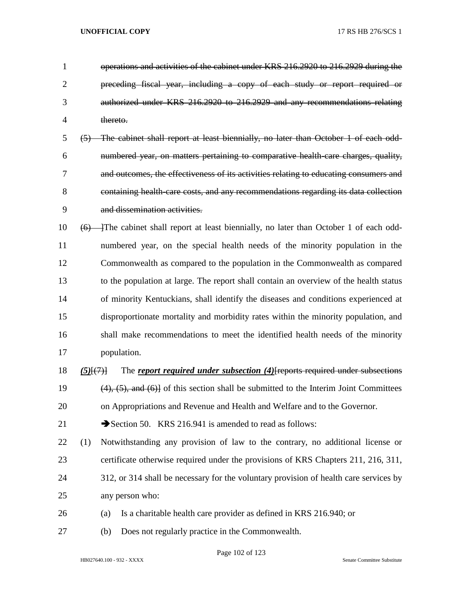| $\mathbf{1}$   |             | operations and activities of the cabinet under KRS 216.2920 to 216.2929 during the           |  |  |
|----------------|-------------|----------------------------------------------------------------------------------------------|--|--|
| $\overline{2}$ |             | preceding fiscal year, including a copy of each study or report required or                  |  |  |
| 3              |             | authorized under KRS 216.2920 to 216.2929 and any recommendations relating                   |  |  |
| $\overline{4}$ |             | thereto.                                                                                     |  |  |
| 5              |             | (5) The cabinet shall report at least biennially, no later than October 1 of each odd-       |  |  |
| 6              |             | numbered year, on matters pertaining to comparative health care charges, quality,            |  |  |
| 7              |             | and outcomes, the effectiveness of its activities relating to educating consumers and        |  |  |
| 8              |             | containing health-care costs, and any recommendations regarding its data collection          |  |  |
| 9              |             | and dissemination activities.                                                                |  |  |
| 10             |             |                                                                                              |  |  |
| 11             |             | numbered year, on the special health needs of the minority population in the                 |  |  |
| 12             |             | Commonwealth as compared to the population in the Commonwealth as compared                   |  |  |
| 13             |             | to the population at large. The report shall contain an overview of the health status        |  |  |
| 14             |             | of minority Kentuckians, shall identify the diseases and conditions experienced at           |  |  |
| 15             |             | disproportionate mortality and morbidity rates within the minority population, and           |  |  |
| 16             |             | shall make recommendations to meet the identified health needs of the minority               |  |  |
| 17             |             | population.                                                                                  |  |  |
| 18             | $(5)$ $(7)$ | The report required under subsection (4) [reports required under subsections                 |  |  |
| 19             |             | $(4)$ , $(5)$ , and $(6)$ of this section shall be submitted to the Interim Joint Committees |  |  |
| 20             |             | on Appropriations and Revenue and Health and Welfare and to the Governor.                    |  |  |
| 21             |             | Section 50. KRS 216.941 is amended to read as follows:                                       |  |  |
| 22             | (1)         | Notwithstanding any provision of law to the contrary, no additional license or               |  |  |
| 23             |             | certificate otherwise required under the provisions of KRS Chapters 211, 216, 311,           |  |  |
| 24             |             | 312, or 314 shall be necessary for the voluntary provision of health care services by        |  |  |
| 25             |             | any person who:                                                                              |  |  |
| 26             |             | Is a charitable health care provider as defined in KRS 216.940; or<br>(a)                    |  |  |
| 27             |             | Does not regularly practice in the Commonwealth.<br>(b)                                      |  |  |

Page 102 of 123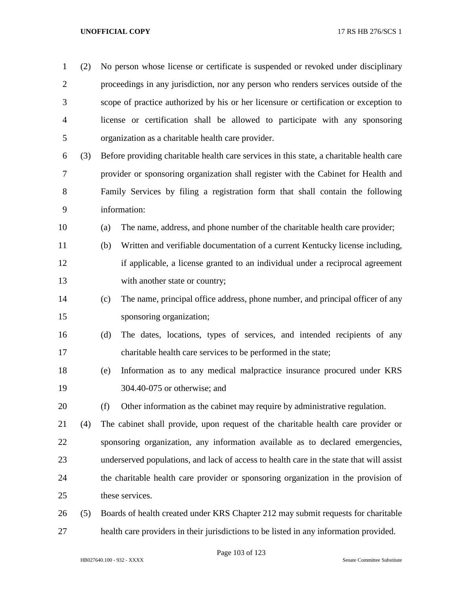| $\mathbf{1}$   | (2) | No person whose license or certificate is suspended or revoked under disciplinary        |  |
|----------------|-----|------------------------------------------------------------------------------------------|--|
| $\overline{2}$ |     | proceedings in any jurisdiction, nor any person who renders services outside of the      |  |
| 3              |     | scope of practice authorized by his or her licensure or certification or exception to    |  |
| $\overline{4}$ |     | license or certification shall be allowed to participate with any sponsoring             |  |
| 5              |     | organization as a charitable health care provider.                                       |  |
| 6              | (3) | Before providing charitable health care services in this state, a charitable health care |  |
| 7              |     | provider or sponsoring organization shall register with the Cabinet for Health and       |  |
| 8              |     | Family Services by filing a registration form that shall contain the following           |  |
| 9              |     | information:                                                                             |  |
| 10             |     | The name, address, and phone number of the charitable health care provider;<br>(a)       |  |
| 11             |     | Written and verifiable documentation of a current Kentucky license including,<br>(b)     |  |
| 12             |     | if applicable, a license granted to an individual under a reciprocal agreement           |  |
| 13             |     | with another state or country;                                                           |  |
| 14             |     | The name, principal office address, phone number, and principal officer of any<br>(c)    |  |
| 15             |     | sponsoring organization;                                                                 |  |
| 16             |     | The dates, locations, types of services, and intended recipients of any<br>(d)           |  |
| 17             |     | charitable health care services to be performed in the state;                            |  |
| 18             |     | Information as to any medical malpractice insurance procured under KRS<br>(e)            |  |
| 19             |     | 304.40-075 or otherwise; and                                                             |  |
| 20             |     | Other information as the cabinet may require by administrative regulation.<br>(f)        |  |
| 21             | (4) | The cabinet shall provide, upon request of the charitable health care provider or        |  |
| 22             |     | sponsoring organization, any information available as to declared emergencies,           |  |
| 23             |     | underserved populations, and lack of access to health care in the state that will assist |  |
| 24             |     | the charitable health care provider or sponsoring organization in the provision of       |  |
| 25             |     | these services.                                                                          |  |
| 26             | (5) | Boards of health created under KRS Chapter 212 may submit requests for charitable        |  |
| 27             |     | health care providers in their jurisdictions to be listed in any information provided.   |  |

Page 103 of 123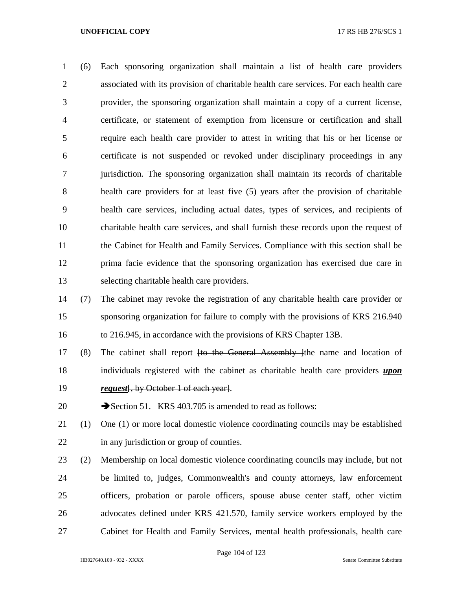(6) Each sponsoring organization shall maintain a list of health care providers associated with its provision of charitable health care services. For each health care provider, the sponsoring organization shall maintain a copy of a current license, certificate, or statement of exemption from licensure or certification and shall require each health care provider to attest in writing that his or her license or certificate is not suspended or revoked under disciplinary proceedings in any jurisdiction. The sponsoring organization shall maintain its records of charitable health care providers for at least five (5) years after the provision of charitable health care services, including actual dates, types of services, and recipients of charitable health care services, and shall furnish these records upon the request of the Cabinet for Health and Family Services. Compliance with this section shall be prima facie evidence that the sponsoring organization has exercised due care in selecting charitable health care providers.

 (7) The cabinet may revoke the registration of any charitable health care provider or sponsoring organization for failure to comply with the provisions of KRS 216.940 to 216.945, in accordance with the provisions of KRS Chapter 13B.

17 (8) The cabinet shall report <del>[to the General Assembly ]</del>the name and location of individuals registered with the cabinet as charitable health care providers *upon request*[, by October 1 of each year].

20 Section 51. KRS 403.705 is amended to read as follows:

 (1) One (1) or more local domestic violence coordinating councils may be established 22 in any jurisdiction or group of counties.

 (2) Membership on local domestic violence coordinating councils may include, but not be limited to, judges, Commonwealth's and county attorneys, law enforcement officers, probation or parole officers, spouse abuse center staff, other victim advocates defined under KRS 421.570, family service workers employed by the Cabinet for Health and Family Services, mental health professionals, health care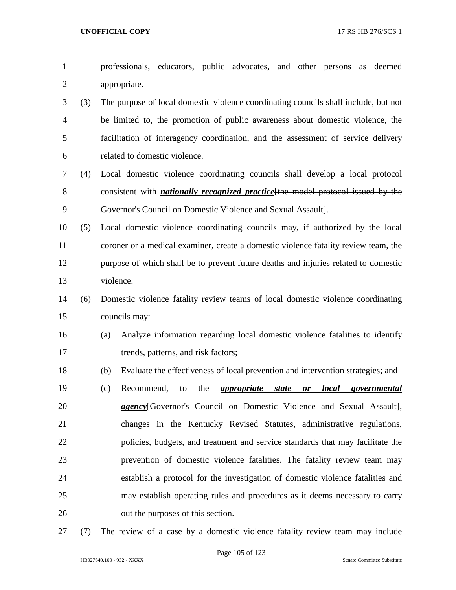professionals, educators, public advocates, and other persons as deemed appropriate.

 (3) The purpose of local domestic violence coordinating councils shall include, but not be limited to, the promotion of public awareness about domestic violence, the facilitation of interagency coordination, and the assessment of service delivery related to domestic violence.

- (4) Local domestic violence coordinating councils shall develop a local protocol consistent with *nationally recognized practice*[the model protocol issued by the Governor's Council on Domestic Violence and Sexual Assault].
- (5) Local domestic violence coordinating councils may, if authorized by the local coroner or a medical examiner, create a domestic violence fatality review team, the purpose of which shall be to prevent future deaths and injuries related to domestic violence.
- (6) Domestic violence fatality review teams of local domestic violence coordinating councils may:
- (a) Analyze information regarding local domestic violence fatalities to identify 17 trends, patterns, and risk factors;
- (b) Evaluate the effectiveness of local prevention and intervention strategies; and
- (c) Recommend, to the *appropriate state or local governmental agency*[Governor's Council on Domestic Violence and Sexual Assault], changes in the Kentucky Revised Statutes, administrative regulations, policies, budgets, and treatment and service standards that may facilitate the prevention of domestic violence fatalities. The fatality review team may establish a protocol for the investigation of domestic violence fatalities and may establish operating rules and procedures as it deems necessary to carry out the purposes of this section.
- (7) The review of a case by a domestic violence fatality review team may include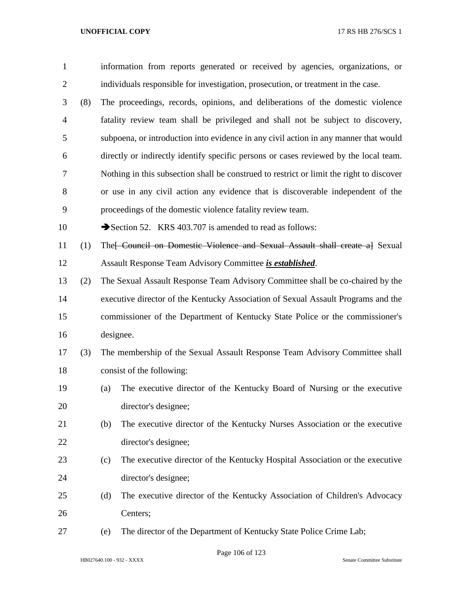| $\mathbf{1}$   |     | information from reports generated or received by agencies, organizations, or            |
|----------------|-----|------------------------------------------------------------------------------------------|
| $\overline{c}$ |     | individuals responsible for investigation, prosecution, or treatment in the case.        |
| 3              | (8) | The proceedings, records, opinions, and deliberations of the domestic violence           |
| 4              |     | fatality review team shall be privileged and shall not be subject to discovery,          |
| 5              |     | subpoena, or introduction into evidence in any civil action in any manner that would     |
| 6              |     | directly or indirectly identify specific persons or cases reviewed by the local team.    |
| 7              |     | Nothing in this subsection shall be construed to restrict or limit the right to discover |
| 8              |     | or use in any civil action any evidence that is discoverable independent of the          |
| 9              |     | proceedings of the domestic violence fatality review team.                               |
| 10             |     | Section 52. KRS 403.707 is amended to read as follows:                                   |
| 11             | (1) | The [Council on Domestic Violence and Sexual Assault shall create a] Sexual              |
| 12             |     | Assault Response Team Advisory Committee is established.                                 |
| 13             | (2) | The Sexual Assault Response Team Advisory Committee shall be co-chaired by the           |
| 14             |     | executive director of the Kentucky Association of Sexual Assault Programs and the        |
| 15             |     | commissioner of the Department of Kentucky State Police or the commissioner's            |
| 16             |     | designee.                                                                                |
| 17             | (3) | The membership of the Sexual Assault Response Team Advisory Committee shall              |
| 18             |     | consist of the following:                                                                |
| 19             |     | The executive director of the Kentucky Board of Nursing or the executive<br>(a)          |
| 20             |     | director's designee;                                                                     |
| 21             |     | (b)<br>The executive director of the Kentucky Nurses Association or the executive        |
| 22             |     | director's designee;                                                                     |
| 23             |     | The executive director of the Kentucky Hospital Association or the executive<br>(c)      |
| 24             |     | director's designee;                                                                     |
| 25             |     | The executive director of the Kentucky Association of Children's Advocacy<br>(d)         |
| 26             |     | Centers;                                                                                 |
| 27             |     | The director of the Department of Kentucky State Police Crime Lab;<br>(e)                |

Page 106 of 123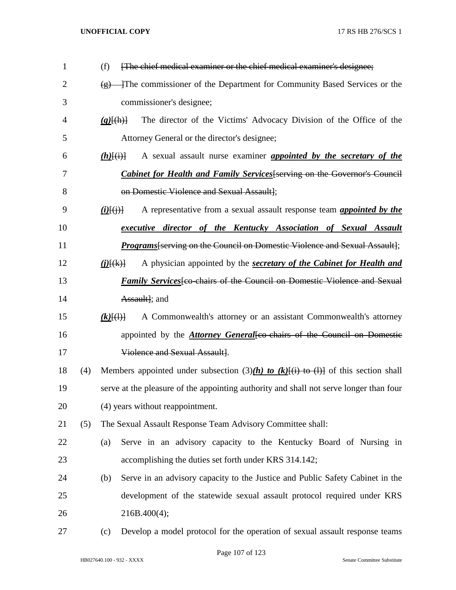| 1              |     | [The chief medical examiner or the chief medical examiner's designee;<br>(f)                            |
|----------------|-----|---------------------------------------------------------------------------------------------------------|
| $\overline{2}$ |     | The commissioner of the Department for Community Based Services or the<br>$\left( 8 \right)$            |
| 3              |     | commissioner's designee;                                                                                |
| 4              |     | The director of the Victims' Advocacy Division of the Office of the<br>$(g)$ $\{(\text{h})\}$           |
| 5              |     | Attorney General or the director's designee;                                                            |
| 6              |     | A sexual assault nurse examiner <i>appointed by the secretary of the</i><br>$(h)$ $(i)$                 |
| 7              |     | <b>Cabinet for Health and Family Services</b> [serving on the Governor's Council                        |
| 8              |     | on Domestic Violence and Sexual Assault];                                                               |
| 9              |     | A representative from a sexual assault response team <i>appointed by the</i><br>$(i)$ $(i)$ $(i)$ $(i)$ |
| 10             |     | executive director of the Kentucky Association of Sexual Assault                                        |
| 11             |     | Programs [serving on the Council on Domestic Violence and Sexual Assault];                              |
| 12             |     | A physician appointed by the secretary of the Cabinet for Health and<br>$(i)$ $(k)$                     |
| 13             |     | <i>Family Services</i> [co-chairs of the Council on Domestic Violence and Sexual                        |
| 14             |     | Assault]; and                                                                                           |
| 15             |     | A Commonwealth's attorney or an assistant Commonwealth's attorney<br>$(k)$ $\{(\cdot)\}$                |
| 16             |     | appointed by the <b>Attorney General</b> [co-chairs of the Council on Domestic                          |
| 17             |     | Violence and Sexual Assault].                                                                           |
| 18             | (4) | Members appointed under subsection (3)(h) to (k)[(i) to (l)] of this section shall                      |
| 19             |     | serve at the pleasure of the appointing authority and shall not serve longer than four                  |
| 20             |     | (4) years without reappointment.                                                                        |
| 21             | (5) | The Sexual Assault Response Team Advisory Committee shall:                                              |
| 22             |     | Serve in an advisory capacity to the Kentucky Board of Nursing in<br>(a)                                |
| 23             |     | accomplishing the duties set forth under KRS 314.142;                                                   |
| 24             |     | Serve in an advisory capacity to the Justice and Public Safety Cabinet in the<br>(b)                    |
| 25             |     | development of the statewide sexual assault protocol required under KRS                                 |
| 26             |     | 216B.400(4);                                                                                            |
| 27             |     | Develop a model protocol for the operation of sexual assault response teams<br>(c)                      |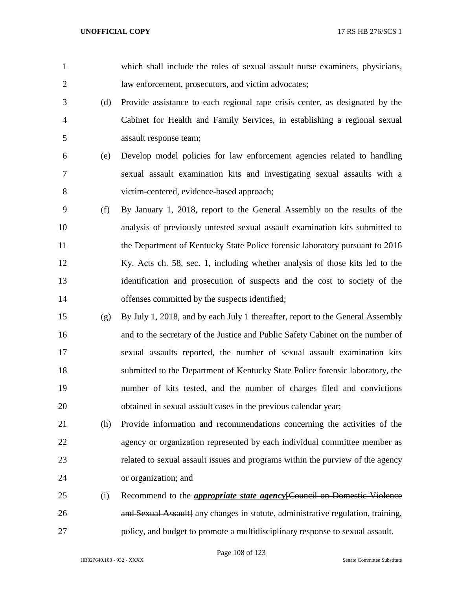| $\mathbf{1}$   |     | which shall include the roles of sexual assault nurse examiners, physicians,     |
|----------------|-----|----------------------------------------------------------------------------------|
| $\overline{2}$ |     | law enforcement, prosecutors, and victim advocates;                              |
| 3              | (d) | Provide assistance to each regional rape crisis center, as designated by the     |
| $\overline{4}$ |     | Cabinet for Health and Family Services, in establishing a regional sexual        |
| 5              |     | assault response team;                                                           |
| 6              | (e) | Develop model policies for law enforcement agencies related to handling          |
| 7              |     | sexual assault examination kits and investigating sexual assaults with a         |
| $8\,$          |     | victim-centered, evidence-based approach;                                        |
| 9              | (f) | By January 1, 2018, report to the General Assembly on the results of the         |
| 10             |     | analysis of previously untested sexual assault examination kits submitted to     |
| 11             |     | the Department of Kentucky State Police forensic laboratory pursuant to 2016     |
| 12             |     | Ky. Acts ch. 58, sec. 1, including whether analysis of those kits led to the     |
| 13             |     | identification and prosecution of suspects and the cost to society of the        |
| 14             |     | offenses committed by the suspects identified;                                   |
| 15             | (g) | By July 1, 2018, and by each July 1 thereafter, report to the General Assembly   |
| 16             |     | and to the secretary of the Justice and Public Safety Cabinet on the number of   |
| 17             |     | sexual assaults reported, the number of sexual assault examination kits          |
| 18             |     | submitted to the Department of Kentucky State Police forensic laboratory, the    |
| 19             |     | number of kits tested, and the number of charges filed and convictions           |
| 20             |     | obtained in sexual assault cases in the previous calendar year;                  |
| 21             | (h) | Provide information and recommendations concerning the activities of the         |
| 22             |     | agency or organization represented by each individual committee member as        |
| 23             |     | related to sexual assault issues and programs within the purview of the agency   |
| 24             |     | or organization; and                                                             |
| 25             | (i) | Recommend to the <i>appropriate state agency</i> [Council on Domestic Violence   |
| 26             |     | and Sexual Assault] any changes in statute, administrative regulation, training, |
| 27             |     | policy, and budget to promote a multidisciplinary response to sexual assault.    |

Page 108 of 123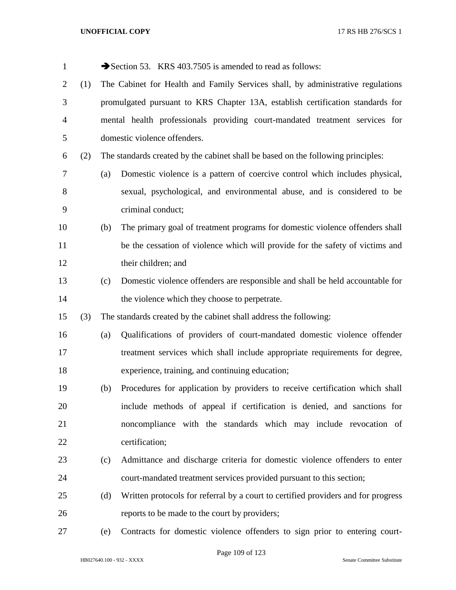| $\mathbf{1}$   |     |     | Section 53. KRS 403.7505 is amended to read as follows:                           |
|----------------|-----|-----|-----------------------------------------------------------------------------------|
| $\overline{2}$ | (1) |     | The Cabinet for Health and Family Services shall, by administrative regulations   |
| 3              |     |     | promulgated pursuant to KRS Chapter 13A, establish certification standards for    |
| $\overline{4}$ |     |     | mental health professionals providing court-mandated treatment services for       |
| 5              |     |     | domestic violence offenders.                                                      |
| 6              | (2) |     | The standards created by the cabinet shall be based on the following principles:  |
| 7              |     | (a) | Domestic violence is a pattern of coercive control which includes physical,       |
| $8\,$          |     |     | sexual, psychological, and environmental abuse, and is considered to be           |
| 9              |     |     | criminal conduct;                                                                 |
| 10             |     | (b) | The primary goal of treatment programs for domestic violence offenders shall      |
| 11             |     |     | be the cessation of violence which will provide for the safety of victims and     |
| 12             |     |     | their children; and                                                               |
| 13             |     | (c) | Domestic violence offenders are responsible and shall be held accountable for     |
| 14             |     |     | the violence which they choose to perpetrate.                                     |
| 15             | (3) |     | The standards created by the cabinet shall address the following:                 |
| 16             |     | (a) | Qualifications of providers of court-mandated domestic violence offender          |
| 17             |     |     | treatment services which shall include appropriate requirements for degree,       |
| 18             |     |     | experience, training, and continuing education;                                   |
| 19             |     | (b) | Procedures for application by providers to receive certification which shall      |
| 20             |     |     | include methods of appeal if certification is denied, and sanctions for           |
| 21             |     |     | noncompliance with the standards which may include revocation of                  |
| 22             |     |     | certification;                                                                    |
| 23             |     | (c) | Admittance and discharge criteria for domestic violence offenders to enter        |
| 24             |     |     | court-mandated treatment services provided pursuant to this section;              |
| 25             |     | (d) | Written protocols for referral by a court to certified providers and for progress |
| 26             |     |     | reports to be made to the court by providers;                                     |
| 27             |     | (e) | Contracts for domestic violence offenders to sign prior to entering court-        |

Page 109 of 123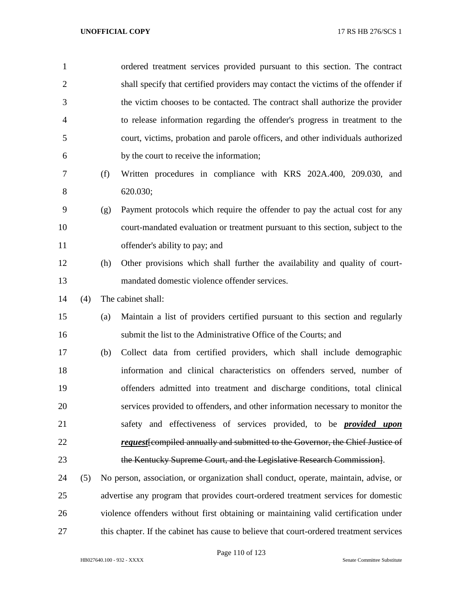| $\mathbf{1}$   |     |     | ordered treatment services provided pursuant to this section. The contract                  |
|----------------|-----|-----|---------------------------------------------------------------------------------------------|
| $\overline{2}$ |     |     | shall specify that certified providers may contact the victims of the offender if           |
| 3              |     |     | the victim chooses to be contacted. The contract shall authorize the provider               |
| 4              |     |     | to release information regarding the offender's progress in treatment to the                |
| 5              |     |     | court, victims, probation and parole officers, and other individuals authorized             |
| 6              |     |     | by the court to receive the information;                                                    |
| 7              |     | (f) | Written procedures in compliance with KRS 202A.400, 209.030, and                            |
| 8              |     |     | 620.030;                                                                                    |
| 9              |     | (g) | Payment protocols which require the offender to pay the actual cost for any                 |
| 10             |     |     | court-mandated evaluation or treatment pursuant to this section, subject to the             |
| 11             |     |     | offender's ability to pay; and                                                              |
| 12             |     | (h) | Other provisions which shall further the availability and quality of court-                 |
| 13             |     |     | mandated domestic violence offender services.                                               |
| 14             | (4) |     | The cabinet shall:                                                                          |
| 15             |     | (a) | Maintain a list of providers certified pursuant to this section and regularly               |
| 16             |     |     | submit the list to the Administrative Office of the Courts; and                             |
| 17             |     | (b) | Collect data from certified providers, which shall include demographic                      |
| 18             |     |     | information and clinical characteristics on offenders served, number of                     |
| 19             |     |     | offenders admitted into treatment and discharge conditions, total clinical                  |
| 20             |     |     | services provided to offenders, and other information necessary to monitor the              |
| 21             |     |     | safety and effectiveness of services provided, to be <b>provided upon</b>                   |
| 22             |     |     | <i>request</i> from price and resonance and submitted to the Governor, the Chief Justice of |
| 23             |     |     | the Kentucky Supreme Court, and the Legislative Research Commission.                        |
| 24             | (5) |     | No person, association, or organization shall conduct, operate, maintain, advise, or        |
| 25             |     |     | advertise any program that provides court-ordered treatment services for domestic           |

this chapter. If the cabinet has cause to believe that court-ordered treatment services

violence offenders without first obtaining or maintaining valid certification under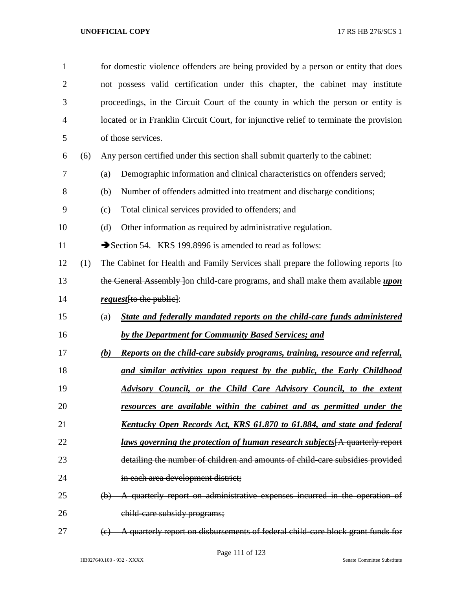| $\mathbf{1}$   |     | for domestic violence offenders are being provided by a person or entity that does      |
|----------------|-----|-----------------------------------------------------------------------------------------|
| $\overline{2}$ |     | not possess valid certification under this chapter, the cabinet may institute           |
| 3              |     | proceedings, in the Circuit Court of the county in which the person or entity is        |
| 4              |     | located or in Franklin Circuit Court, for injunctive relief to terminate the provision  |
| 5              |     | of those services.                                                                      |
| 6              | (6) | Any person certified under this section shall submit quarterly to the cabinet:          |
| 7              |     | Demographic information and clinical characteristics on offenders served;<br>(a)        |
| 8              |     | Number of offenders admitted into treatment and discharge conditions;<br>(b)            |
| 9              |     | Total clinical services provided to offenders; and<br>(c)                               |
| 10             |     | Other information as required by administrative regulation.<br>(d)                      |
| 11             |     | Section 54. KRS 199.8996 is amended to read as follows:                                 |
| 12             | (1) | The Cabinet for Health and Family Services shall prepare the following reports fto      |
| 13             |     | the General Assembly Jon child-care programs, and shall make them available <i>upon</i> |
| 14             |     | <i>request</i> [to the public]:                                                         |
| 15             |     | State and federally mandated reports on the child-care funds administered<br>(a)        |
| 16             |     | by the Department for Community Based Services; and                                     |
| 17             |     | Reports on the child-care subsidy programs, training, resource and referral,<br>(b)     |
| 18             |     | and similar activities upon request by the public, the Early Childhood                  |
| 19             |     | Advisory Council, or the Child Care Advisory Council, to the extent                     |
| 20             |     | resources are available within the cabinet and as permitted under the                   |
| 21             |     | Kentucky Open Records Act, KRS 61.870 to 61.884, and state and federal                  |
| 22             |     | laws governing the protection of human research subjects [A quarterly report            |
| 23             |     | detailing the number of children and amounts of child-care subsidies provided           |
| 24             |     | in each area development district;                                                      |
| 25             |     | (b) A quarterly report on administrative expenses incurred in the operation of          |
| 26             |     | child-care subsidy programs;                                                            |
| 27             |     | A quarterly report on disbursements of federal child-care block grant funds for<br>(e)  |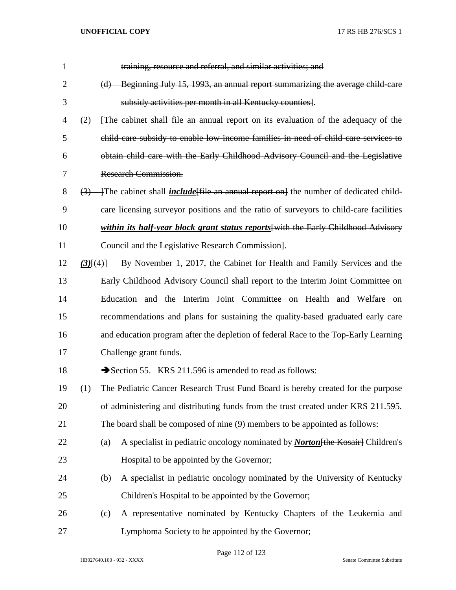| $\mathbf{1}$   |               | training, resource and referral, and similar activities; and                                                |
|----------------|---------------|-------------------------------------------------------------------------------------------------------------|
| $\overline{2}$ |               | (d) Beginning July 15, 1993, an annual report summarizing the average child-care                            |
| 3              |               | subsidy activities per month in all Kentucky counties.                                                      |
| 4              | (2)           | [The cabinet shall file an annual report on its evaluation of the adequacy of the                           |
| 5              |               | child care subsidy to enable low income families in need of child care services to                          |
| 6              |               | obtain child care with the Early Childhood Advisory Council and the Legislative                             |
| 7              |               | <b>Research Commission.</b>                                                                                 |
| $8\,$          |               | $\left(3\right)$ - The cabinet shall <i>include</i> file an annual report on the number of dedicated child- |
| 9              |               | care licensing surveyor positions and the ratio of surveyors to child-care facilities                       |
| 10             |               | within its half-year block grant status reports [with the Early Childhood Advisory                          |
| 11             |               | Council and the Legislative Research Commission.                                                            |
| 12             | $(3)$ $\{4\}$ | By November 1, 2017, the Cabinet for Health and Family Services and the                                     |
| 13             |               | Early Childhood Advisory Council shall report to the Interim Joint Committee on                             |
| 14             |               | Education and the Interim Joint Committee on Health and Welfare on                                          |
| 15             |               | recommendations and plans for sustaining the quality-based graduated early care                             |
| 16             |               | and education program after the depletion of federal Race to the Top-Early Learning                         |
| 17             |               | Challenge grant funds.                                                                                      |
| 18             |               | Section 55. KRS 211.596 is amended to read as follows:                                                      |
| 19             | (1)           | The Pediatric Cancer Research Trust Fund Board is hereby created for the purpose                            |
| 20             |               | of administering and distributing funds from the trust created under KRS 211.595.                           |
| 21             |               | The board shall be composed of nine (9) members to be appointed as follows:                                 |
| 22             |               | A specialist in pediatric oncology nominated by <b>Norton</b> [the Kosair] Children's<br>(a)                |
| 23             |               | Hospital to be appointed by the Governor;                                                                   |
| 24             |               | A specialist in pediatric oncology nominated by the University of Kentucky<br>(b)                           |
| 25             |               | Children's Hospital to be appointed by the Governor;                                                        |
| 26             |               | A representative nominated by Kentucky Chapters of the Leukemia and<br>(c)                                  |
| 27             |               | Lymphoma Society to be appointed by the Governor;                                                           |

Page 112 of 123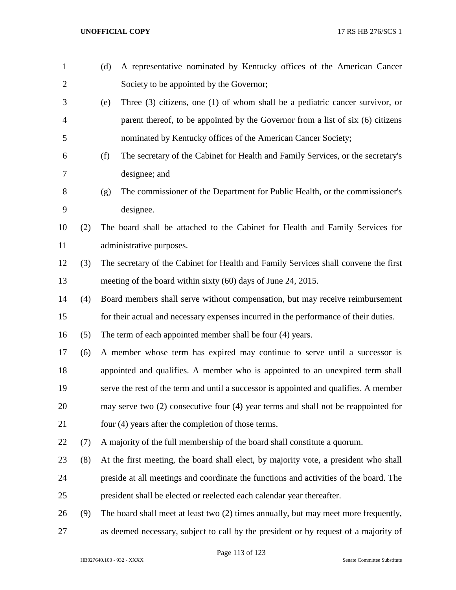| $\mathbf{1}$   |     | A representative nominated by Kentucky offices of the American Cancer<br>(d)            |
|----------------|-----|-----------------------------------------------------------------------------------------|
| $\overline{2}$ |     | Society to be appointed by the Governor;                                                |
| 3              |     | Three $(3)$ citizens, one $(1)$ of whom shall be a pediatric cancer survivor, or<br>(e) |
| 4              |     | parent thereof, to be appointed by the Governor from a list of six (6) citizens         |
| 5              |     | nominated by Kentucky offices of the American Cancer Society;                           |
| 6              |     | The secretary of the Cabinet for Health and Family Services, or the secretary's<br>(f)  |
| 7              |     | designee; and                                                                           |
| 8              |     | The commissioner of the Department for Public Health, or the commissioner's<br>(g)      |
| 9              |     | designee.                                                                               |
| 10             | (2) | The board shall be attached to the Cabinet for Health and Family Services for           |
| 11             |     | administrative purposes.                                                                |
| 12             | (3) | The secretary of the Cabinet for Health and Family Services shall convene the first     |
| 13             |     | meeting of the board within sixty (60) days of June 24, 2015.                           |
| 14             | (4) | Board members shall serve without compensation, but may receive reimbursement           |
| 15             |     | for their actual and necessary expenses incurred in the performance of their duties.    |
| 16             | (5) | The term of each appointed member shall be four (4) years.                              |
| 17             | (6) | A member whose term has expired may continue to serve until a successor is              |
| 18             |     | appointed and qualifies. A member who is appointed to an unexpired term shall           |
| 19             |     | serve the rest of the term and until a successor is appointed and qualifies. A member   |
| 20             |     | may serve two $(2)$ consecutive four $(4)$ year terms and shall not be reappointed for  |
| 21             |     | four (4) years after the completion of those terms.                                     |
| 22             | (7) | A majority of the full membership of the board shall constitute a quorum.               |
| 23             | (8) | At the first meeting, the board shall elect, by majority vote, a president who shall    |
| 24             |     | preside at all meetings and coordinate the functions and activities of the board. The   |
| 25             |     | president shall be elected or reelected each calendar year thereafter.                  |
| 26             | (9) | The board shall meet at least two (2) times annually, but may meet more frequently,     |
| 27             |     | as deemed necessary, subject to call by the president or by request of a majority of    |

Page 113 of 123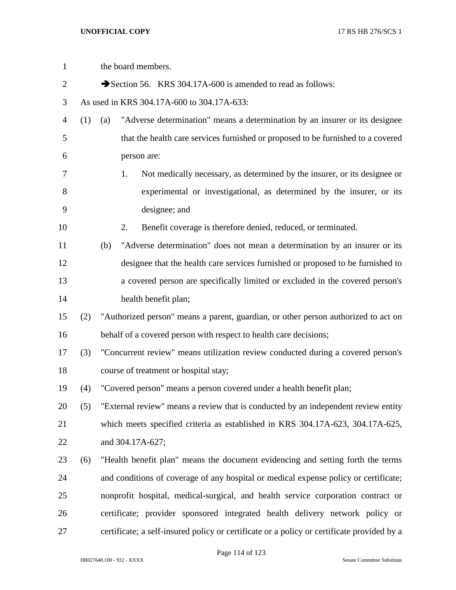| $\mathbf{1}$   |     |     | the board members.                                                                         |
|----------------|-----|-----|--------------------------------------------------------------------------------------------|
| $\overline{2}$ |     |     | Section 56. KRS 304.17A-600 is amended to read as follows:                                 |
| 3              |     |     | As used in KRS 304.17A-600 to 304.17A-633:                                                 |
| $\overline{4}$ | (1) | (a) | "Adverse determination" means a determination by an insurer or its designee                |
| 5              |     |     | that the health care services furnished or proposed to be furnished to a covered           |
| 6              |     |     | person are:                                                                                |
| 7              |     |     | Not medically necessary, as determined by the insurer, or its designee or<br>1.            |
| 8              |     |     | experimental or investigational, as determined by the insurer, or its                      |
| 9              |     |     | designee; and                                                                              |
| 10             |     |     | Benefit coverage is therefore denied, reduced, or terminated.<br>2.                        |
| 11             |     | (b) | "Adverse determination" does not mean a determination by an insurer or its                 |
| 12             |     |     | designee that the health care services furnished or proposed to be furnished to            |
| 13             |     |     | a covered person are specifically limited or excluded in the covered person's              |
| 14             |     |     | health benefit plan;                                                                       |
| 15             | (2) |     | "Authorized person" means a parent, guardian, or other person authorized to act on         |
| 16             |     |     | behalf of a covered person with respect to health care decisions;                          |
| 17             | (3) |     | "Concurrent review" means utilization review conducted during a covered person's           |
| 18             |     |     | course of treatment or hospital stay;                                                      |
| 19             | (4) |     | "Covered person" means a person covered under a health benefit plan;                       |
| 20             | (5) |     | "External review" means a review that is conducted by an independent review entity         |
| 21             |     |     | which meets specified criteria as established in KRS 304.17A-623, 304.17A-625,             |
| 22             |     |     | and 304.17A-627;                                                                           |
| 23             | (6) |     | "Health benefit plan" means the document evidencing and setting forth the terms            |
| 24             |     |     | and conditions of coverage of any hospital or medical expense policy or certificate;       |
| 25             |     |     | nonprofit hospital, medical-surgical, and health service corporation contract or           |
| 26             |     |     | certificate; provider sponsored integrated health delivery network policy or               |
| 27             |     |     | certificate; a self-insured policy or certificate or a policy or certificate provided by a |

Page 114 of 123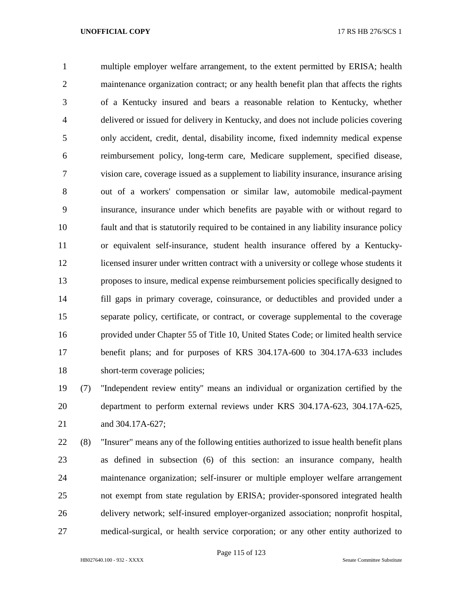multiple employer welfare arrangement, to the extent permitted by ERISA; health 2 maintenance organization contract; or any health benefit plan that affects the rights of a Kentucky insured and bears a reasonable relation to Kentucky, whether delivered or issued for delivery in Kentucky, and does not include policies covering only accident, credit, dental, disability income, fixed indemnity medical expense reimbursement policy, long-term care, Medicare supplement, specified disease, vision care, coverage issued as a supplement to liability insurance, insurance arising out of a workers' compensation or similar law, automobile medical-payment insurance, insurance under which benefits are payable with or without regard to fault and that is statutorily required to be contained in any liability insurance policy or equivalent self-insurance, student health insurance offered by a Kentucky- licensed insurer under written contract with a university or college whose students it proposes to insure, medical expense reimbursement policies specifically designed to fill gaps in primary coverage, coinsurance, or deductibles and provided under a separate policy, certificate, or contract, or coverage supplemental to the coverage provided under Chapter 55 of Title 10, United States Code; or limited health service benefit plans; and for purposes of KRS 304.17A-600 to 304.17A-633 includes short-term coverage policies;

 (7) "Independent review entity" means an individual or organization certified by the department to perform external reviews under KRS 304.17A-623, 304.17A-625, and 304.17A-627;

 (8) "Insurer" means any of the following entities authorized to issue health benefit plans as defined in subsection (6) of this section: an insurance company, health maintenance organization; self-insurer or multiple employer welfare arrangement not exempt from state regulation by ERISA; provider-sponsored integrated health delivery network; self-insured employer-organized association; nonprofit hospital, medical-surgical, or health service corporation; or any other entity authorized to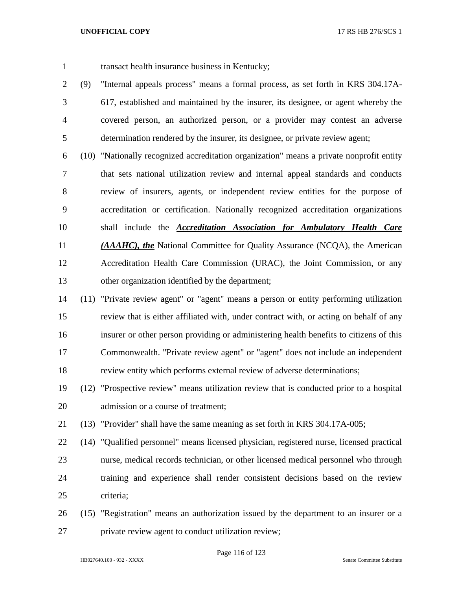- transact health insurance business in Kentucky;
- (9) "Internal appeals process" means a formal process, as set forth in KRS 304.17A- 617, established and maintained by the insurer, its designee, or agent whereby the covered person, an authorized person, or a provider may contest an adverse determination rendered by the insurer, its designee, or private review agent;
- (10) "Nationally recognized accreditation organization" means a private nonprofit entity that sets national utilization review and internal appeal standards and conducts review of insurers, agents, or independent review entities for the purpose of accreditation or certification. Nationally recognized accreditation organizations shall include the *Accreditation Association for Ambulatory Health Care (AAAHC), the* National Committee for Quality Assurance (NCQA), the American Accreditation Health Care Commission (URAC), the Joint Commission, or any other organization identified by the department;
- (11) "Private review agent" or "agent" means a person or entity performing utilization review that is either affiliated with, under contract with, or acting on behalf of any insurer or other person providing or administering health benefits to citizens of this Commonwealth. "Private review agent" or "agent" does not include an independent review entity which performs external review of adverse determinations;
- (12) "Prospective review" means utilization review that is conducted prior to a hospital admission or a course of treatment;
- (13) "Provider" shall have the same meaning as set forth in KRS 304.17A-005;
- (14) "Qualified personnel" means licensed physician, registered nurse, licensed practical nurse, medical records technician, or other licensed medical personnel who through training and experience shall render consistent decisions based on the review criteria;
- (15) "Registration" means an authorization issued by the department to an insurer or a private review agent to conduct utilization review;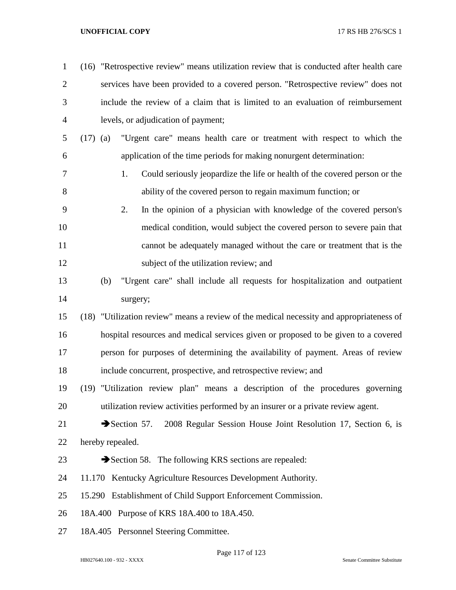| $\mathbf{1}$   |            | (16) "Retrospective review" means utilization review that is conducted after health care |
|----------------|------------|------------------------------------------------------------------------------------------|
| $\overline{2}$ |            | services have been provided to a covered person. "Retrospective review" does not         |
| 3              |            | include the review of a claim that is limited to an evaluation of reimbursement          |
| $\overline{4}$ |            | levels, or adjudication of payment;                                                      |
| 5              | $(17)$ (a) | "Urgent care" means health care or treatment with respect to which the                   |
| 6              |            | application of the time periods for making nonurgent determination:                      |
| $\overline{7}$ |            | 1.<br>Could seriously jeopardize the life or health of the covered person or the         |
| 8              |            | ability of the covered person to regain maximum function; or                             |
| 9              |            | 2.<br>In the opinion of a physician with knowledge of the covered person's               |
| 10             |            | medical condition, would subject the covered person to severe pain that                  |
| 11             |            | cannot be adequately managed without the care or treatment that is the                   |
| 12             |            | subject of the utilization review; and                                                   |
| 13             |            | "Urgent care" shall include all requests for hospitalization and outpatient<br>(b)       |
| 14             |            | surgery;                                                                                 |
| 15             |            | (18) "Utilization review" means a review of the medical necessity and appropriateness of |
| 16             |            | hospital resources and medical services given or proposed to be given to a covered       |
| 17             |            | person for purposes of determining the availability of payment. Areas of review          |
| 18             |            | include concurrent, prospective, and retrospective review; and                           |
| 19             |            | (19) "Utilization review plan" means a description of the procedures governing           |
| 20             |            | utilization review activities performed by an insurer or a private review agent.         |
| 21             |            | Section 57.<br>2008 Regular Session House Joint Resolution 17, Section 6, is             |
| 22             |            | hereby repealed.                                                                         |
| 23             |            | Section 58. The following KRS sections are repealed:                                     |
| 24             |            | 11.170 Kentucky Agriculture Resources Development Authority.                             |
| 25             |            | 15.290 Establishment of Child Support Enforcement Commission.                            |
| 26             |            | 18A.400 Purpose of KRS 18A.400 to 18A.450.                                               |
| 27             |            | 18A.405 Personnel Steering Committee.                                                    |
|                |            |                                                                                          |

Page 117 of 123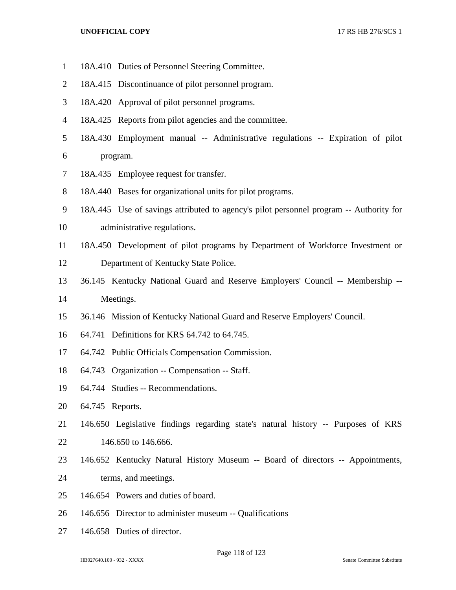- 18A.410 Duties of Personnel Steering Committee.
- 18A.415 Discontinuance of pilot personnel program.
- 18A.420 Approval of pilot personnel programs.
- 18A.425 Reports from pilot agencies and the committee.
- 18A.430 Employment manual -- Administrative regulations -- Expiration of pilot program.
- 18A.435 Employee request for transfer.
- 18A.440 Bases for organizational units for pilot programs.
- 18A.445 Use of savings attributed to agency's pilot personnel program -- Authority for
- administrative regulations.
- 18A.450 Development of pilot programs by Department of Workforce Investment or
- Department of Kentucky State Police.
- 36.145 Kentucky National Guard and Reserve Employers' Council -- Membership -- Meetings.
- 36.146 Mission of Kentucky National Guard and Reserve Employers' Council.
- 64.741 Definitions for KRS 64.742 to 64.745.
- 64.742 Public Officials Compensation Commission.
- 64.743 Organization -- Compensation -- Staff.
- 64.744 Studies -- Recommendations.
- 64.745 Reports.
- 146.650 Legislative findings regarding state's natural history -- Purposes of KRS
- 146.650 to 146.666.
- 146.652 Kentucky Natural History Museum -- Board of directors -- Appointments,
- terms, and meetings.
- 146.654 Powers and duties of board.
- 146.656 Director to administer museum -- Qualifications
- 146.658 Duties of director.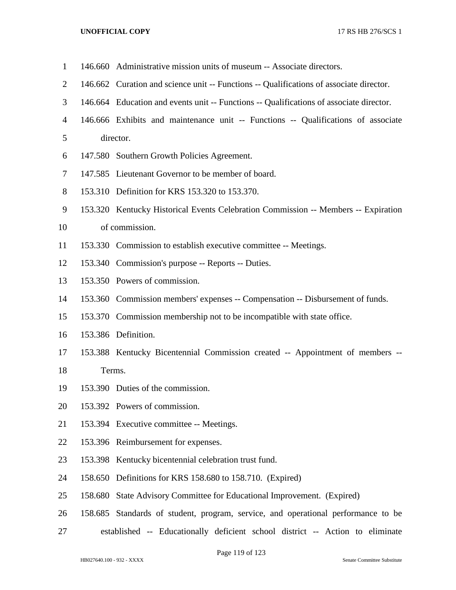- 146.660 Administrative mission units of museum -- Associate directors.
- 146.662 Curation and science unit -- Functions -- Qualifications of associate director.
- 146.664 Education and events unit -- Functions -- Qualifications of associate director.
- 146.666 Exhibits and maintenance unit -- Functions -- Qualifications of associate director.
- 147.580 Southern Growth Policies Agreement.
- 147.585 Lieutenant Governor to be member of board.
- 153.310 Definition for KRS 153.320 to 153.370.
- 153.320 Kentucky Historical Events Celebration Commission -- Members -- Expiration
- of commission.
- 153.330 Commission to establish executive committee -- Meetings.
- 153.340 Commission's purpose -- Reports -- Duties.
- 153.350 Powers of commission.
- 153.360 Commission members' expenses -- Compensation -- Disbursement of funds.
- 153.370 Commission membership not to be incompatible with state office.
- 153.386 Definition.
- 153.388 Kentucky Bicentennial Commission created -- Appointment of members --
- Terms.
- 153.390 Duties of the commission.
- 153.392 Powers of commission.
- 153.394 Executive committee -- Meetings.
- 153.396 Reimbursement for expenses.
- 153.398 Kentucky bicentennial celebration trust fund.
- 158.650 Definitions for KRS 158.680 to 158.710. (Expired)
- 158.680 State Advisory Committee for Educational Improvement. (Expired)
- 158.685 Standards of student, program, service, and operational performance to be
- established -- Educationally deficient school district -- Action to eliminate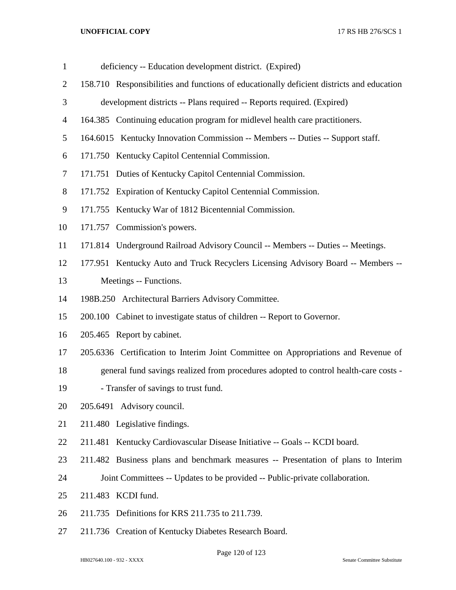| $\mathbf{1}$   |         | deficiency -- Education development district. (Expired)                                   |
|----------------|---------|-------------------------------------------------------------------------------------------|
| $\mathbf{2}$   |         | 158.710 Responsibilities and functions of educationally deficient districts and education |
| 3              |         | development districts -- Plans required -- Reports required. (Expired)                    |
| $\overline{4}$ |         | 164.385 Continuing education program for midlevel health care practitioners.              |
| 5              |         | 164.6015 Kentucky Innovation Commission -- Members -- Duties -- Support staff.            |
| 6              |         | 171.750 Kentucky Capitol Centennial Commission.                                           |
| $\tau$         |         | 171.751 Duties of Kentucky Capitol Centennial Commission.                                 |
| $8\,$          |         | 171.752 Expiration of Kentucky Capitol Centennial Commission.                             |
| 9              | 171.755 | Kentucky War of 1812 Bicentennial Commission.                                             |
| 10             |         | 171.757 Commission's powers.                                                              |
| 11             |         | 171.814 Underground Railroad Advisory Council -- Members -- Duties -- Meetings.           |
| 12             |         | 177.951 Kentucky Auto and Truck Recyclers Licensing Advisory Board -- Members --          |
| 13             |         | Meetings -- Functions.                                                                    |
| 14             |         | 198B.250 Architectural Barriers Advisory Committee.                                       |
| 15             |         | 200.100 Cabinet to investigate status of children -- Report to Governor.                  |
| 16             |         | 205.465 Report by cabinet.                                                                |
| 17             |         | 205.6336 Certification to Interim Joint Committee on Appropriations and Revenue of        |
| 18             |         | general fund savings realized from procedures adopted to control health-care costs -      |
| 19             |         | - Transfer of savings to trust fund.                                                      |
| 20             |         | 205.6491 Advisory council.                                                                |
| 21             |         | 211.480 Legislative findings.                                                             |
| 22             |         | 211.481 Kentucky Cardiovascular Disease Initiative -- Goals -- KCDI board.                |
| 23             |         | 211.482 Business plans and benchmark measures -- Presentation of plans to Interim         |
| 24             |         | Joint Committees -- Updates to be provided -- Public-private collaboration.               |
| 25             |         | 211.483 KCDI fund.                                                                        |
| 26             |         | 211.735 Definitions for KRS 211.735 to 211.739.                                           |
| 27             |         | 211.736 Creation of Kentucky Diabetes Research Board.                                     |

Page 120 of 123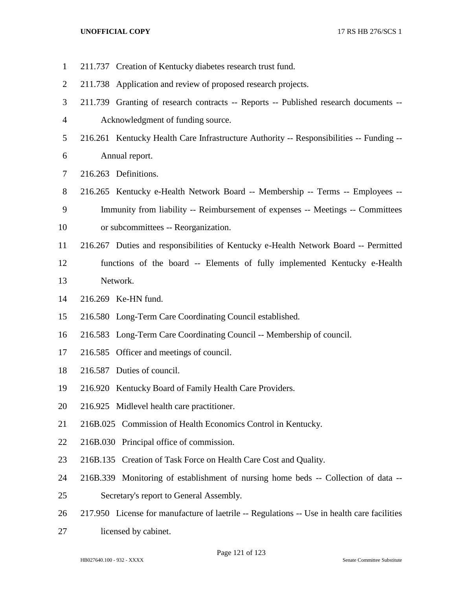211.737 Creation of Kentucky diabetes research trust fund. 211.738 Application and review of proposed research projects. 211.739 Granting of research contracts -- Reports -- Published research documents -- Acknowledgment of funding source. 216.261 Kentucky Health Care Infrastructure Authority -- Responsibilities -- Funding -- Annual report. 216.263 Definitions. 216.265 Kentucky e-Health Network Board -- Membership -- Terms -- Employees -- Immunity from liability -- Reimbursement of expenses -- Meetings -- Committees or subcommittees -- Reorganization. 216.267 Duties and responsibilities of Kentucky e-Health Network Board -- Permitted functions of the board -- Elements of fully implemented Kentucky e-Health Network. 216.269 Ke-HN fund. 216.580 Long-Term Care Coordinating Council established. 216.583 Long-Term Care Coordinating Council -- Membership of council. 216.585 Officer and meetings of council. 216.587 Duties of council. 216.920 Kentucky Board of Family Health Care Providers. 216.925 Midlevel health care practitioner. 216B.025 Commission of Health Economics Control in Kentucky. 216B.030 Principal office of commission. 216B.135 Creation of Task Force on Health Care Cost and Quality. 216B.339 Monitoring of establishment of nursing home beds -- Collection of data -- Secretary's report to General Assembly. 217.950 License for manufacture of laetrile -- Regulations -- Use in health care facilities licensed by cabinet.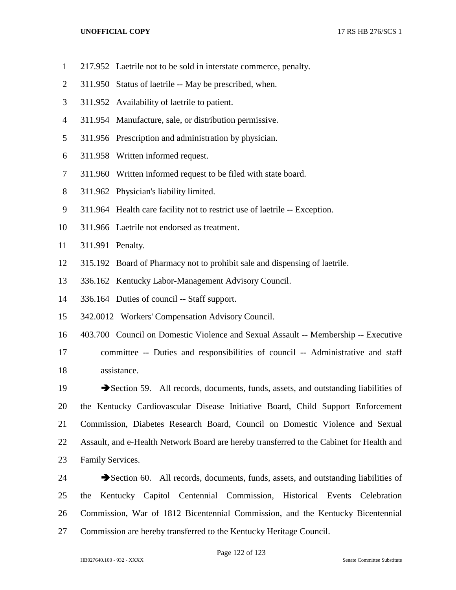- 217.952 Laetrile not to be sold in interstate commerce, penalty.
- 311.950 Status of laetrile -- May be prescribed, when.
- 311.952 Availability of laetrile to patient.
- 311.954 Manufacture, sale, or distribution permissive.
- 311.956 Prescription and administration by physician.
- 311.958 Written informed request.
- 311.960 Written informed request to be filed with state board.
- 311.962 Physician's liability limited.
- 311.964 Health care facility not to restrict use of laetrile -- Exception.
- 311.966 Laetrile not endorsed as treatment.
- 311.991 Penalty.
- 315.192 Board of Pharmacy not to prohibit sale and dispensing of laetrile.
- 336.162 Kentucky Labor-Management Advisory Council.
- 336.164 Duties of council -- Staff support.
- 342.0012 Workers' Compensation Advisory Council.

 403.700 Council on Domestic Violence and Sexual Assault -- Membership -- Executive committee -- Duties and responsibilities of council -- Administrative and staff assistance.

- 19 Section 59. All records, documents, funds, assets, and outstanding liabilities of the Kentucky Cardiovascular Disease Initiative Board, Child Support Enforcement Commission, Diabetes Research Board, Council on Domestic Violence and Sexual Assault, and e-Health Network Board are hereby transferred to the Cabinet for Health and Family Services.
- 24 Section 60. All records, documents, funds, assets, and outstanding liabilities of the Kentucky Capitol Centennial Commission, Historical Events Celebration Commission, War of 1812 Bicentennial Commission, and the Kentucky Bicentennial Commission are hereby transferred to the Kentucky Heritage Council.